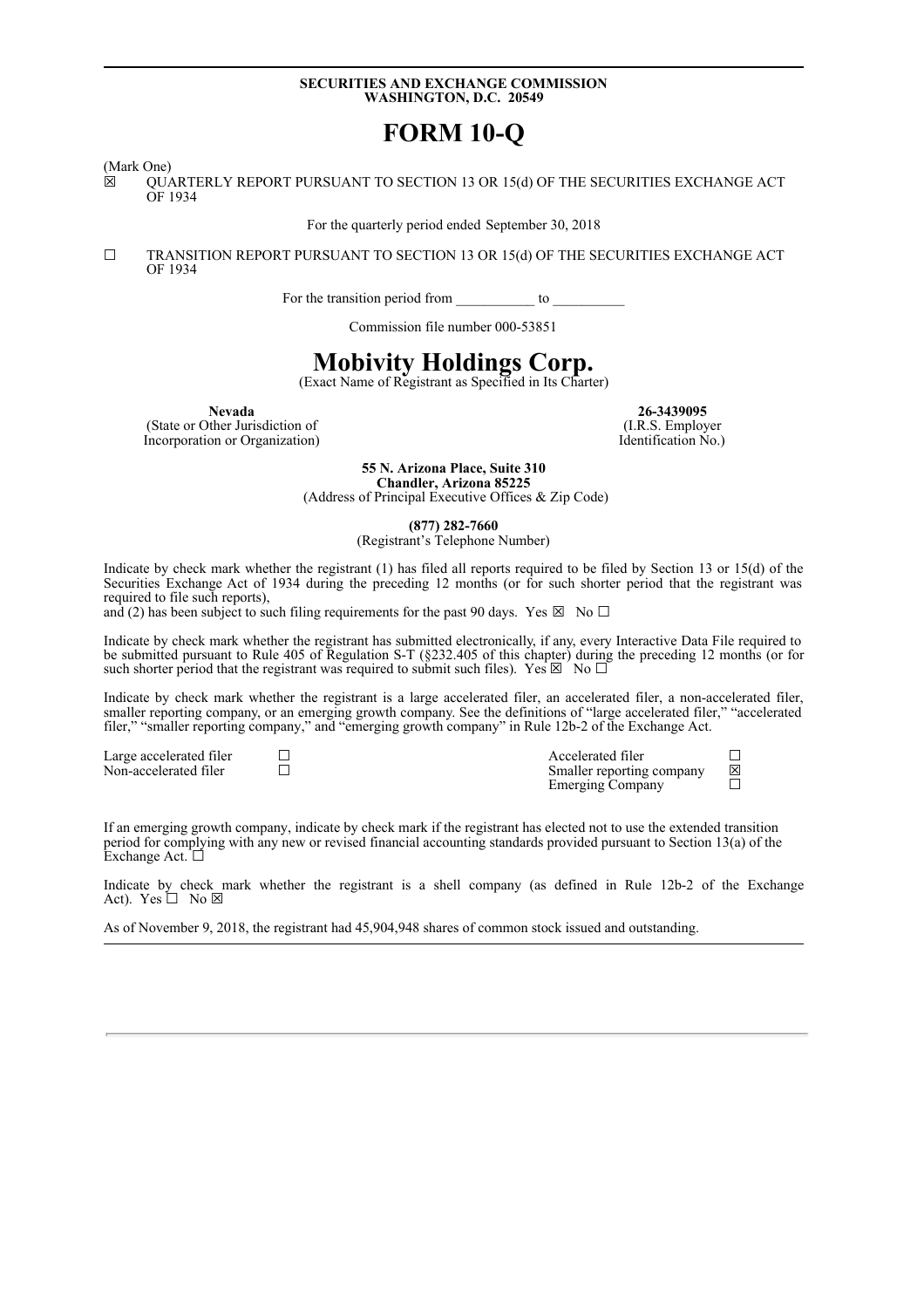# **SECURITIES AND EXCHANGE COMMISSION WASHINGTON, D.C. 20549**

# **FORM 10-Q**

(Mark One)

☒ QUARTERLY REPORT PURSUANT TO SECTION 13 OR 15(d) OF THE SECURITIES EXCHANGE ACT OF 1934

For the quarterly period ended September 30, 2018

☐ TRANSITION REPORT PURSUANT TO SECTION 13 OR 15(d) OF THE SECURITIES EXCHANGE ACT OF 1934

For the transition period from to  $\sim$ 

Commission file number 000-53851

# **Mobivity Holdings Corp.**

(Exact Name of Registrant as Specified in Its Charter)

(State or Other Jurisdiction of (I.R.S. Employer (I.R.S. Employer ) (I.R.S. Employer ) (I.R.S. Employer Incorporation or Organization)

**Nevada 26-3439095**

**55 N. Arizona Place, Suite 310 Chandler, Arizona 85225**

(Address of Principal Executive Offices & Zip Code)

**(877) 282-7660**

(Registrant's Telephone Number)

Indicate by check mark whether the registrant (1) has filed all reports required to be filed by Section 13 or 15(d) of the Securities Exchange Act of 1934 during the preceding 12 months (or for such shorter period that the registrant was required to file such reports),

and (2) has been subject to such filing requirements for the past 90 days. Yes  $\boxtimes$  No  $\Box$ 

Indicate by check mark whether the registrant has submitted electronically, if any, every Interactive Data File required to be submitted pursuant to Rule 405 of Regulation S-T (§232.405 of this chapter) during the preceding 12 months (or for such shorter period that the registrant was required to submit such files). Yes  $\boxtimes$  No  $\Box$ 

Indicate by check mark whether the registrant is a large accelerated filer, an accelerated filer, a non-accelerated filer, smaller reporting company, or an emerging growth company. See the definitions of "large accelerated filer," "accelerated filer," "smaller reporting company," and "emerging growth company" in Rule 12b-2 of the Exchange Act.

| Large accelerated filer<br>Non-accelerated filer | Accelerated filer<br>Smaller reporting company<br><b>Emerging Company</b> | ⊠ |
|--------------------------------------------------|---------------------------------------------------------------------------|---|
|                                                  |                                                                           |   |

If an emerging growth company, indicate by check mark if the registrant has elected not to use the extended transition period for complying with any new or revised financial accounting standards provided pursuant to Section 13(a) of the Exchange Act. □

Indicate by check mark whether the registrant is a shell company (as defined in Rule 12b-2 of the Exchange Act). Yes  $\Box$  No  $\boxtimes$ 

As of November 9, 2018, the registrant had 45,904,948 shares of common stock issued and outstanding.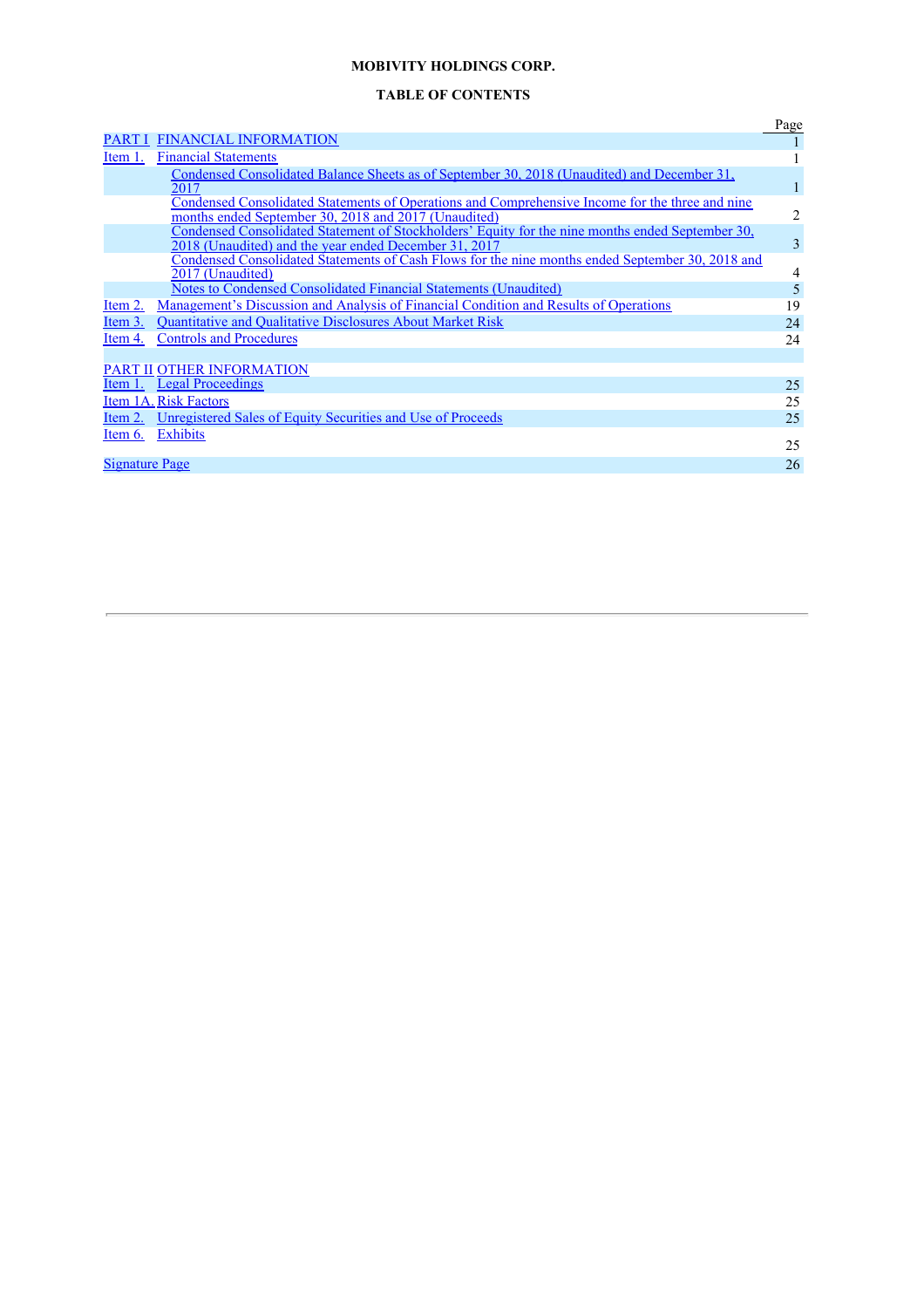# **MOBIVITY HOLDINGS CORP.**

# **TABLE OF CONTENTS**

|                |                                                                                                                                                           | Page           |
|----------------|-----------------------------------------------------------------------------------------------------------------------------------------------------------|----------------|
| PART I         | <b>FINANCIAL INFORMATION</b>                                                                                                                              |                |
| Item 1.        | <b>Financial Statements</b>                                                                                                                               |                |
|                | Condensed Consolidated Balance Sheets as of September 30, 2018 (Unaudited) and December 31,<br>2017                                                       |                |
|                | Condensed Consolidated Statements of Operations and Comprehensive Income for the three and nine<br>months ended September 30, 2018 and 2017 (Unaudited)   | $\overline{2}$ |
|                | Condensed Consolidated Statement of Stockholders' Equity for the nine months ended September 30,<br>2018 (Unaudited) and the year ended December 31, 2017 | 3              |
|                | <u>Condensed Consolidated Statements of Cash Flows for the nine months ended September 30, 2018 and</u><br>2017 (Unaudited)                               | 4              |
|                | Notes to Condensed Consolidated Financial Statements (Unaudited)                                                                                          | 5              |
| Item 2.        | Management's Discussion and Analysis of Financial Condition and Results of Operations                                                                     | 19             |
| Item 3.        | <b>Quantitative and Qualitative Disclosures About Market Risk</b>                                                                                         | 24             |
| Item 4.        | <b>Controls and Procedures</b>                                                                                                                            | 24             |
|                |                                                                                                                                                           |                |
|                | <b>PART II OTHER INFORMATION</b>                                                                                                                          |                |
|                | Item 1. Legal Proceedings                                                                                                                                 | 25             |
|                | Item 1A. Risk Factors                                                                                                                                     | 25             |
| Item $2$ .     | Unregistered Sales of Equity Securities and Use of Proceeds                                                                                               | 25             |
| Item 6.        | Exhibits                                                                                                                                                  | 25             |
| Signature Page |                                                                                                                                                           | 26             |
|                |                                                                                                                                                           |                |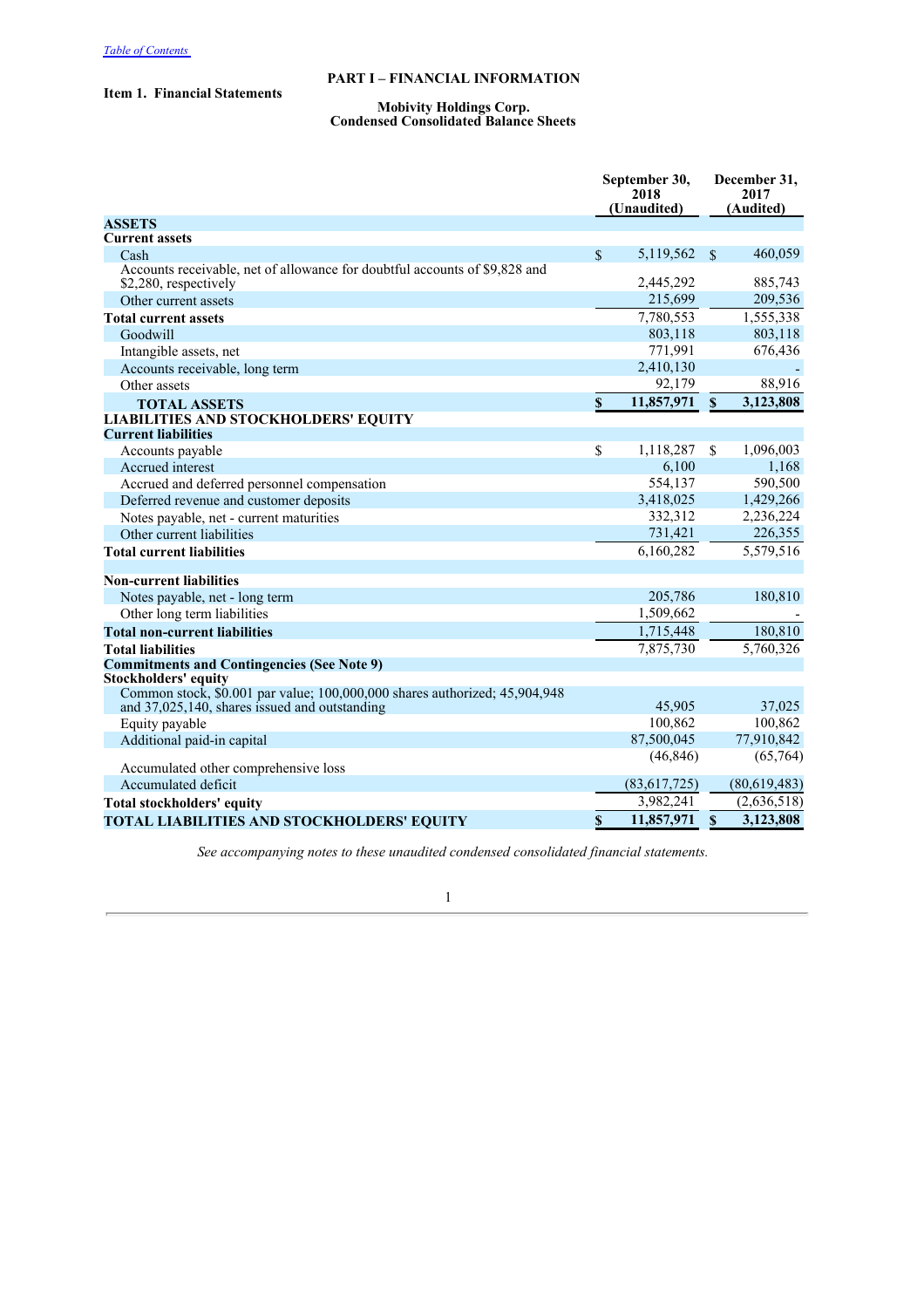# **PART I – FINANCIAL INFORMATION**

# **Item 1. Financial Statements**

#### **Mobivity Holdings Corp. Condensed Consolidated Balance Sheets**

|                                                                                                     |              | September 30,<br>2018<br>(Unaudited) |                    | December 31,<br>2017<br>(Audited) |
|-----------------------------------------------------------------------------------------------------|--------------|--------------------------------------|--------------------|-----------------------------------|
| <b>ASSETS</b>                                                                                       |              |                                      |                    |                                   |
| <b>Current assets</b>                                                                               |              |                                      |                    |                                   |
| Cash                                                                                                | $\mathbb{S}$ | 5,119,562                            | $\mathcal{S}$      | 460,059                           |
| Accounts receivable, net of allowance for doubtful accounts of \$9,828 and<br>\$2,280, respectively |              | 2,445,292                            |                    | 885,743                           |
| Other current assets                                                                                |              | 215,699                              |                    | 209,536                           |
| <b>Total current assets</b>                                                                         |              | 7,780,553                            |                    | 1,555,338                         |
| Goodwill                                                                                            |              | 803,118                              |                    | 803,118                           |
| Intangible assets, net                                                                              |              | 771,991                              |                    | 676,436                           |
| Accounts receivable, long term                                                                      |              | 2,410,130                            |                    |                                   |
| Other assets                                                                                        |              | 92,179                               |                    | 88,916                            |
| <b>TOTAL ASSETS</b>                                                                                 | \$           | 11,857,971                           | $\mathbf{s}$       | 3,123,808                         |
| <b>LIABILITIES AND STOCKHOLDERS' EQUITY</b>                                                         |              |                                      |                    |                                   |
| <b>Current liabilities</b>                                                                          |              |                                      |                    |                                   |
| Accounts payable                                                                                    | \$           | 1,118,287                            | $\mathcal{S}$      | 1,096,003                         |
| Accrued interest                                                                                    |              | 6,100                                |                    | 1,168                             |
| Accrued and deferred personnel compensation                                                         |              | 554,137                              |                    | 590,500                           |
| Deferred revenue and customer deposits                                                              |              | 3,418,025                            |                    | 1,429,266                         |
| Notes payable, net - current maturities                                                             |              | 332,312                              |                    | 2,236,224                         |
| Other current liabilities                                                                           |              | 731,421                              |                    | 226,355                           |
| <b>Total current liabilities</b>                                                                    |              | 6,160,282                            |                    | 5,579,516                         |
|                                                                                                     |              |                                      |                    |                                   |
| <b>Non-current liabilities</b>                                                                      |              |                                      |                    |                                   |
| Notes payable, net - long term                                                                      |              | 205,786                              |                    | 180,810                           |
| Other long term liabilities                                                                         |              | 1,509,662                            |                    |                                   |
| <b>Total non-current liabilities</b>                                                                |              | 1,715,448                            |                    | 180,810                           |
| <b>Total liabilities</b>                                                                            |              | 7,875,730                            |                    | 5,760,326                         |
| <b>Commitments and Contingencies (See Note 9)</b>                                                   |              |                                      |                    |                                   |
| Stockholders' equity<br>Common stock, \$0.001 par value; 100,000,000 shares authorized; 45,904,948  |              |                                      |                    |                                   |
| and 37,025,140, shares issued and outstanding                                                       |              | 45,905                               |                    | 37,025                            |
| Equity payable                                                                                      |              | 100,862                              |                    | 100,862                           |
| Additional paid-in capital                                                                          |              | 87,500,045                           |                    | 77,910,842                        |
|                                                                                                     |              | (46, 846)                            |                    | (65,764)                          |
| Accumulated other comprehensive loss                                                                |              |                                      |                    |                                   |
| Accumulated deficit                                                                                 |              | (83, 617, 725)                       |                    | (80,619,483)                      |
| <b>Total stockholders' equity</b>                                                                   |              | 3,982,241                            |                    | (2,636,518)                       |
| <b>TOTAL LIABILITIES AND STOCKHOLDERS' EQUITY</b>                                                   | \$           | 11,857,971                           | $\mathbf{\hat{s}}$ | 3,123,808                         |

*See accompanying notes to these unaudited condensed consolidated financial statements.*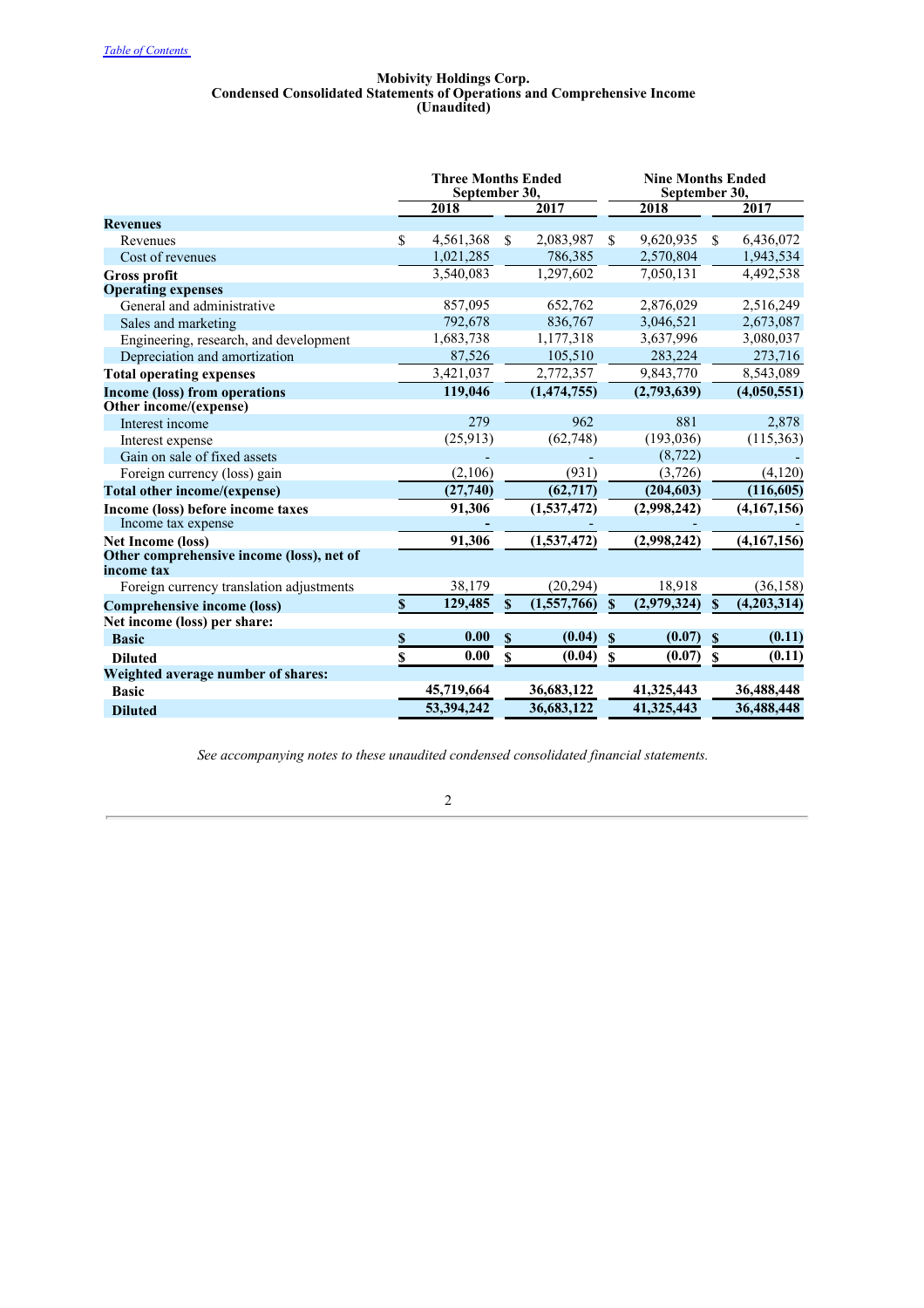#### **Mobivity Holdings Corp. Condensed Consolidated Statements of Operations and Comprehensive Income (Unaudited)**

|                                                         | <b>Three Months Ended</b><br>September 30, |            |               |             |    | <b>Nine Months Ended</b><br>September 30, |             |             |  |  |
|---------------------------------------------------------|--------------------------------------------|------------|---------------|-------------|----|-------------------------------------------|-------------|-------------|--|--|
|                                                         |                                            | 2018       |               | 2017        |    | 2018                                      |             | 2017        |  |  |
| <b>Revenues</b>                                         |                                            |            |               |             |    |                                           |             |             |  |  |
| Revenues                                                | \$                                         | 4,561,368  | $\mathcal{S}$ | 2,083,987   | \$ | 9,620,935                                 | $\mathbf S$ | 6,436,072   |  |  |
| Cost of revenues                                        |                                            | 1,021,285  |               | 786,385     |    | 2,570,804                                 |             | 1,943,534   |  |  |
| <b>Gross profit</b>                                     |                                            | 3.540.083  |               | 1.297.602   |    | 7.050.131                                 |             | 4,492,538   |  |  |
| <b>Operating expenses</b>                               |                                            |            |               |             |    |                                           |             |             |  |  |
| General and administrative                              |                                            | 857,095    |               | 652,762     |    | 2,876,029                                 |             | 2,516,249   |  |  |
| Sales and marketing                                     |                                            | 792,678    |               | 836,767     |    | 3,046,521                                 |             | 2,673,087   |  |  |
| Engineering, research, and development                  |                                            | 1,683,738  |               | 1,177,318   |    | 3,637,996                                 |             | 3,080,037   |  |  |
| Depreciation and amortization                           |                                            | 87,526     |               | 105,510     |    | 283,224                                   |             | 273,716     |  |  |
| <b>Total operating expenses</b>                         |                                            | 3,421,037  |               | 2,772,357   |    | 9,843,770                                 |             | 8,543,089   |  |  |
| <b>Income (loss) from operations</b>                    |                                            | 119,046    |               | (1,474,755) |    | (2,793,639)                               |             | (4,050,551) |  |  |
| Other income/(expense)                                  |                                            |            |               |             |    |                                           |             |             |  |  |
| Interest income                                         |                                            | 279        |               | 962         |    | 881                                       |             | 2,878       |  |  |
| Interest expense                                        |                                            | (25, 913)  |               | (62, 748)   |    | (193, 036)                                |             | (115,363)   |  |  |
| Gain on sale of fixed assets                            |                                            |            |               |             |    | (8, 722)                                  |             |             |  |  |
| Foreign currency (loss) gain                            |                                            | (2,106)    |               | (931)       |    | (3,726)                                   |             | (4,120)     |  |  |
| Total other income/(expense)                            |                                            | (27,740)   |               | (62, 717)   |    | (204, 603)                                |             | (116, 605)  |  |  |
| Income (loss) before income taxes                       |                                            | 91,306     |               | (1,537,472) |    | (2,998,242)                               |             | (4,167,156) |  |  |
| Income tax expense                                      |                                            |            |               |             |    |                                           |             |             |  |  |
| <b>Net Income (loss)</b>                                |                                            | 91,306     |               | (1,537,472) |    | (2,998,242)                               |             | (4,167,156) |  |  |
| Other comprehensive income (loss), net of<br>income tax |                                            |            |               |             |    |                                           |             |             |  |  |
| Foreign currency translation adjustments                |                                            | 38,179     |               | (20, 294)   |    | 18,918                                    |             | (36, 158)   |  |  |
| <b>Comprehensive income (loss)</b>                      | \$                                         | 129,485    | \$            | (1,557,766) | \$ | (2,979,324)                               | \$          | (4,203,314) |  |  |
| Net income (loss) per share:                            |                                            |            |               |             |    |                                           |             |             |  |  |
| <b>Basic</b>                                            | \$                                         | 0.00       | \$            | (0.04)      | \$ | (0.07)                                    | \$          | (0.11)      |  |  |
| <b>Diluted</b>                                          | \$                                         | 0.00       | \$            | (0.04)      | \$ | (0.07)                                    | \$          | (0.11)      |  |  |
| Weighted average number of shares:                      |                                            |            |               |             |    |                                           |             |             |  |  |
| <b>Basic</b>                                            |                                            | 45,719,664 |               | 36,683,122  |    | 41,325,443                                |             | 36,488,448  |  |  |
| <b>Diluted</b>                                          |                                            | 53,394,242 |               | 36,683,122  |    | 41,325,443                                |             | 36,488,448  |  |  |

*See accompanying notes to these unaudited condensed consolidated financial statements.*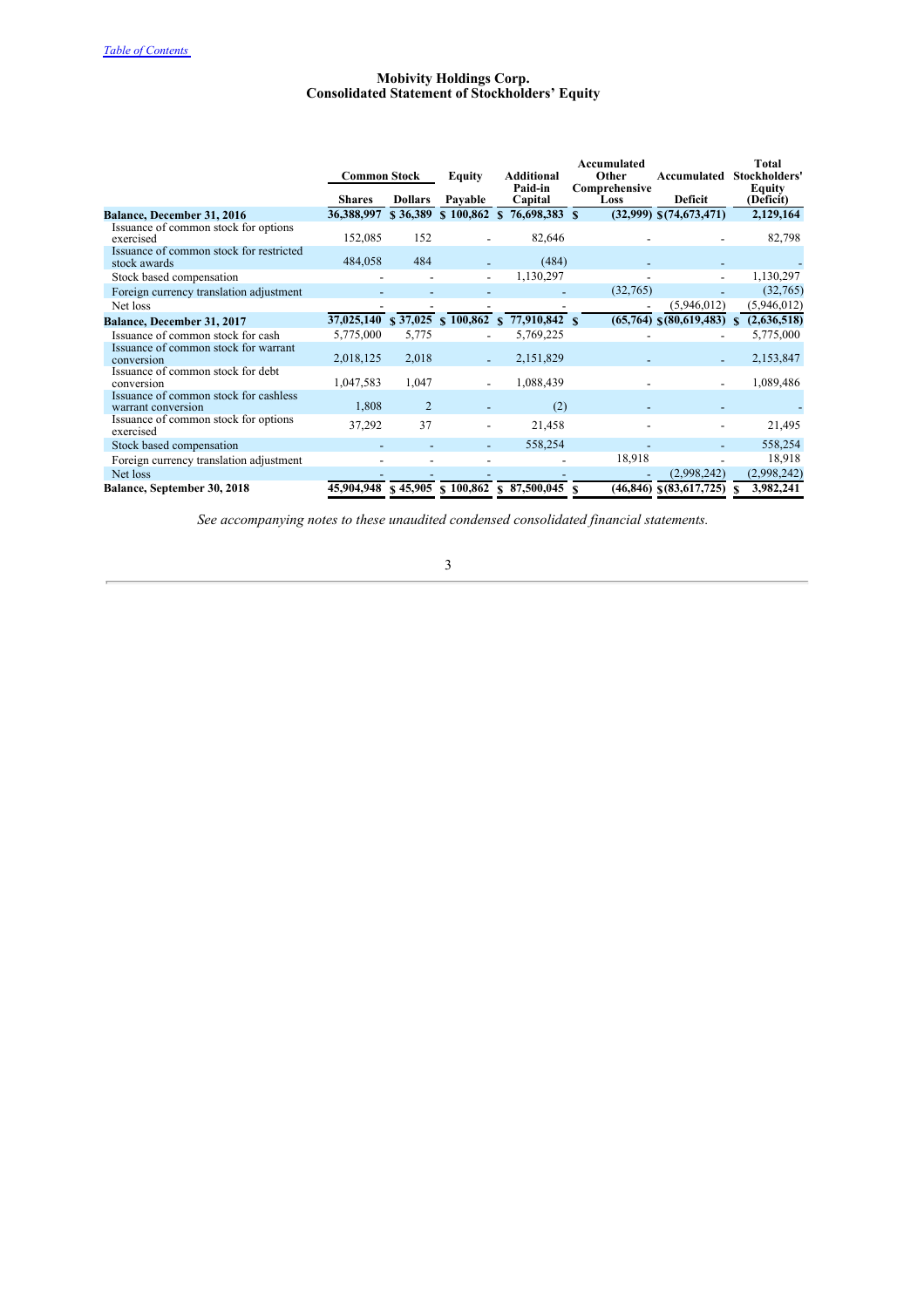## **Mobivity Holdings Corp. Consolidated Statement of Stockholders' Equity**

|                                                             | <b>Common Stock</b> |                | Equity    | <b>Additional</b><br>Paid-in       | Accumulated<br>Other<br>Comprehensive | Accumulated                     | Total<br>Stockholders'<br><b>Equity</b> |
|-------------------------------------------------------------|---------------------|----------------|-----------|------------------------------------|---------------------------------------|---------------------------------|-----------------------------------------|
|                                                             | <b>Shares</b>       | <b>Dollars</b> | Payable   | Capital                            | Loss                                  | Deficit                         | (Deficit)                               |
| Balance, December 31, 2016                                  | 36,388,997          | \$36,389       | \$100,862 | 76,698,383<br>$\mathbf{S}$         | $\mathbf{\hat{S}}$                    | $(32,999)$ \$ $(74,673,471)$    | 2,129,164                               |
| Issuance of common stock for options<br>exercised           | 152,085             | 152            |           | 82,646                             |                                       |                                 | 82,798                                  |
| Issuance of common stock for restricted<br>stock awards     | 484,058             | 484            |           | (484)                              |                                       |                                 |                                         |
| Stock based compensation                                    |                     |                |           | 1,130,297                          |                                       |                                 | 1,130,297                               |
| Foreign currency translation adjustment                     |                     |                |           |                                    | (32,765)                              |                                 | (32,765)                                |
| Net loss                                                    |                     |                |           |                                    |                                       | (5,946,012)                     | (5,946,012)                             |
| Balance, December 31, 2017                                  | 37,025,140          |                |           | \$37,025 \$100,862 \$77,910,842 \$ |                                       | $(65,764)$ \$ $(80,619,483)$ \$ | (2,636,518)                             |
| Issuance of common stock for cash                           | 5,775,000           | 5,775          |           | 5,769,225                          |                                       |                                 | 5,775,000                               |
| Issuance of common stock for warrant<br>conversion          | 2,018,125           | 2,018          |           | 2,151,829                          |                                       |                                 | 2,153,847                               |
| Issuance of common stock for debt<br>conversion             | 1,047,583           | 1,047          |           | 1,088,439                          |                                       |                                 | 1,089,486                               |
| Issuance of common stock for cashless<br>warrant conversion | 1,808               | $\overline{2}$ |           | (2)                                |                                       |                                 |                                         |
| Issuance of common stock for options<br>exercised           | 37,292              | 37             |           | 21,458                             |                                       |                                 | 21,495                                  |
| Stock based compensation                                    |                     |                |           | 558,254                            |                                       |                                 | 558,254                                 |
| Foreign currency translation adjustment                     |                     |                |           |                                    | 18,918                                |                                 | 18,918                                  |
| Net loss                                                    |                     |                |           |                                    |                                       | (2,998,242)                     | (2,998,242)                             |
| Balance, September 30, 2018                                 | 45,904,948          |                |           | $$45,905 \$100,862 \$87,500,045$   |                                       | $(46,846)$ \$ $(83,617,725)$    | 3,982,241                               |

*See accompanying notes to these unaudited condensed consolidated financial statements.*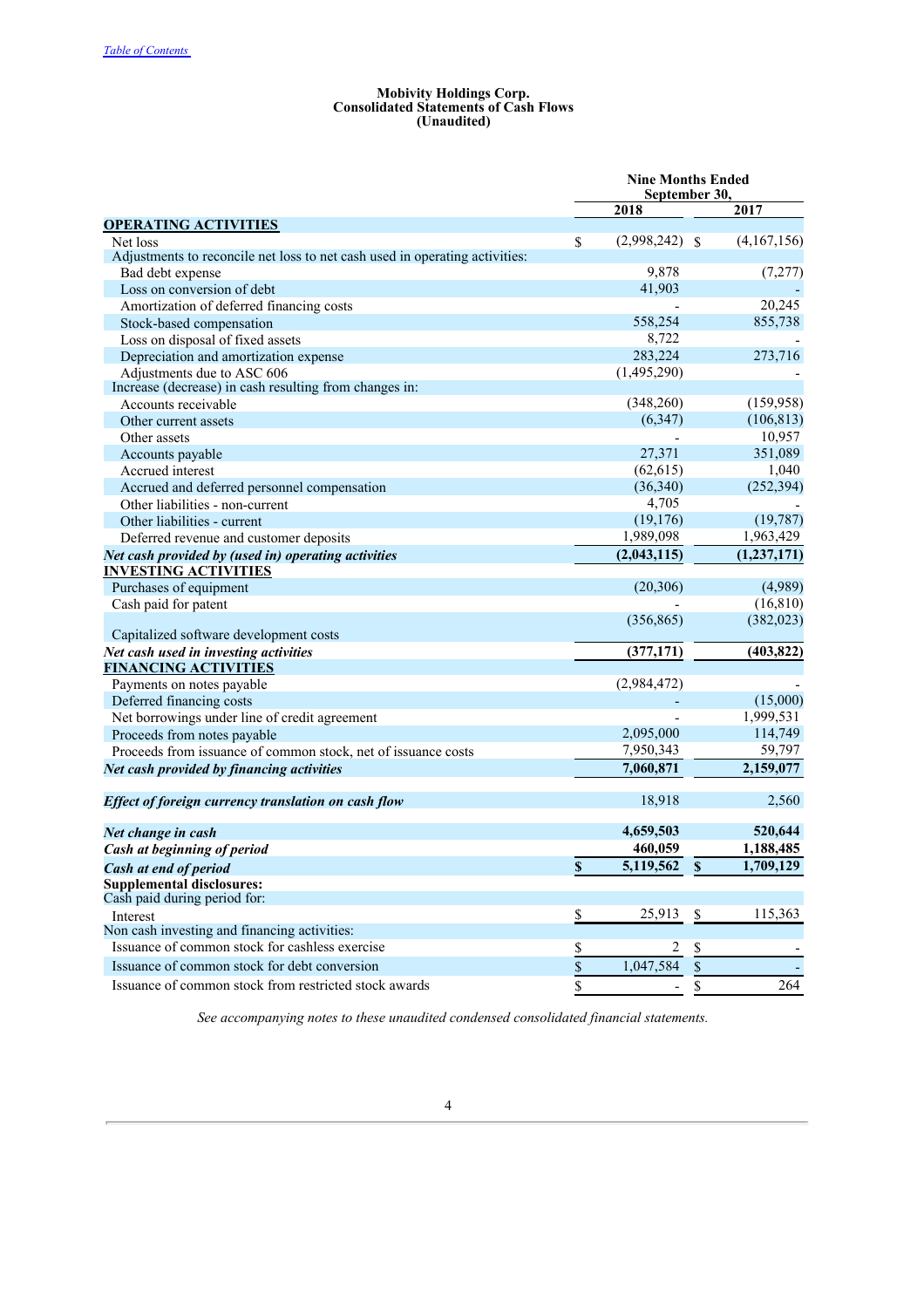#### **Mobivity Holdings Corp. Consolidated Statements of Cash Flows (Unaudited)**

|                                                                             |           | <b>Nine Months Ended</b><br>September 30, |             |               |
|-----------------------------------------------------------------------------|-----------|-------------------------------------------|-------------|---------------|
|                                                                             |           | 2018                                      |             | 2017          |
| <b>OPERATING ACTIVITIES</b>                                                 |           |                                           |             |               |
| Net loss                                                                    | \$        | $(2,998,242)$ \$                          |             | (4,167,156)   |
| Adjustments to reconcile net loss to net cash used in operating activities: |           |                                           |             |               |
| Bad debt expense                                                            |           | 9,878                                     |             | (7,277)       |
| Loss on conversion of debt                                                  |           | 41,903                                    |             |               |
| Amortization of deferred financing costs                                    |           |                                           |             | 20,245        |
| Stock-based compensation                                                    |           | 558,254                                   |             | 855,738       |
| Loss on disposal of fixed assets                                            |           | 8,722                                     |             |               |
| Depreciation and amortization expense                                       |           | 283,224                                   |             | 273,716       |
| Adjustments due to ASC 606                                                  |           | (1,495,290)                               |             |               |
| Increase (decrease) in cash resulting from changes in:                      |           |                                           |             |               |
| Accounts receivable                                                         |           | (348, 260)                                |             | (159, 958)    |
| Other current assets                                                        |           | (6, 347)                                  |             | (106, 813)    |
| Other assets                                                                |           |                                           |             | 10,957        |
| Accounts payable                                                            |           | 27,371                                    |             | 351,089       |
| Accrued interest                                                            |           | (62, 615)                                 |             | 1,040         |
| Accrued and deferred personnel compensation                                 |           | (36, 340)                                 |             | (252, 394)    |
| Other liabilities - non-current                                             |           | 4,705                                     |             |               |
| Other liabilities - current                                                 |           | (19, 176)                                 |             | (19, 787)     |
| Deferred revenue and customer deposits                                      |           | 1,989,098                                 |             | 1,963,429     |
| Net cash provided by (used in) operating activities                         |           | (2,043,115)                               |             | (1, 237, 171) |
| <b>INVESTING ACTIVITIES</b>                                                 |           |                                           |             |               |
| Purchases of equipment                                                      |           | (20, 306)                                 |             | (4,989)       |
| Cash paid for patent                                                        |           |                                           |             | (16, 810)     |
|                                                                             |           | (356, 865)                                |             | (382, 023)    |
| Capitalized software development costs                                      |           |                                           |             |               |
| Net cash used in investing activities                                       |           | (377, 171)                                |             | (403, 822)    |
| <b>FINANCING ACTIVITIES</b>                                                 |           |                                           |             |               |
| Payments on notes payable                                                   |           | (2,984,472)                               |             |               |
| Deferred financing costs                                                    |           |                                           |             | (15,000)      |
| Net borrowings under line of credit agreement                               |           |                                           |             | 1,999,531     |
| Proceeds from notes payable                                                 |           | 2,095,000                                 |             | 114,749       |
| Proceeds from issuance of common stock, net of issuance costs               |           | 7,950,343                                 |             | 59,797        |
| Net cash provided by financing activities                                   |           | 7,060,871                                 |             | 2,159,077     |
|                                                                             |           |                                           |             |               |
| Effect of foreign currency translation on cash flow                         |           | 18,918                                    |             | 2,560         |
|                                                                             |           |                                           |             |               |
| Net change in cash                                                          |           | 4,659,503                                 |             | 520,644       |
| Cash at beginning of period                                                 |           | 460,059                                   |             | 1,188,485     |
| Cash at end of period                                                       | \$        | 5,119,562                                 | $\mathbf S$ | 1,709,129     |
| <b>Supplemental disclosures:</b>                                            |           |                                           |             |               |
| Cash paid during period for:                                                |           |                                           |             |               |
| Interest                                                                    | \$        | 25,913                                    | \$          | 115,363       |
| Non cash investing and financing activities:                                |           |                                           |             |               |
| Issuance of common stock for cashless exercise                              | <u>\$</u> | 2                                         | <u>\$</u>   |               |
| Issuance of common stock for debt conversion                                |           | 1,047,584                                 |             |               |
|                                                                             | \$        |                                           | $\$$        |               |
| Issuance of common stock from restricted stock awards                       | \$        |                                           | \$          | 264           |

*See accompanying notes to these unaudited condensed consolidated financial statements.*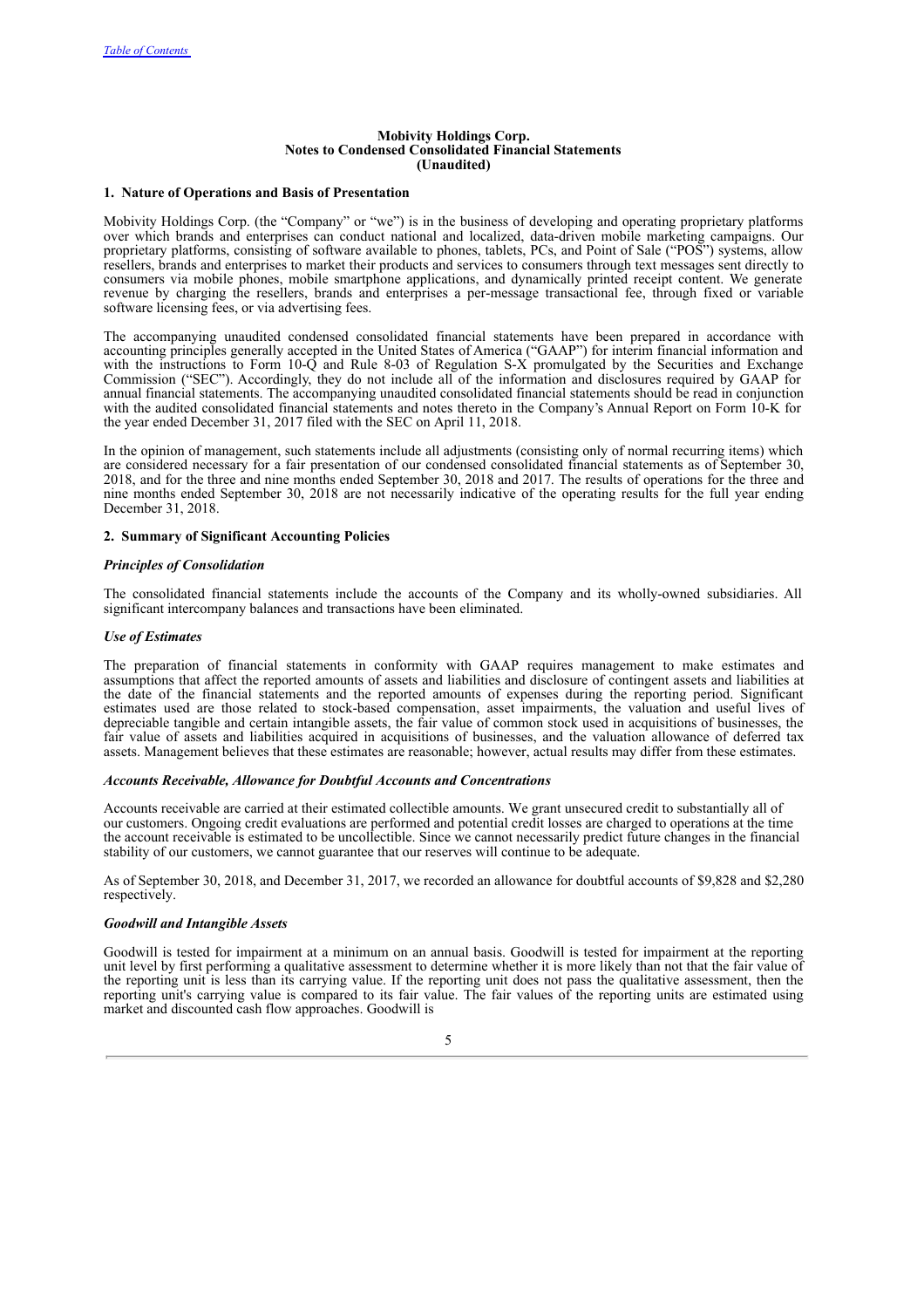#### **Mobivity Holdings Corp. Notes to Condensed Consolidated Financial Statements (Unaudited)**

# **1. Nature of Operations and Basis of Presentation**

Mobivity Holdings Corp. (the "Company" or "we") is in the business of developing and operating proprietary platforms over which brands and enterprises can conduct national and localized, data-driven mobile marketing campaigns. Our proprietary platforms, consisting of software available to phones, tablets, PCs, and Point of Sale ("POS") systems, allow resellers, brands and enterprises to market their products and services to consumers through text messages sent directly to consumers via mobile phones, mobile smartphone applications, and dynamically printed receipt content. We generate revenue by charging the resellers, brands and enterprises a per-message transactional fee, through fixed or variable software licensing fees, or via advertising fees.

The accompanying unaudited condensed consolidated financial statements have been prepared in accordance with accounting principles generally accepted in the United States of America ("GAAP") for interim financial information and with the instructions to Form 10- $\dot{Q}$  and Rule 8-03 of Regulation S-X promulgated by the Securities and Exchange Commission ("SEC"). Accordingly, they do not include all of the information and disclosures required by GAAP for annual financial statements. The accompanying unaudited consolidated financial statements should be read in conjunction with the audited consolidated financial statements and notes thereto in the Company's Annual Report on Form 10-K for the year ended December 31, 2017 filed with the SEC on April 11, 2018.

In the opinion of management, such statements include all adjustments (consisting only of normal recurring items) which are considered necessary for a fair presentation of our condensed consolidated financial statements as of September 30, 2018, and for the three and nine months ended September 30, 2018 and 2017. The results of operations for the three and nine months ended September 30, 2018 are not necessarily indicative of the operating results for the full year ending December 31, 2018.

# **2. Summary of Significant Accounting Policies**

#### *Principles of Consolidation*

The consolidated financial statements include the accounts of the Company and its wholly-owned subsidiaries. All significant intercompany balances and transactions have been eliminated.

# *Use of Estimates*

The preparation of financial statements in conformity with GAAP requires management to make estimates and assumptions that affect the reported amounts of assets and liabilities and disclosure of contingent assets and liabilities at the date of the financial statements and the reported amounts of expenses during the reporting period. Significant estimates used are those related to stock-based compensation, asset impairments, the valuation and useful lives of depreciable tangible and certain intangible assets, the fair value of common stock used in acquisitions of businesses, the fair value of assets and liabilities acquired in acquisitions of businesses, and the valuation allowance of deferred tax assets. Management believes that these estimates are reasonable; however, actual results may differ from these estimates.

#### *Accounts Receivable, Allowance for Doubtful Accounts and Concentrations*

Accounts receivable are carried at their estimated collectible amounts. We grant unsecured credit to substantially all of our customers. Ongoing credit evaluations are performed and potential credit losses are charged to operations at the time the account receivable is estimated to be uncollectible. Since we cannot necessarily predict future changes in the financial stability of our customers, we cannot guarantee that our reserves will continue to be adequate.

As of September 30, 2018, and December 31, 2017, we recorded an allowance for doubtful accounts of \$9,828 and \$2,280 respectively.

# *Goodwill and Intangible Assets*

Goodwill is tested for impairment at a minimum on an annual basis. Goodwill is tested for impairment at the reporting unit level by first performing a qualitative assessment to determine whether it is more likely than not that the fair value of the reporting unit is less than its carrying value. If the reporting unit does not pass the qualitative assessment, then the reporting unit's carrying value is compared to its fair value. The fair values of the reporting units are estimated using market and discounted cash flow approaches. Goodwill is

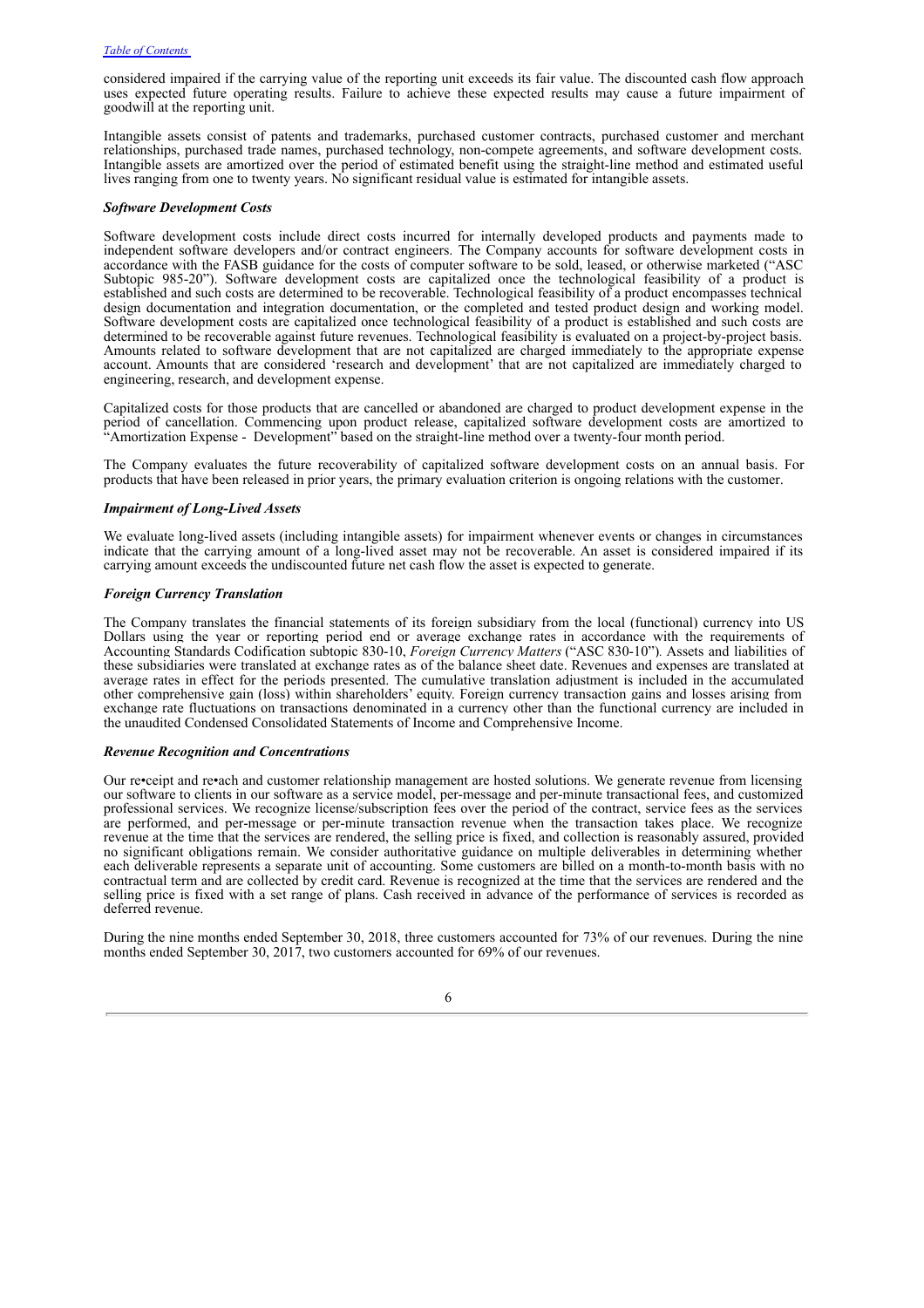considered impaired if the carrying value of the reporting unit exceeds its fair value. The discounted cash flow approach uses expected future operating results. Failure to achieve these expected results may cause a future impairment of goodwill at the reporting unit.

Intangible assets consist of patents and trademarks, purchased customer contracts, purchased customer and merchant relationships, purchased trade names, purchased technology, non-compete agreements, and software development costs. Intangible assets are amortized over the period of estimated benefit using the straight-line method and estimated useful lives ranging from one to twenty years. No significant residual value is estimated for intangible assets.

### *Software Development Costs*

Software development costs include direct costs incurred for internally developed products and payments made to independent software developers and/or contract engineers. The Company accounts for software development costs in accordance with the FASB guidance for the costs of computer software to be sold, leased, or otherwise marketed ("ASC Subtopic 985-20"). Software development costs are capitalized once the technological feasibility of a product is established and such costs are determined to be recoverable. Technological feasibility of a product encompasses technical design documentation and integration documentation, or the completed and tested product design and working model. Software development costs are capitalized once technological feasibility of a product is established and such costs are determined to be recoverable against future revenues. Technological feasibility is evaluated on a project-by-project basis. Amounts related to software development that are not capitalized are charged immediately to the appropriate expense account. Amounts that are considered 'research and development' that are not capitalized are immediately charged to engineering, research, and development expense.

Capitalized costs for those products that are cancelled or abandoned are charged to product development expense in the period of cancellation. Commencing upon product release, capitalized software development costs are amortized to "Amortization Expense - Development" based on the straight-line method over a twenty-four month period.

The Company evaluates the future recoverability of capitalized software development costs on an annual basis. For products that have been released in prior years, the primary evaluation criterion is ongoing relations with the customer.

#### *Impairment of Long-Lived Assets*

We evaluate long-lived assets (including intangible assets) for impairment whenever events or changes in circumstances indicate that the carrying amount of a long-lived asset may not be recoverable. An asset is considered impaired if its carrying amount exceeds the undiscounted future net cash flow the asset is expected to generate.

#### *Foreign Currency Translation*

The Company translates the financial statements of its foreign subsidiary from the local (functional) currency into US Dollars using the year or reporting period end or average exchange rates in accordance with the requirements of Accounting Standards Codification subtopic 830-10, *Foreign Currency Matters* ("ASC 830-10")*.* Assets and liabilities of these subsidiaries were translated at exchange rates as of the balance sheet date. Revenues and expenses are translated at average rates in effect for the periods presented. The cumulative translation adjustment is included in the accumulated other comprehensive gain (loss) within shareholders' equity. Foreign currency transaction gains and losses arising from exchange rate fluctuations on transactions denominated in a currency other than the functional currency are included in the unaudited Condensed Consolidated Statements of Income and Comprehensive Income.

#### *Revenue Recognition and Concentrations*

Our re•ceipt and re•ach and customer relationship management are hosted solutions. We generate revenue from licensing our software to clients in our software as a service model, per-message and per-minute transactional fees, and customized professional services. We recognize license/subscription fees over the period of the contract, service fees as the services are performed, and per-message or per-minute transaction revenue when the transaction takes place. We recognize revenue at the time that the services are rendered, the selling price is fixed, and collection is reasonably assured, provided no significant obligations remain. We consider authoritative guidance on multiple deliverables in determining whether each deliverable represents a separate unit of accounting. Some customers are billed on a month-to-month basis with no contractual term and are collected by credit card. Revenue is recognized at the time that the services are rendered and the selling price is fixed with a set range of plans. Cash received in advance of the performance of services is recorded as deferred revenue.

During the nine months ended September 30, 2018, three customers accounted for 73% of our revenues. During the nine months ended September 30, 2017, two customers accounted for 69% of our revenues.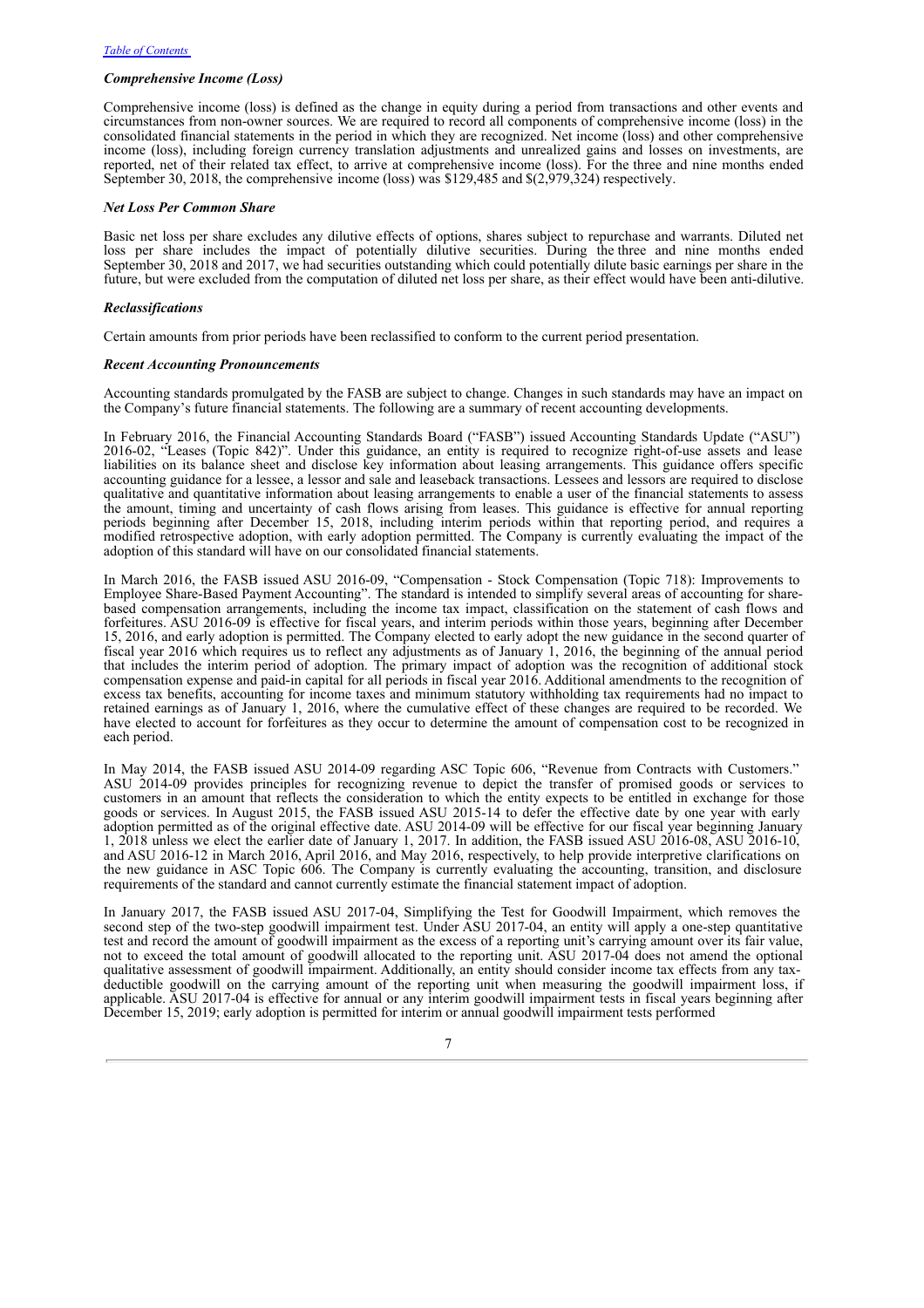# *Comprehensive Income (Loss)*

Comprehensive income (loss) is defined as the change in equity during a period from transactions and other events and circumstances from non-owner sources. We are required to record all components of comprehensive income (loss) in the consolidated financial statements in the period in which they are recognized. Net income (loss) and other comprehensive income (loss), including foreign currency translation adjustments and unrealized gains and losses on investments, are reported, net of their related tax effect, to arrive at comprehensive income (loss). For the three and nine months ended September 30, 2018, the comprehensive income (loss) was \$129,485 and \$(2,979,324) respectively.

#### *Net Loss Per Common Share*

Basic net loss per share excludes any dilutive effects of options, shares subject to repurchase and warrants. Diluted net loss per share includes the impact of potentially dilutive securities. During the three and nine months ended September 30, 2018 and 2017, we had securities outstanding which could potentially dilute basic earnings per share in the future, but were excluded from the computation of diluted net loss per share, as their effect would have been anti-dilutive.

#### *Reclassifications*

Certain amounts from prior periods have been reclassified to conform to the current period presentation.

#### *Recent Accounting Pronouncements*

Accounting standards promulgated by the FASB are subject to change. Changes in such standards may have an impact on the Company's future financial statements. The following are a summary of recent accounting developments.

In February 2016, the Financial Accounting Standards Board ("FASB") issued Accounting Standards Update ("ASU") 2016-02, "Leases (Topic 842)". Under this guidance, an entity is required to recognize right-of-use assets and lease liabilities on its balance sheet and disclose key information about leasing arrangements. This guidance offers specific accounting guidance for a lessee, a lessor and sale and leaseback transactions. Lessees and lessors are required to disclose qualitative and quantitative information about leasing arrangements to enable a user of the financial statements to assess the amount, timing and uncertainty of cash flows arising from leases. This guidance is effective for annual reporting periods beginning after December 15, 2018, including interim periods within that reporting period, and requires a modified retrospective adoption, with early adoption permitted. The Company is currently evaluating the impact of the adoption of this standard will have on our consolidated financial statements.

In March 2016, the FASB issued ASU 2016-09, "Compensation - Stock Compensation (Topic 718): Improvements to Employee Share-Based Payment Accounting". The standard is intended to simplify several areas of accounting for sharebased compensation arrangements, including the income tax impact, classification on the statement of cash flows and forfeitures. ASU 2016-09 is effective for fiscal years, and interim periods within those years, beginning after December 15, 2016, and early adoption is permitted. The Company elected to early adopt the new guidance in the second quarter of fiscal year 2016 which requires us to reflect any adjustments as of January 1, 2016, the beginning of the annual period that includes the interim period of adoption. The primary impact of adoption was the recognition of additional stock compensation expense and paid-in capital for all periods in fiscal year 2016. Additional amendments to the recognition of excess tax benefits, accounting for income taxes and minimum statutory withholding tax requirements had no impact to retained earnings as of January 1, 2016, where the cumulative effect of these changes are required to be recorded. We have elected to account for forfeitures as they occur to determine the amount of compensation cost to be recognized in each period.

In May 2014, the FASB issued ASU 2014-09 regarding ASC Topic 606, "Revenue from Contracts with Customers." ASU 2014-09 provides principles for recognizing revenue to depict the transfer of promised goods or services to customers in an amount that reflects the consideration to which the entity expects to be entitled in exchange for those goods or services. In August 2015, the FASB issued ASU 2015-14 to defer the effective date by one year with early adoption permitted as of the original effective date. ASU 2014-09 will be effective for our fiscal year beginning January 1, 2018 unless we elect the earlier date of January 1, 2017. In addition, the FASB issued ASU 2016-08, ASU 2016-10, and ASU 2016-12 in March 2016, April 2016, and May 2016, respectively, to help provide interpretive clarifications on the new guidance in ASC Topic 606. The Company is currently evaluating the accounting, transition, and disclosure requirements of the standard and cannot currently estimate the financial statement impact of adoption.

In January 2017, the FASB issued ASU 2017-04, Simplifying the Test for Goodwill Impairment, which removes the second step of the two-step goodwill impairment test. Under ASU 2017-04, an entity will apply a one-step quantitative test and record the amount of goodwill impairment as the excess of a reporting unit's carrying amount over its fair value, not to exceed the total amount of goodwill allocated to the reporting unit. ASU 2017-04 does not amend the optional qualitative assessment of goodwill impairment. Additionally, an entity should consider income tax effects from any taxdeductible goodwill on the carrying amount of the reporting unit when measuring the goodwill impairment loss, if applicable. ASU 2017-04 is effective for annual or any interim goodwill impairment tests in fiscal years beginning after December 15, 2019; early adoption is permitted for interim or annual goodwill impairment tests performed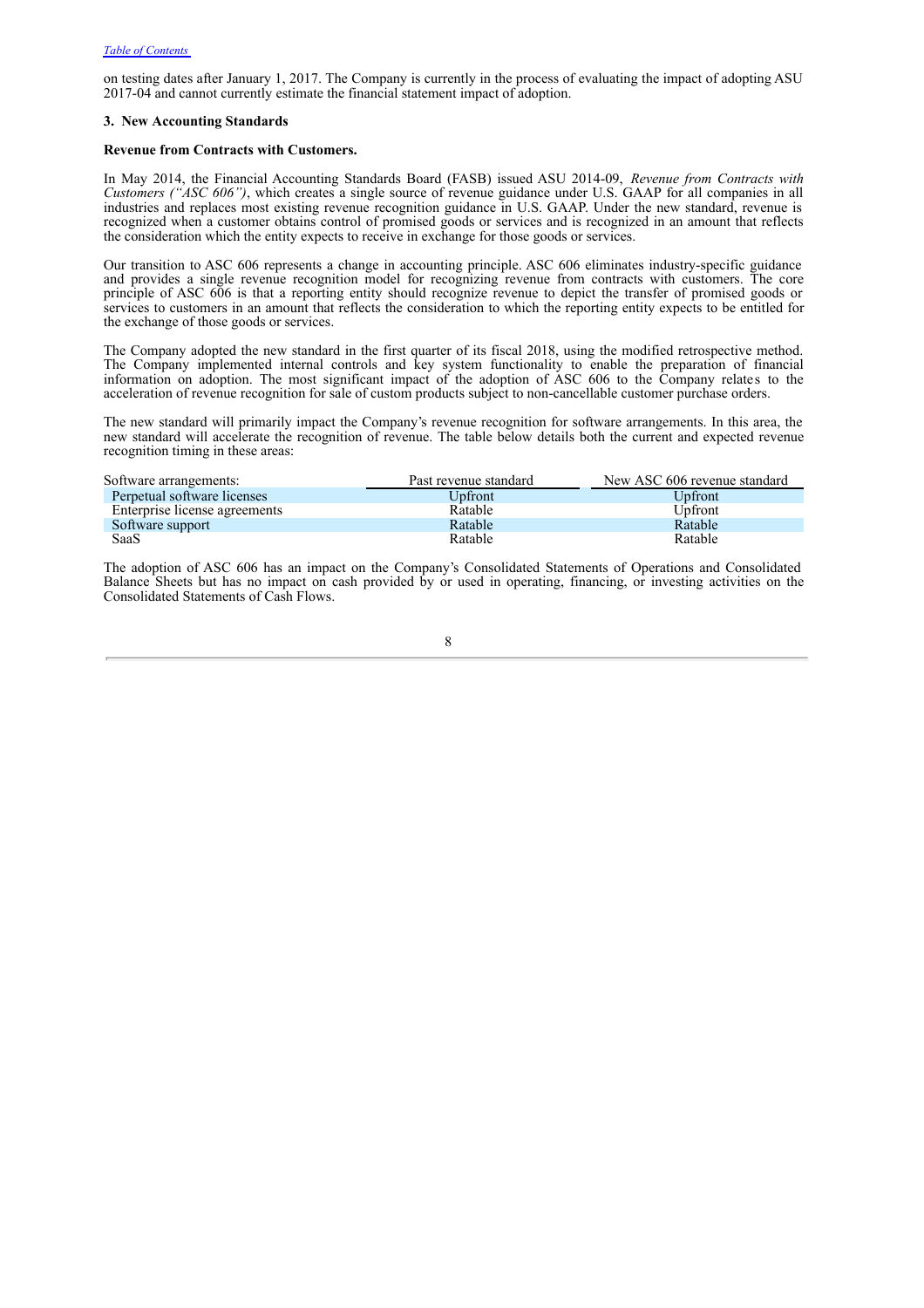on testing dates after January 1, 2017. The Company is currently in the process of evaluating the impact of adopting ASU 2017-04 and cannot currently estimate the financial statement impact of adoption.

## **3. New Accounting Standards**

#### **Revenue from Contracts with Customers.**

In May 2014, the Financial Accounting Standards Board (FASB) issued ASU 2014-09, *Revenue from Contracts with Customers ("ASC 606")*, which creates a single source of revenue guidance under U.S. GAAP for all companies in all industries and replaces most existing revenue recognition guidance in U.S. GAAP. Under the new standard, revenue is recognized when a customer obtains control of promised goods or services and is recognized in an amount that reflects the consideration which the entity expects to receive in exchange for those goods or services.

Our transition to ASC 606 represents a change in accounting principle. ASC 606 eliminates industry-specific guidance and provides a single revenue recognition model for recognizing revenue from contracts with customers. The core principle of ASC 606 is that a reporting entity should recognize revenue to depict the transfer of promised goods or services to customers in an amount that reflects the consideration to which the reporting entity expects to be entitled for the exchange of those goods or services.

The Company adopted the new standard in the first quarter of its fiscal 2018, using the modified retrospective method. The Company implemented internal controls and key system functionality to enable the preparation of financial information on adoption. The most significant impact of the adoption of ASC 606 to the Company relates to the acceleration of revenue recognition for sale of custom products subject to non-cancellable customer purchase orders.

The new standard will primarily impact the Company's revenue recognition for software arrangements. In this area, the new standard will accelerate the recognition of revenue. The table below details both the current and expected revenue recognition timing in these areas:

| Software arrangements:        | Past revenue standard | New ASC 606 revenue standard |
|-------------------------------|-----------------------|------------------------------|
| Perpetual software licenses   | Upfront               | Upfront                      |
| Enterprise license agreements | Ratable               | Upfront                      |
| Software support              | Ratable               | Ratable                      |
| SaaS                          | Ratable               | Ratable                      |

The adoption of ASC 606 has an impact on the Company's Consolidated Statements of Operations and Consolidated Balance Sheets but has no impact on cash provided by or used in operating, financing, or investing activities on the Consolidated Statements of Cash Flows.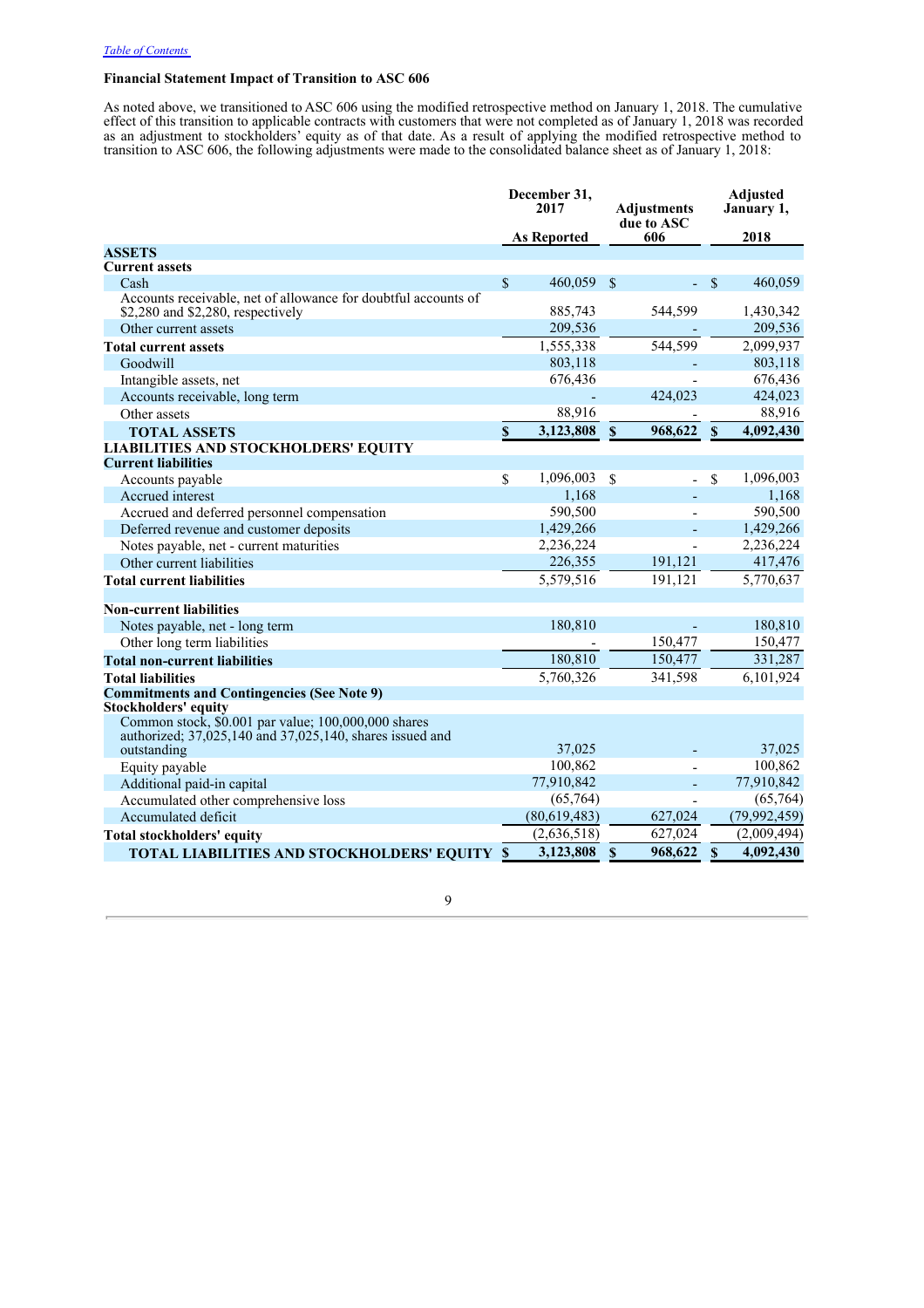# **Financial Statement Impact of Transition to ASC 606**

As noted above, we transitioned to ASC 606 using the modified retrospective method on January 1, 2018. The cumulative effect of this transition to applicable contracts with customers that were not completed as of January 1, 2018 was recorded as an adjustment to stockholders' equity as of that date. As a result of applying the modified retrospective method to transition to ASC 606, the following adjustments were made to the consolidated balance sheet as of January 1, 2018:

|                                                                                    | December 31,<br>2017<br><b>Adjustments</b><br>due to ASC |                |                           | <b>Adjusted</b><br>January 1, |               |                |
|------------------------------------------------------------------------------------|----------------------------------------------------------|----------------|---------------------------|-------------------------------|---------------|----------------|
|                                                                                    | <b>As Reported</b>                                       |                |                           | 606                           |               | 2018           |
| <b>ASSETS</b>                                                                      |                                                          |                |                           |                               |               |                |
| <b>Current assets</b>                                                              |                                                          |                |                           |                               |               |                |
| Cash                                                                               | $\mathbb{S}$                                             | 460,059        | $\mathcal{S}$             |                               | $\mathcal{S}$ | 460,059        |
| Accounts receivable, net of allowance for doubtful accounts of                     |                                                          | 885,743        |                           | 544,599                       |               | 1,430,342      |
| \$2,280 and \$2,280, respectively<br>Other current assets                          |                                                          | 209,536        |                           |                               |               | 209,536        |
| <b>Total current assets</b>                                                        |                                                          | 1,555,338      |                           | 544,599                       |               | 2,099,937      |
| Goodwill                                                                           |                                                          | 803,118        |                           |                               |               | 803,118        |
| Intangible assets, net                                                             |                                                          | 676,436        |                           |                               |               | 676,436        |
| Accounts receivable, long term                                                     |                                                          |                |                           | 424,023                       |               | 424,023        |
| Other assets                                                                       |                                                          | 88,916         |                           |                               |               | 88,916         |
| <b>TOTAL ASSETS</b>                                                                | \$                                                       | 3,123,808      | $\mathbf S$               | 968,622                       | $\mathbf S$   | 4,092,430      |
| <b>LIABILITIES AND STOCKHOLDERS' EQUITY</b>                                        |                                                          |                |                           |                               |               |                |
| <b>Current liabilities</b>                                                         |                                                          |                |                           |                               |               |                |
| Accounts payable                                                                   | \$                                                       | 1,096,003      | S                         | $\overline{\phantom{0}}$      | $\mathbf S$   | 1,096,003      |
| Accrued interest                                                                   |                                                          | 1,168          |                           |                               |               | 1,168          |
| Accrued and deferred personnel compensation                                        |                                                          | 590,500        |                           |                               |               | 590,500        |
| Deferred revenue and customer deposits                                             |                                                          | 1,429,266      |                           |                               |               | 1,429,266      |
| Notes payable, net - current maturities                                            |                                                          | 2,236,224      |                           |                               |               | 2,236,224      |
| Other current liabilities                                                          |                                                          | 226,355        |                           | 191,121                       |               | 417,476        |
| <b>Total current liabilities</b>                                                   |                                                          | 5,579,516      |                           | 191,121                       |               | 5,770,637      |
|                                                                                    |                                                          |                |                           |                               |               |                |
| <b>Non-current liabilities</b>                                                     |                                                          |                |                           |                               |               |                |
| Notes payable, net - long term                                                     |                                                          | 180,810        |                           |                               |               | 180,810        |
| Other long term liabilities                                                        |                                                          |                |                           | 150,477                       |               | 150,477        |
| <b>Total non-current liabilities</b>                                               |                                                          | 180,810        |                           | 150,477                       |               | 331,287        |
| <b>Total liabilities</b>                                                           |                                                          | 5,760,326      |                           | 341,598                       |               | 6,101,924      |
| <b>Commitments and Contingencies (See Note 9)</b>                                  |                                                          |                |                           |                               |               |                |
| <b>Stockholders' equity</b><br>Common stock, \$0.001 par value; 100,000,000 shares |                                                          |                |                           |                               |               |                |
| authorized; 37,025,140 and 37,025,140, shares issued and                           |                                                          |                |                           |                               |               |                |
| outstanding                                                                        |                                                          | 37,025         |                           |                               |               | 37,025         |
| Equity payable                                                                     |                                                          | 100,862        |                           |                               |               | 100,862        |
| Additional paid-in capital                                                         |                                                          | 77,910,842     |                           |                               |               | 77,910,842     |
| Accumulated other comprehensive loss                                               |                                                          | (65,764)       |                           |                               |               | (65, 764)      |
| Accumulated deficit                                                                |                                                          | (80, 619, 483) |                           | 627,024                       |               | (79, 992, 459) |
| Total stockholders' equity                                                         |                                                          | (2,636,518)    |                           | 627,024                       |               | (2,009,494)    |
| <b>TOTAL LIABILITIES AND STOCKHOLDERS' EQUITY \$</b>                               |                                                          | 3,123,808      | $\boldsymbol{\mathsf{s}}$ | 968,622                       | $\mathbf S$   | 4,092,430      |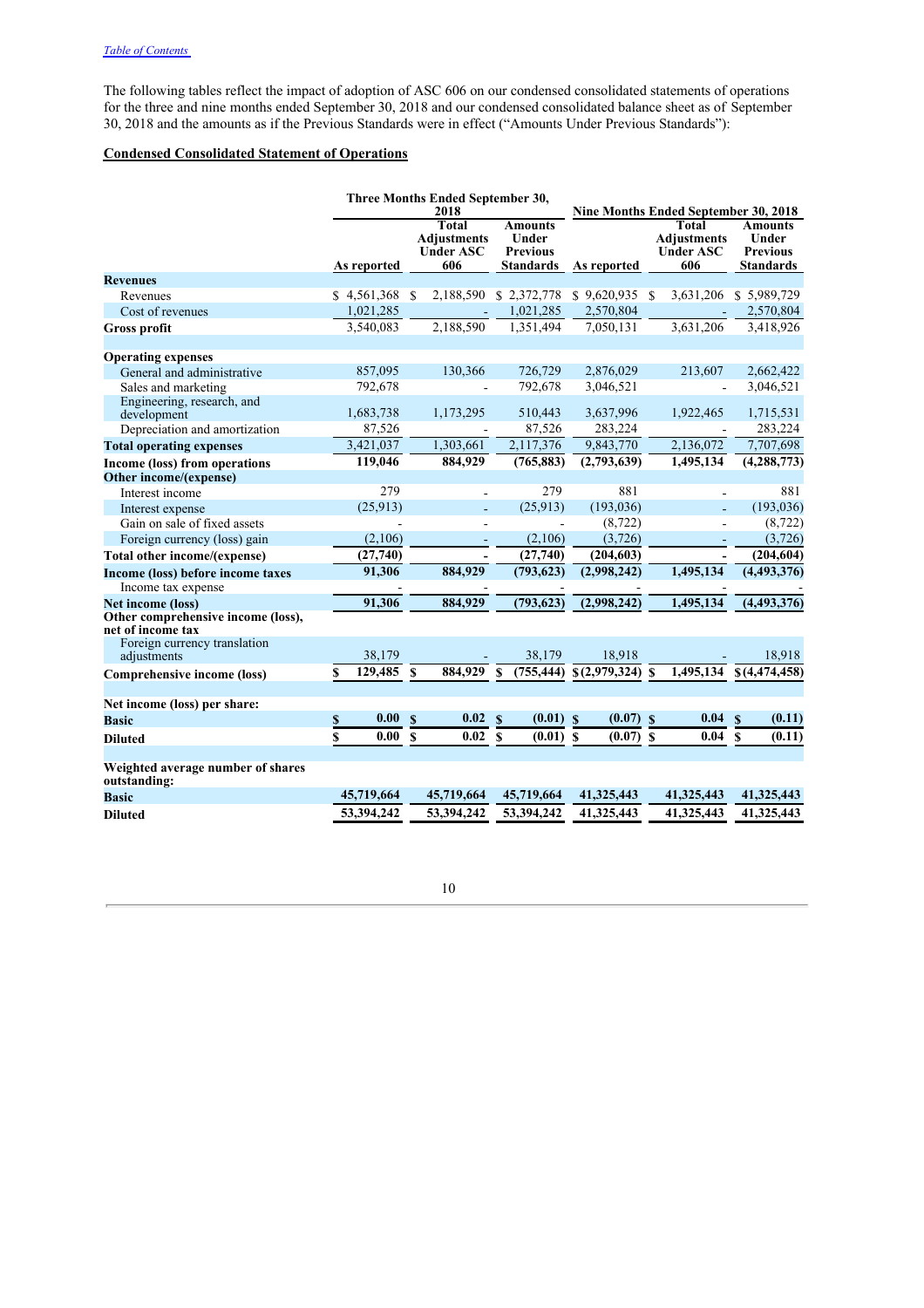The following tables reflect the impact of adoption of ASC 606 on our condensed consolidated statements of operations for the three and nine months ended September 30, 2018 and our condensed consolidated balance sheet as of September 30, 2018 and the amounts as if the Previous Standards were in effect ("Amounts Under Previous Standards"):

# **Condensed Consolidated Statement of Operations**

|                                                         |             |               | Three Months Ended September 30,<br>2018                      |                                                                | Nine Months Ended September 30, 2018 |    |                                                        |                                                                |  |  |
|---------------------------------------------------------|-------------|---------------|---------------------------------------------------------------|----------------------------------------------------------------|--------------------------------------|----|--------------------------------------------------------|----------------------------------------------------------------|--|--|
|                                                         | As reported |               | <b>Total</b><br><b>Adjustments</b><br><b>Under ASC</b><br>606 | <b>Amounts</b><br>Under<br><b>Previous</b><br><b>Standards</b> | As reported                          |    | Total<br><b>Adjustments</b><br><b>Under ASC</b><br>606 | <b>Amounts</b><br>Under<br><b>Previous</b><br><b>Standards</b> |  |  |
| <b>Revenues</b>                                         |             |               |                                                               |                                                                |                                      |    |                                                        |                                                                |  |  |
| Revenues                                                | \$4,561,368 | $\mathcal{S}$ | 2,188,590                                                     | \$2,372,778                                                    | \$9,620,935                          | -S | 3,631,206                                              | \$5,989,729                                                    |  |  |
| Cost of revenues                                        | 1,021,285   |               |                                                               | 1,021,285                                                      | 2,570,804                            |    |                                                        | 2,570,804                                                      |  |  |
| <b>Gross profit</b>                                     | 3.540.083   |               | 2.188.590                                                     | 1.351.494                                                      | 7.050.131                            |    | 3,631,206                                              | 3,418,926                                                      |  |  |
| <b>Operating expenses</b>                               |             |               |                                                               |                                                                |                                      |    |                                                        |                                                                |  |  |
| General and administrative                              | 857,095     |               | 130,366                                                       | 726,729                                                        | 2,876,029                            |    | 213,607                                                | 2,662,422                                                      |  |  |
| Sales and marketing                                     | 792,678     |               |                                                               | 792,678                                                        | 3,046,521                            |    | $\sim$                                                 | 3,046,521                                                      |  |  |
| Engineering, research, and                              |             |               |                                                               |                                                                |                                      |    |                                                        |                                                                |  |  |
| development                                             | 1,683,738   |               | 1,173,295                                                     | 510,443                                                        | 3,637,996                            |    | 1,922,465                                              | 1,715,531                                                      |  |  |
| Depreciation and amortization                           | 87,526      |               |                                                               | 87,526                                                         | 283,224                              |    |                                                        | 283,224                                                        |  |  |
| <b>Total operating expenses</b>                         | 3,421,037   |               | 1,303,661                                                     | $\overline{2,117,376}$                                         | 9,843,770                            |    | 2,136,072                                              | 7,707,698                                                      |  |  |
| Income (loss) from operations                           | 119,046     |               | 884,929                                                       | (765, 883)                                                     | (2,793,639)                          |    | 1,495,134                                              | (4, 288, 773)                                                  |  |  |
| Other income/(expense)                                  |             |               |                                                               |                                                                |                                      |    |                                                        |                                                                |  |  |
| Interest income                                         | 279         |               |                                                               | 279                                                            | 881                                  |    |                                                        | 881                                                            |  |  |
| Interest expense                                        | (25, 913)   |               |                                                               | (25, 913)                                                      | (193, 036)                           |    |                                                        | (193, 036)                                                     |  |  |
| Gain on sale of fixed assets                            |             |               |                                                               |                                                                | (8, 722)                             |    |                                                        | (8, 722)                                                       |  |  |
| Foreign currency (loss) gain                            | (2,106)     |               |                                                               | (2,106)                                                        | (3,726)                              |    |                                                        | (3, 726)                                                       |  |  |
| Total other income/(expense)                            | (27,740)    |               |                                                               | (27,740)                                                       | (204, 603)                           |    |                                                        | (204, 604)                                                     |  |  |
| Income (loss) before income taxes                       | 91,306      |               | 884,929                                                       | (793, 623)                                                     | (2,998,242)                          |    | 1,495,134                                              | (4,493,376)                                                    |  |  |
| Income tax expense                                      | 91,306      |               |                                                               |                                                                |                                      |    |                                                        |                                                                |  |  |
| Net income (loss)<br>Other comprehensive income (loss), |             |               | 884,929                                                       | (793, 623)                                                     | (2,998,242)                          |    | 1,495,134                                              | (4,493,376)                                                    |  |  |
| net of income tax<br>Foreign currency translation       | 38,179      |               |                                                               | 38,179                                                         | 18,918                               |    |                                                        | 18,918                                                         |  |  |
| adjustments                                             | 129,485     |               | 884,929                                                       | (755, 444)                                                     | $$(2,979,324)$ \$                    |    | 1.495.134                                              | \$(4,474,458)                                                  |  |  |
| Comprehensive income (loss)                             |             | S             |                                                               | S                                                              |                                      |    |                                                        |                                                                |  |  |
| Net income (loss) per share:                            |             |               |                                                               |                                                                |                                      |    |                                                        |                                                                |  |  |
| <b>Basic</b>                                            | 0.00<br>\$  | $\mathbf S$   | 0.02                                                          | (0.01)<br>\$                                                   | $(0.07)$ \$<br>$\mathbf{s}$          |    | 0.04                                                   | (0.11)<br>$\mathbf{s}$                                         |  |  |
| <b>Diluted</b>                                          | 0.00<br>\$  | $\mathbf S$   | 0.02                                                          | $(0.01)$ \$<br>$\mathbf S$                                     | $(0.07)$ \$                          |    | 0.04                                                   | (0.11)<br>$\mathbf{s}$                                         |  |  |
| Weighted average number of shares<br>outstanding:       |             |               |                                                               |                                                                |                                      |    |                                                        |                                                                |  |  |
| <b>Basic</b>                                            | 45,719,664  |               | 45,719,664                                                    | 45,719,664                                                     | 41,325,443                           |    | 41,325,443                                             | 41,325,443                                                     |  |  |
| <b>Diluted</b>                                          | 53,394,242  |               | 53,394,242                                                    | 53,394,242                                                     | 41,325,443                           |    | 41,325,443                                             | 41,325,443                                                     |  |  |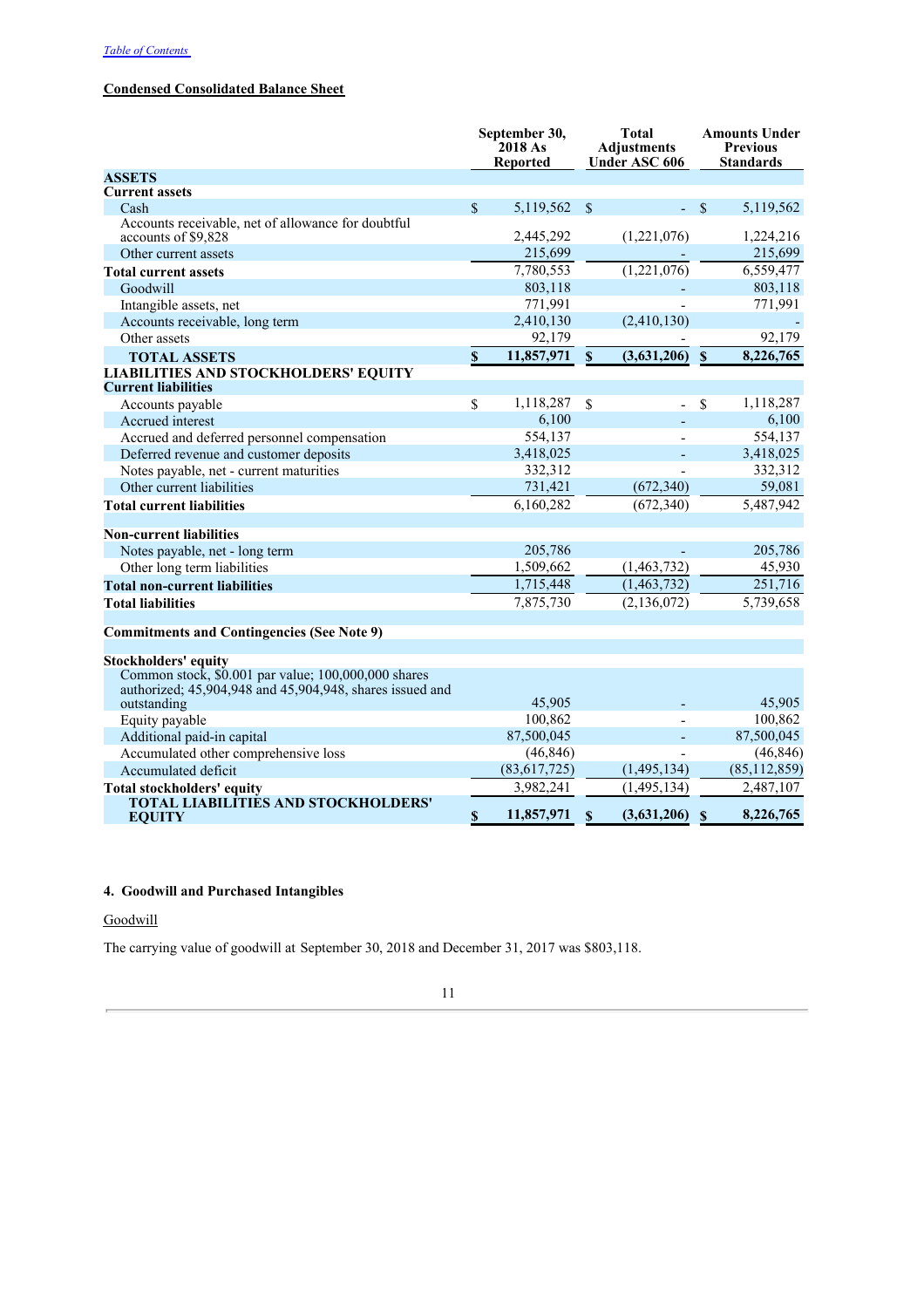# **Condensed Consolidated Balance Sheet**

|                                                                                                                 | September 30,<br>2018 As<br><b>Reported</b> |              | <b>Total</b><br><b>Adjustments</b><br>Under ASC 606 |               |              | <b>Amounts Under</b><br><b>Previous</b><br><b>Standards</b> |
|-----------------------------------------------------------------------------------------------------------------|---------------------------------------------|--------------|-----------------------------------------------------|---------------|--------------|-------------------------------------------------------------|
| <b>ASSETS</b>                                                                                                   |                                             |              |                                                     |               |              |                                                             |
| <b>Current assets</b>                                                                                           |                                             |              |                                                     |               |              |                                                             |
| Cash                                                                                                            | $\mathbb{S}$                                | 5,119,562    | $\mathbf{\hat{s}}$                                  |               | $\mathbf S$  | 5,119,562                                                   |
| Accounts receivable, net of allowance for doubtful<br>accounts of \$9,828                                       |                                             | 2,445,292    |                                                     | (1,221,076)   |              | 1,224,216                                                   |
| Other current assets                                                                                            |                                             | 215,699      |                                                     |               |              | 215,699                                                     |
| <b>Total current assets</b>                                                                                     |                                             | 7,780,553    |                                                     | (1,221,076)   |              | 6,559,477                                                   |
| Goodwill                                                                                                        |                                             | 803,118      |                                                     |               |              | 803,118                                                     |
| Intangible assets, net                                                                                          |                                             | 771,991      |                                                     |               |              | 771,991                                                     |
| Accounts receivable, long term                                                                                  |                                             | 2,410,130    |                                                     | (2,410,130)   |              |                                                             |
| Other assets                                                                                                    |                                             | 92,179       |                                                     |               |              | 92,179                                                      |
| <b>TOTAL ASSETS</b>                                                                                             | $\mathbf S$                                 | 11,857,971   | $\mathbf S$                                         | (3,631,206)   | $\mathbf S$  | 8,226,765                                                   |
| <b>LIABILITIES AND STOCKHOLDERS' EQUITY</b>                                                                     |                                             |              |                                                     |               |              |                                                             |
| <b>Current liabilities</b>                                                                                      |                                             |              |                                                     |               |              |                                                             |
| Accounts payable                                                                                                | \$                                          | 1,118,287    | $\mathcal{S}$                                       |               | \$           | 1,118,287                                                   |
| Accrued interest                                                                                                |                                             | 6,100        |                                                     |               |              | 6,100                                                       |
| Accrued and deferred personnel compensation                                                                     |                                             | 554,137      |                                                     |               |              | 554,137                                                     |
| Deferred revenue and customer deposits                                                                          |                                             | 3,418,025    |                                                     |               |              | 3,418,025                                                   |
| Notes payable, net - current maturities                                                                         |                                             | 332,312      |                                                     |               |              | 332,312                                                     |
| Other current liabilities                                                                                       |                                             | 731,421      |                                                     | (672, 340)    |              | 59,081                                                      |
| <b>Total current liabilities</b>                                                                                |                                             | 6,160,282    |                                                     | (672, 340)    |              | 5,487,942                                                   |
| <b>Non-current liabilities</b>                                                                                  |                                             |              |                                                     |               |              |                                                             |
| Notes payable, net - long term                                                                                  |                                             | 205,786      |                                                     |               |              | 205,786                                                     |
| Other long term liabilities                                                                                     |                                             | 1,509,662    |                                                     | (1,463,732)   |              | 45,930                                                      |
| <b>Total non-current liabilities</b>                                                                            |                                             | 1,715,448    |                                                     | (1,463,732)   |              | 251,716                                                     |
| <b>Total liabilities</b>                                                                                        |                                             | 7,875,730    |                                                     | (2, 136, 072) |              | 5,739,658                                                   |
|                                                                                                                 |                                             |              |                                                     |               |              |                                                             |
| <b>Commitments and Contingencies (See Note 9)</b>                                                               |                                             |              |                                                     |               |              |                                                             |
| <b>Stockholders' equity</b>                                                                                     |                                             |              |                                                     |               |              |                                                             |
| Common stock, \$0.001 par value; 100,000,000 shares<br>authorized; 45,904,948 and 45,904,948, shares issued and |                                             |              |                                                     |               |              |                                                             |
| outstanding                                                                                                     |                                             | 45,905       |                                                     |               |              | 45,905                                                      |
| Equity payable                                                                                                  |                                             | 100,862      |                                                     |               |              | 100,862                                                     |
| Additional paid-in capital                                                                                      |                                             | 87,500,045   |                                                     |               |              | 87,500,045                                                  |
| Accumulated other comprehensive loss                                                                            |                                             | (46, 846)    |                                                     |               |              | (46, 846)                                                   |
| Accumulated deficit                                                                                             |                                             | (83,617,725) |                                                     | (1,495,134)   |              | (85, 112, 859)                                              |
| <b>Total stockholders' equity</b>                                                                               |                                             | 3,982,241    |                                                     | (1,495,134)   |              | 2,487,107                                                   |
| <b>TOTAL LIABILITIES AND STOCKHOLDERS'</b><br><b>EQUITY</b>                                                     | \$                                          | 11,857,971   | $\mathbf{s}$                                        | (3,631,206)   | $\mathbf{s}$ | 8,226,765                                                   |

# **4. Goodwill and Purchased Intangibles**

**Goodwill** 

The carrying value of goodwill at September 30, 2018 and December 31, 2017 was \$803,118.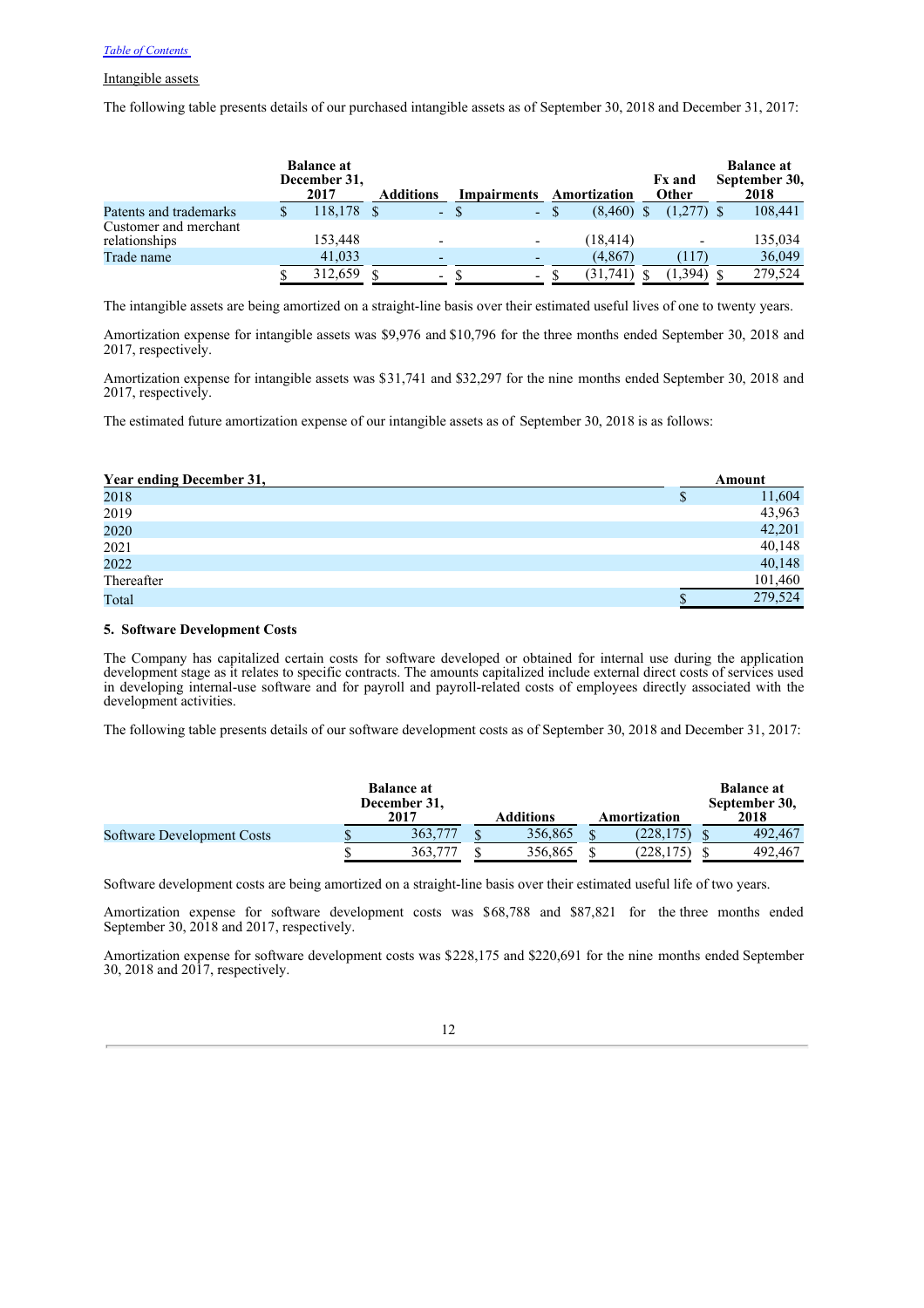# Intangible assets

The following table presents details of our purchased intangible assets as of September 30, 2018 and December 31, 2017:

|                                        | <b>Balance at</b><br>December 31,<br>2017 | Additions                |      | Impairments              |       | Amortization | <b>Fx</b> and<br>Other   | <b>Balance at</b><br>September 30,<br>2018 |
|----------------------------------------|-------------------------------------------|--------------------------|------|--------------------------|-------|--------------|--------------------------|--------------------------------------------|
| Patents and trademarks                 | 118,178                                   |                          | - \$ |                          | $-$ S | $(8.460)$ \$ |                          | 108,441                                    |
| Customer and merchant<br>relationships | 153.448                                   |                          |      | $\overline{\phantom{0}}$ |       | (18,414)     | $\overline{\phantom{0}}$ | 135,034                                    |
| Trade name                             | 41,033                                    |                          |      |                          |       | (4, 867)     |                          | 36,049                                     |
|                                        | 312.659                                   | $\overline{\phantom{0}}$ |      | $\sim$                   |       | (31,741)     | (1, 394)                 | 279.524                                    |

The intangible assets are being amortized on a straight-line basis over their estimated useful lives of one to twenty years.

Amortization expense for intangible assets was \$9,976 and \$10,796 for the three months ended September 30, 2018 and 2017, respectively.

Amortization expense for intangible assets was \$31,741 and \$32,297 for the nine months ended September 30, 2018 and 2017, respectively.

The estimated future amortization expense of our intangible assets as of September 30, 2018 is as follows:

| Year ending December 31, |   | Amount  |
|--------------------------|---|---------|
| 2018                     | S | 11,604  |
| 2019                     |   | 43,963  |
| 2020                     |   | 42,201  |
| 2021                     |   | 40,148  |
| 2022                     |   | 40,148  |
| Thereafter               |   | 101,460 |
| Total                    |   | 279,524 |

# **5. Software Development Costs**

The Company has capitalized certain costs for software developed or obtained for internal use during the application development stage as it relates to specific contracts. The amounts capitalized include external direct costs of services used in developing internal-use software and for payroll and payroll-related costs of employees directly associated with the development activities.

The following table presents details of our software development costs as of September 30, 2018 and December 31, 2017:

|                            | <b>Balance at</b><br>December 31.<br>2017 |         | <b>Additions</b> |         | Amortization | <b>Balance at</b><br>September 30,<br>2018 |
|----------------------------|-------------------------------------------|---------|------------------|---------|--------------|--------------------------------------------|
| Software Development Costs |                                           | 363,777 |                  | 356,865 | (228.175     | 492,467                                    |
|                            |                                           | 363,777 |                  | 356,865 | 228,175      | 492,467                                    |

Software development costs are being amortized on a straight-line basis over their estimated useful life of two years.

Amortization expense for software development costs was \$68,788 and \$87,821 for the three months ended September 30, 2018 and 2017, respectively.

Amortization expense for software development costs was \$228,175 and \$220,691 for the nine months ended September 30, 2018 and 2017, respectively.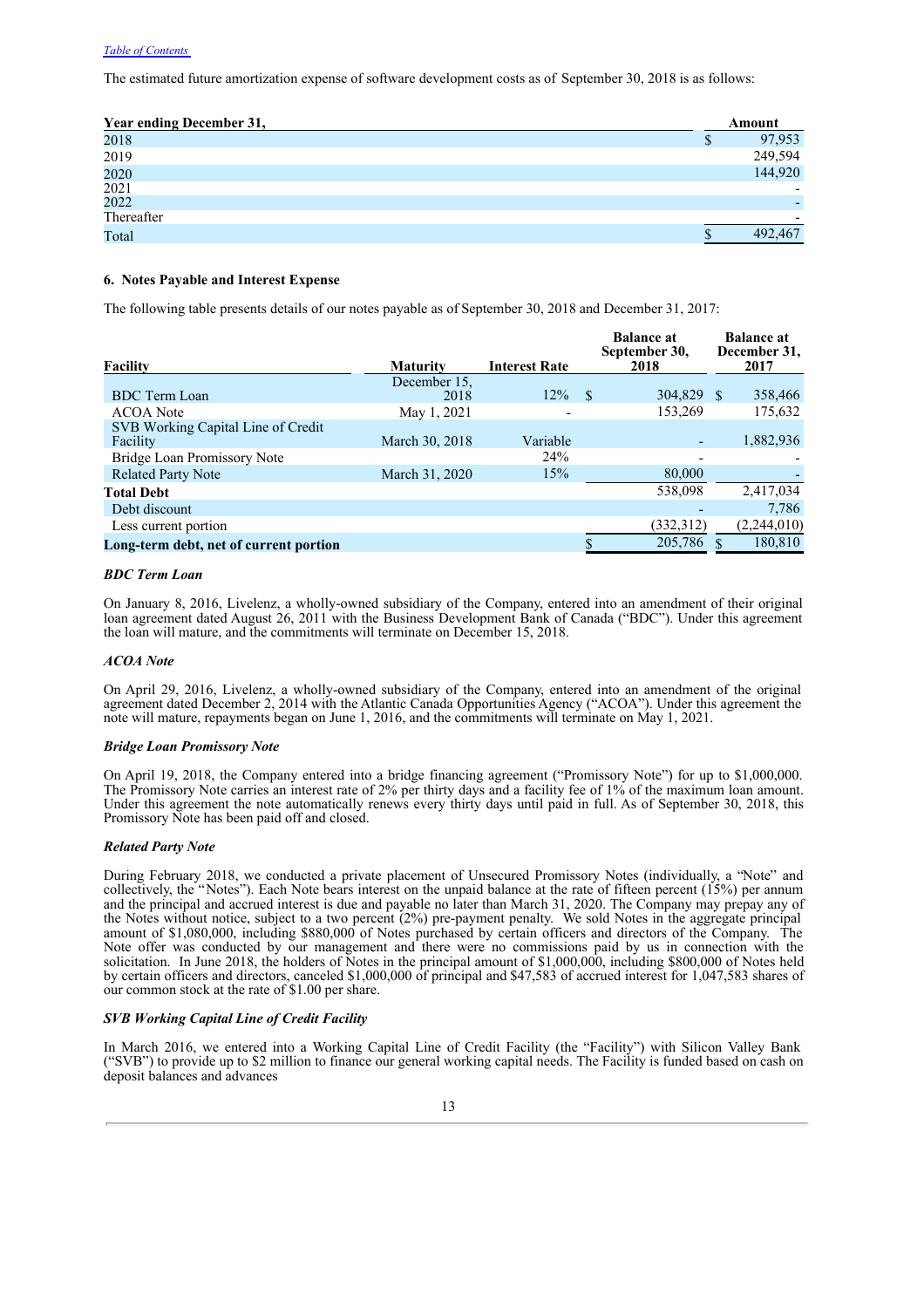The estimated future amortization expense of software development costs as of September 30, 2018 is as follows:

| Year ending December 31, |   | Amount  |
|--------------------------|---|---------|
| 2018                     | D | 97,953  |
| 2019                     |   | 249,594 |
| 2020                     |   | 144,920 |
| 2021                     |   |         |
| 2022                     |   |         |
| Thereafter               |   |         |
| Total                    |   | 492,467 |

# **6. Notes Payable and Interest Expense**

The following table presents details of our notes payable as of September 30, 2018 and December 31, 2017:

|                                        |                 |                      |            | <b>Balance at</b><br>September 30, | <b>Balance at</b><br>December 31, |
|----------------------------------------|-----------------|----------------------|------------|------------------------------------|-----------------------------------|
| <b>Facility</b>                        | <b>Maturity</b> | <b>Interest Rate</b> |            | 2018                               | 2017                              |
|                                        | December 15.    |                      |            |                                    |                                   |
| <b>BDC</b> Term Loan                   | 2018            | $12\%$               | $\sqrt{S}$ | 304,829 \$                         | 358,466                           |
| <b>ACOA</b> Note                       | May 1, 2021     |                      |            | 153,269                            | 175,632                           |
| SVB Working Capital Line of Credit     |                 |                      |            |                                    |                                   |
| Facility                               | March 30, 2018  | Variable             |            |                                    | 1,882,936                         |
| Bridge Loan Promissory Note            |                 | 24%                  |            |                                    |                                   |
| <b>Related Party Note</b>              | March 31, 2020  | 15%                  |            | 80,000                             |                                   |
| <b>Total Debt</b>                      |                 |                      |            | 538,098                            | 2,417,034                         |
| Debt discount                          |                 |                      |            |                                    | 7,786                             |
| Less current portion                   |                 |                      |            | (332,312)                          | (2,244,010)                       |
| Long-term debt, net of current portion |                 |                      |            | 205,786                            | 180,810                           |

# *BDC Term Loan*

On January 8, 2016, Livelenz, a wholly-owned subsidiary of the Company, entered into an amendment of their original loan agreement dated August 26, 2011 with the Business Development Bank of Canada ("BDC"). Under this agreement the loan will mature, and the commitments will terminate on December 15, 2018.

# *ACOA Note*

On April 29, 2016, Livelenz, a wholly-owned subsidiary of the Company, entered into an amendment of the original agreement dated December 2, 2014 with the Atlantic Canada Opportunities Agency ("ACOA"). Under this agreement the note will mature, repayments began on June 1, 2016, and the commitments will terminate on May 1, 2021.

# *Bridge Loan Promissory Note*

On April 19, 2018, the Company entered into a bridge financing agreement ("Promissory Note") for up to \$1,000,000. The Promissory Note carries an interest rate of 2% per thirty days and a facility fee of 1% of the maximum loan amount. Under this agreement the note automatically renews every thirty days until paid in full. As of September 30, 2018, this Promissory Note has been paid off and closed.

# *Related Party Note*

During February 2018, we conducted a private placement of Unsecured Promissory Notes (individually, a "Note" and collectively, the "Notes"). Each Note bears interest on the unpaid balance at the rate of fifteen percent (15%) per annum and the principal and accrued interest is due and payable no later than March 31, 2020. The Company may prepay any of the Notes without notice, subject to a two percent (2%) pre-payment penalty. We sold Notes in the aggregate principal amount of \$1,080,000, including \$880,000 of Notes purchased by certain officers and directors of the Company. The Note offer was conducted by our management and there were no commissions paid by us in connection with the solicitation. In June 2018, the holders of Notes in the principal amount of \$1,000,000, including \$800,000 of Notes held by certain officers and directors, canceled \$1,000,000 of principal and \$47,583 of accrued interest for 1,047,583 shares of our common stock at the rate of \$1.00 per share.

# *SVB Working Capital Line of Credit Facility*

In March 2016, we entered into a Working Capital Line of Credit Facility (the "Facility") with Silicon Valley Bank ("SVB") to provide up to \$2 million to finance our general working capital needs. The Facility is funded based on cash on deposit balances and advances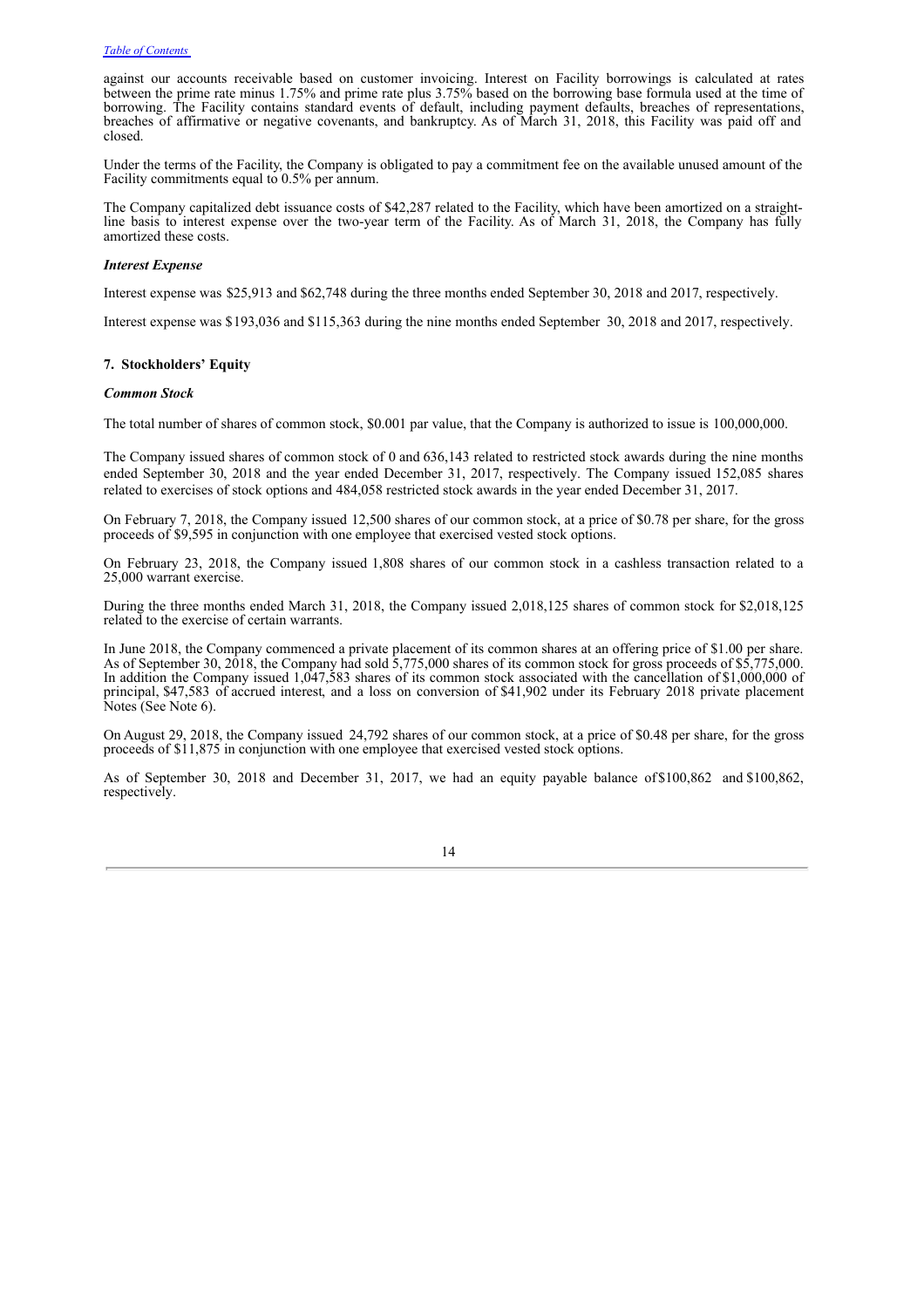against our accounts receivable based on customer invoicing. Interest on Facility borrowings is calculated at rates between the prime rate minus 1.75% and prime rate plus 3.75% based on the borrowing base formula used at the time of borrowing. The Facility contains standard events of default, including payment defaults, breaches of representations, breaches of affirmative or negative covenants, and bankruptcy. As of March 31, 2018, this Facility was paid off and closed.

Under the terms of the Facility, the Company is obligated to pay a commitment fee on the available unused amount of the Facility commitments equal to 0.5% per annum.

The Company capitalized debt issuance costs of \$42,287 related to the Facility, which have been amortized on a straightline basis to interest expense over the two-year term of the Facility. As of March 31, 2018, the Company has fully amortized these costs.

### *Interest Expense*

Interest expense was \$25,913 and \$62,748 during the three months ended September 30, 2018 and 2017, respectively.

Interest expense was \$193,036 and \$115,363 during the nine months ended September 30, 2018 and 2017, respectively.

# **7. Stockholders' Equity**

#### *Common Stock*

The total number of shares of common stock, \$0.001 par value, that the Company is authorized to issue is 100,000,000.

The Company issued shares of common stock of 0 and 636,143 related to restricted stock awards during the nine months ended September 30, 2018 and the year ended December 31, 2017, respectively. The Company issued 152,085 shares related to exercises of stock options and 484,058 restricted stock awards in the year ended December 31, 2017.

On February 7, 2018, the Company issued 12,500 shares of our common stock, at a price of \$0.78 per share, for the gross proceeds of \$9,595 in conjunction with one employee that exercised vested stock options.

On February 23, 2018, the Company issued 1,808 shares of our common stock in a cashless transaction related to a 25,000 warrant exercise.

During the three months ended March 31, 2018, the Company issued 2,018,125 shares of common stock for \$2,018,125 related to the exercise of certain warrants.

In June 2018, the Company commenced a private placement of its common shares at an offering price of \$1.00 per share. As of September 30, 2018, the Company had sold 5,775,000 shares of its common stock for gross proceeds of \$5,775,000. In addition the Company issued 1,047,583 shares of its common stock associated with the cancellation of \$1,000,000 of principal, \$47,583 of accrued interest, and a loss on conversion of \$41,902 under its February 2018 private placement Notes (See Note 6).

On August 29, 2018, the Company issued 24,792 shares of our common stock, at a price of \$0.48 per share, for the gross proceeds of \$11,875 in conjunction with one employee that exercised vested stock options.

As of September 30, 2018 and December 31, 2017, we had an equity payable balance of\$100,862 and \$100,862, respectively.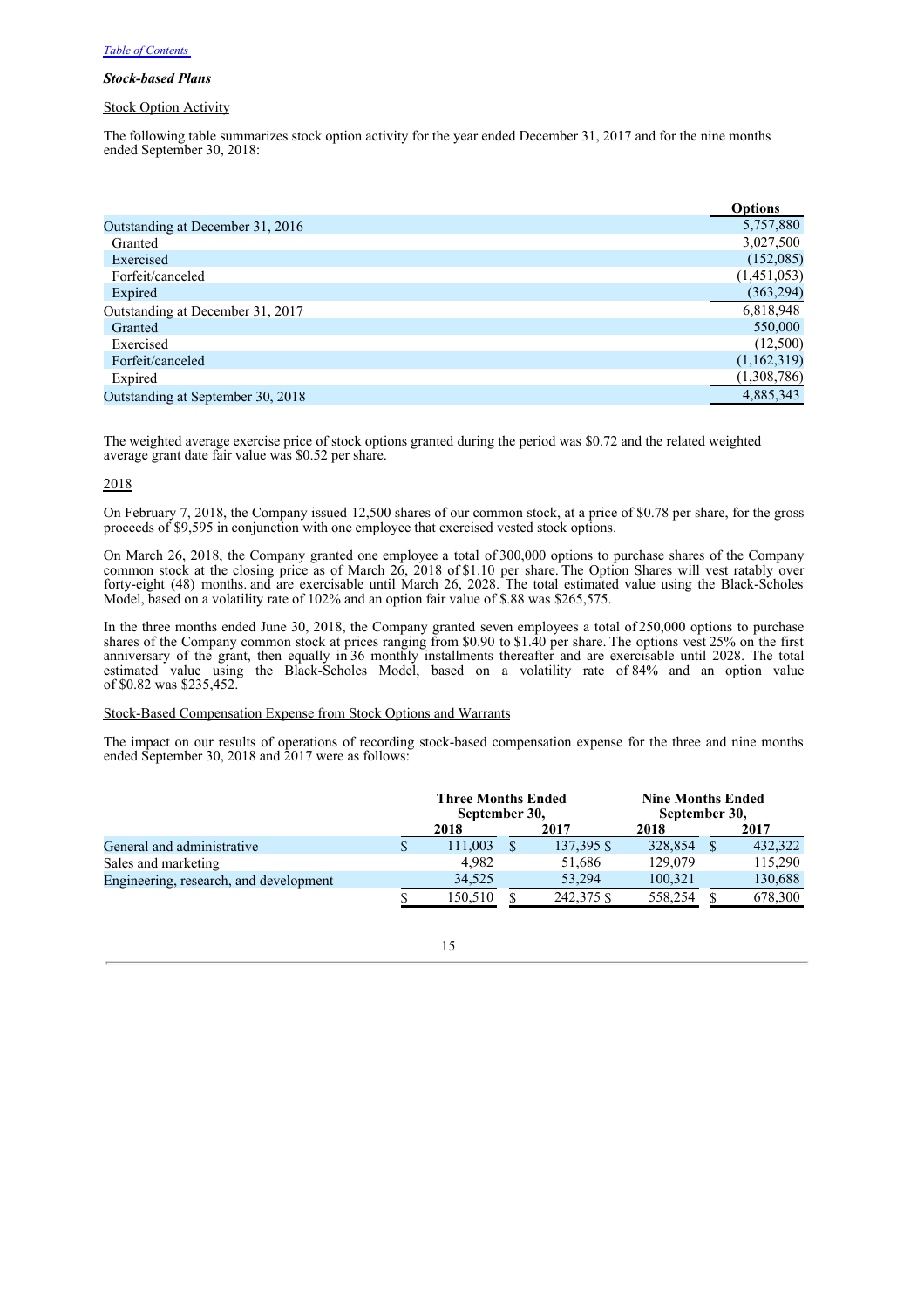# *Stock-based Plans*

## Stock Option Activity

The following table summarizes stock option activity for the year ended December 31, 2017 and for the nine months ended September 30, 2018:

|                                   | <b>Options</b> |
|-----------------------------------|----------------|
| Outstanding at December 31, 2016  | 5,757,880      |
| Granted                           | 3,027,500      |
| Exercised                         | (152,085)      |
| Forfeit/canceled                  | (1,451,053)    |
| Expired                           | (363, 294)     |
| Outstanding at December 31, 2017  | 6,818,948      |
| Granted                           | 550,000        |
| Exercised                         | (12,500)       |
| Forfeit/canceled                  | (1,162,319)    |
| Expired                           | (1,308,786)    |
| Outstanding at September 30, 2018 | 4,885,343      |

The weighted average exercise price of stock options granted during the period was \$0.72 and the related weighted average grant date fair value was \$0.52 per share.

# 2018

On February 7, 2018, the Company issued 12,500 shares of our common stock, at a price of \$0.78 per share, for the gross proceeds of \$9,595 in conjunction with one employee that exercised vested stock options.

On March 26, 2018, the Company granted one employee a total of 300,000 options to purchase shares of the Company common stock at the closing price as of March 26, 2018 of \$1.10 per share. The Option Shares will vest ratably over forty-eight (48) months. and are exercisable until March 26, 2028. The total estimated value using the Black-Scholes Model, based on a volatility rate of 102% and an option fair value of \$.88 was \$265,575.

In the three months ended June 30, 2018, the Company granted seven employees a total of250,000 options to purchase shares of the Company common stock at prices ranging from \$0.90 to \$1.40 per share. The options vest 25% on the first anniversary of the grant, then equally in 36 monthly installments thereafter and are exercisable until 2028. The total estimated value using the Black-Scholes Model, based on a volatility rate of 84% and an option value of \$0.82 was \$235,452.

# Stock-Based Compensation Expense from Stock Options and Warrants

The impact on our results of operations of recording stock-based compensation expense for the three and nine months ended September 30, 2018 and 2017 were as follows:

|                                        | <b>Three Months Ended</b><br>September 30, |  |            | <b>Nine Months Ended</b><br>September 30, |  |         |
|----------------------------------------|--------------------------------------------|--|------------|-------------------------------------------|--|---------|
|                                        | 2018                                       |  | 2017       | 2018                                      |  | 2017    |
| General and administrative             | 111.003                                    |  | 137,395 \$ | 328,854                                   |  | 432,322 |
| Sales and marketing                    | 4.982                                      |  | 51,686     | 129,079                                   |  | 115,290 |
| Engineering, research, and development | 34.525                                     |  | 53.294     | 100.321                                   |  | 130,688 |
|                                        | 150,510                                    |  | 242,375 \$ | 558,254                                   |  | 678,300 |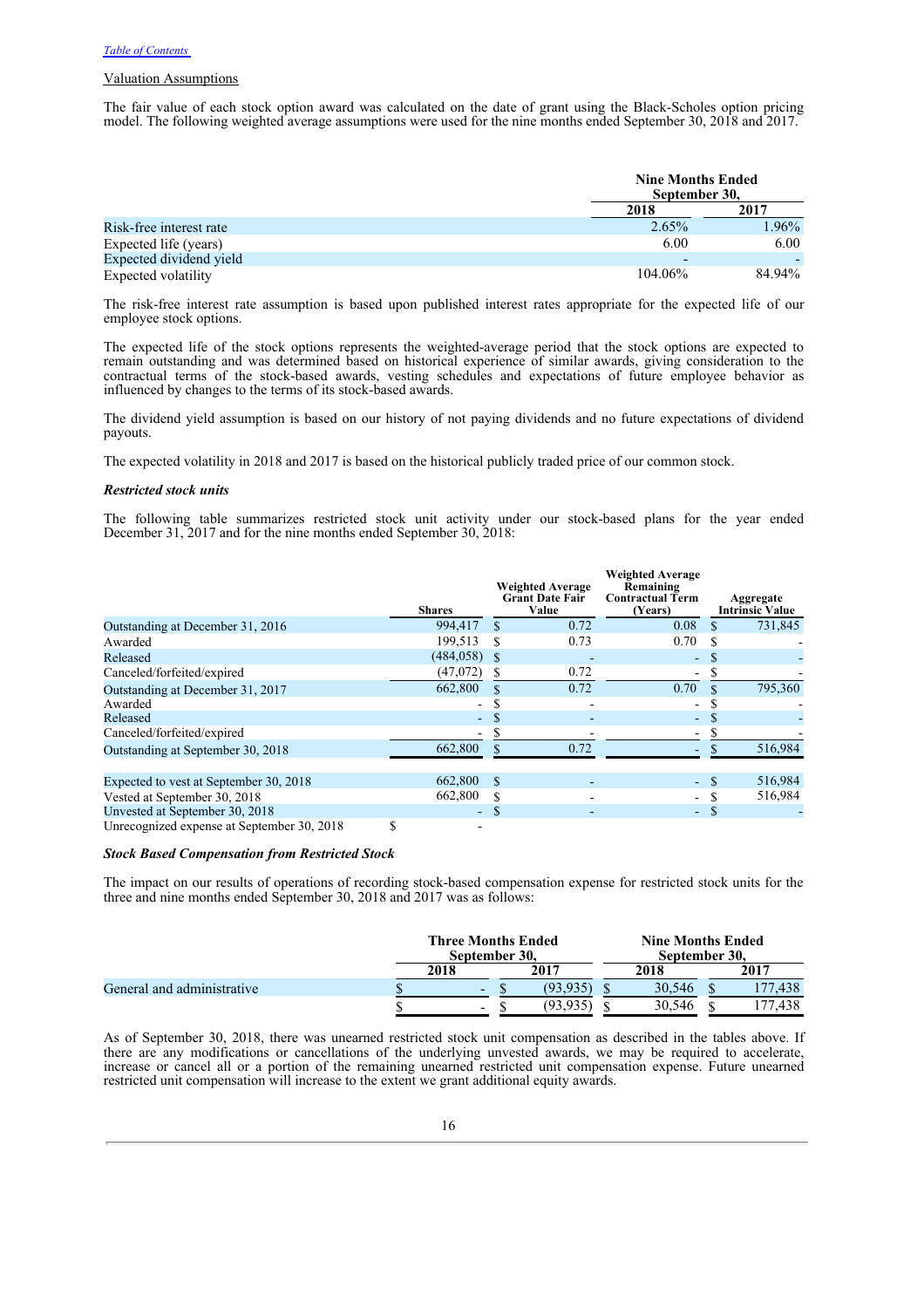# Valuation Assumptions

The fair value of each stock option award was calculated on the date of grant using the Black-Scholes option pricing model. The following weighted average assumptions were used for the nine months ended September 30, 2018 and 2017.

|                         | <b>Nine Months Ended</b><br>September 30, |         |
|-------------------------|-------------------------------------------|---------|
|                         | 2018                                      | 2017    |
| Risk-free interest rate | 2.65%                                     | $.96\%$ |
| Expected life (years)   | 6.00                                      | 6.00    |
| Expected dividend yield |                                           |         |
| Expected volatility     | $104.06\%$                                | 84.94%  |

The risk-free interest rate assumption is based upon published interest rates appropriate for the expected life of our employee stock options.

The expected life of the stock options represents the weighted-average period that the stock options are expected to remain outstanding and was determined based on historical experience of similar awards, giving consideration to the contractual terms of the stock-based awards, vesting schedules and expectations of future employee behavior as influenced by changes to the terms of its stock-based awards.

The dividend yield assumption is based on our history of not paying dividends and no future expectations of dividend payouts.

The expected volatility in 2018 and 2017 is based on the historical publicly traded price of our common stock.

#### *Restricted stock units*

The following table summarizes restricted stock unit activity under our stock-based plans for the year ended December 31, 2017 and for the nine months ended September 30, 2018:

|                                            | <b>Shares</b>            | <b>Weighted Average</b><br><b>Grant Date Fair</b><br>Value | <b>Weighted Average</b><br>Remaining<br><b>Contractual Term</b><br>(Years) | Aggregate<br><b>Intrinsic Value</b> |
|--------------------------------------------|--------------------------|------------------------------------------------------------|----------------------------------------------------------------------------|-------------------------------------|
| Outstanding at December 31, 2016           | 994,417                  | 0.72<br>\$                                                 | 0.08                                                                       | 731,845                             |
| Awarded                                    | 199.513                  | 0.73<br>S                                                  | 0.70                                                                       |                                     |
| Released                                   | (484.058)                |                                                            | ÷.                                                                         |                                     |
| Canceled/forfeited/expired                 | (47,072)                 | 0.72                                                       |                                                                            |                                     |
| Outstanding at December 31, 2017           | 662,800                  | 0.72                                                       | 0.70                                                                       | 795,360                             |
| Awarded                                    | $\overline{\phantom{0}}$ |                                                            | Ξ.                                                                         |                                     |
| Released                                   | ٠.                       |                                                            | $\overline{\phantom{a}}$                                                   |                                     |
| Canceled/forfeited/expired                 |                          | ъ                                                          |                                                                            |                                     |
| Outstanding at September 30, 2018          | 662,800                  | 0.72                                                       |                                                                            | 516,984                             |
|                                            |                          |                                                            |                                                                            |                                     |
| Expected to vest at September 30, 2018     | 662,800                  | \$.                                                        |                                                                            | 516,984<br>- \$                     |
| Vested at September 30, 2018               | 662,800                  | S                                                          | $\overline{\phantom{0}}$                                                   | 516,984                             |
| Unvested at September 30, 2018             | $\sim 100$               |                                                            |                                                                            | - \$                                |
| Unrecognized expense at September 30, 2018 |                          |                                                            |                                                                            |                                     |

*Stock Based Compensation from Restricted Stock*

The impact on our results of operations of recording stock-based compensation expense for restricted stock units for the three and nine months ended September 30, 2018 and 2017 was as follows:

|                            | <b>Three Months Ended</b><br>September 30, |  |          |  | <b>Nine Months Ended</b><br>September 30, |  |       |  |
|----------------------------|--------------------------------------------|--|----------|--|-------------------------------------------|--|-------|--|
|                            | 2018                                       |  | 2017     |  | 2018                                      |  | 2017  |  |
| General and administrative | $\overline{\phantom{a}}$                   |  | (93.935) |  | 30.546                                    |  | .438  |  |
|                            | $\overline{\phantom{a}}$                   |  | (93.935) |  | 30.546                                    |  | '.438 |  |

As of September 30, 2018, there was unearned restricted stock unit compensation as described in the tables above. If there are any modifications or cancellations of the underlying unvested awards, we may be required to accelerate, increase or cancel all or a portion of the remaining unearned restricted unit compensation expense. Future unearned restricted unit compensation will increase to the extent we grant additional equity awards.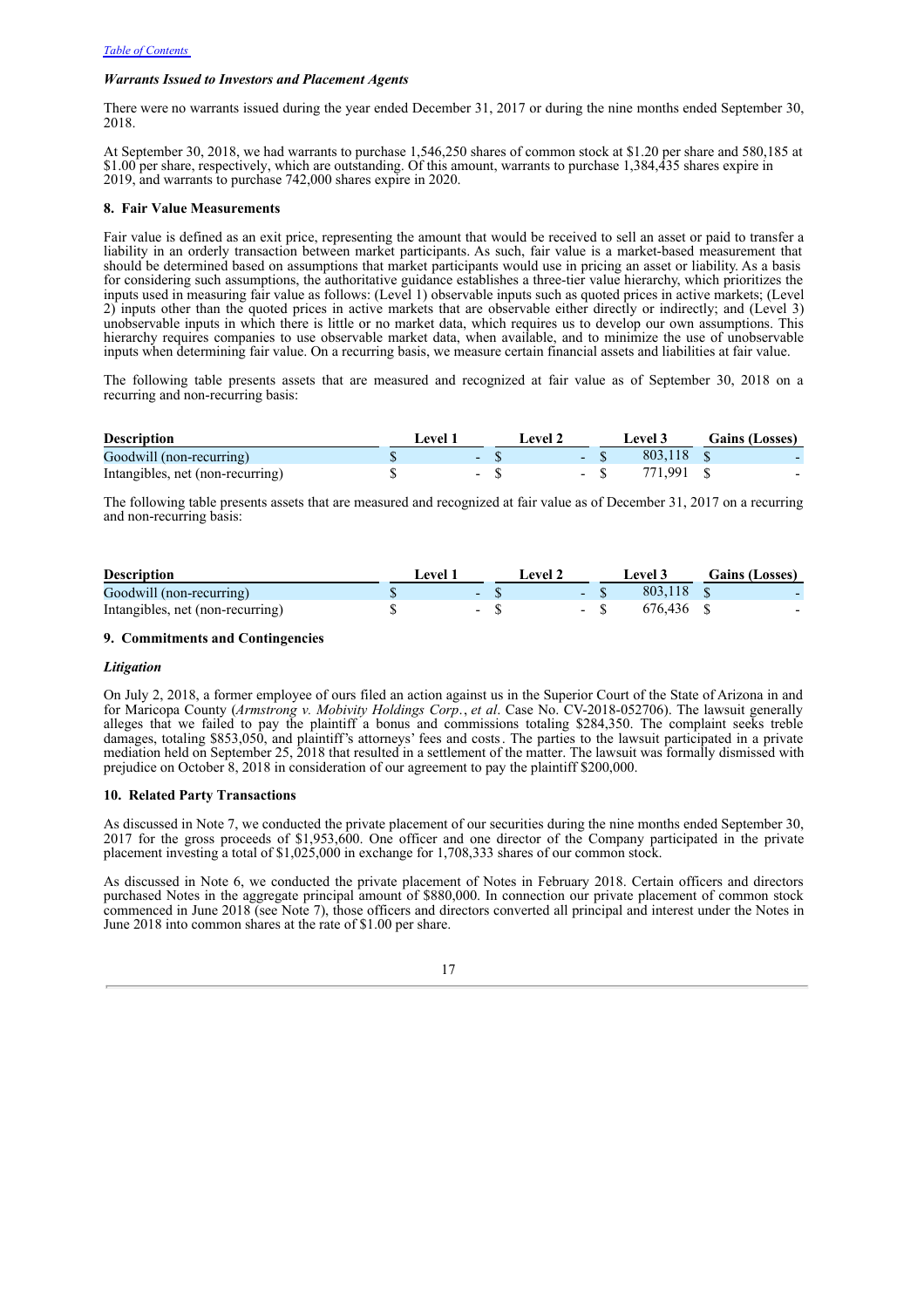### *Warrants Issued to Investors and Placement Agents*

There were no warrants issued during the year ended December 31, 2017 or during the nine months ended September 30, 2018.

At September 30, 2018, we had warrants to purchase 1,546,250 shares of common stock at \$1.20 per share and 580,185 at \$1.00 per share, respectively, which are outstanding. Of this amount, warrants to purchase 1,384,435 shares expire in 2019, and warrants to purchase 742,000 shares expire in 2020.

# **8. Fair Value Measurements**

Fair value is defined as an exit price, representing the amount that would be received to sell an asset or paid to transfer a liability in an orderly transaction between market participants. As such, fair value is a market-based measurement that should be determined based on assumptions that market participants would use in pricing an asset or liability. As a basis for considering such assumptions, the authoritative guidance establishes a three-tier value hierarchy, which prioritizes the inputs used in measuring fair value as follows: (Level 1) observable inputs such as quoted prices in active markets; (Level 2) inputs other than the quoted prices in active markets that are observable either directly or indirectly; and (Level 3) unobservable inputs in which there is little or no market data, which requires us to develop our own assumptions. This hierarchy requires companies to use observable market data, when available, and to minimize the use of unobservable inputs when determining fair value. On a recurring basis, we measure certain financial assets and liabilities at fair value.

The following table presents assets that are measured and recognized at fair value as of September 30, 2018 on a recurring and non-recurring basis:

| <b>Description</b>               | Level 1 |  | Level 2 |     | <b>Level 3</b> | <b>Gains</b> (Losses) |
|----------------------------------|---------|--|---------|-----|----------------|-----------------------|
| Goodwill (non-recurring)         |         |  |         |     | 803.118 \$     |                       |
| Intangibles, net (non-recurring) |         |  |         | - 8 | 771.991 \$     |                       |

The following table presents assets that are measured and recognized at fair value as of December 31, 2017 on a recurring and non-recurring basis:

| <b>Description</b>               | Level 1 |  | Level 2 |               | <b>Level</b> 3       | <b>Gains (Losses)</b> |
|----------------------------------|---------|--|---------|---------------|----------------------|-----------------------|
| Goodwill (non-recurring)         |         |  |         | $ \mathbb{S}$ | 803.118 \$           |                       |
| Intangibles, net (non-recurring) |         |  |         |               | 676.436 \$<br>$-$ \$ |                       |

# **9. Commitments and Contingencies**

# *Litigation*

On July 2, 2018, a former employee of ours filed an action against us in the Superior Court of the State of Arizona in and for Maricopa County (*Armstrong v. Mobivity Holdings Corp*., *et al*. Case No. CV-2018-052706). The lawsuit generally alleges that we failed to pay the plaintiff a bonus and commissions totaling \$284,350. The complaint seeks treble damages, totaling \$853,050, and plaintiff's attorneys' fees and costs. The parties to the lawsuit participated in a private mediation held on September 25, 2018 that resulted in a settlement of the matter. The lawsuit was formally dismissed with prejudice on October 8, 2018 in consideration of our agreement to pay the plaintiff \$200,000.

# **10. Related Party Transactions**

As discussed in Note 7, we conducted the private placement of our securities during the nine months ended September 30, 2017 for the gross proceeds of \$1,953,600. One officer and one director of the Company participated in the private placement investing a total of \$1,025,000 in exchange for 1,708,333 shares of our common stock.

As discussed in Note 6, we conducted the private placement of Notes in February 2018. Certain officers and directors purchased Notes in the aggregate principal amount of \$880,000. In connection our private placement of common stock commenced in June 2018 (see Note 7), those officers and directors converted all principal and interest under the Notes in June 2018 into common shares at the rate of \$1.00 per share.

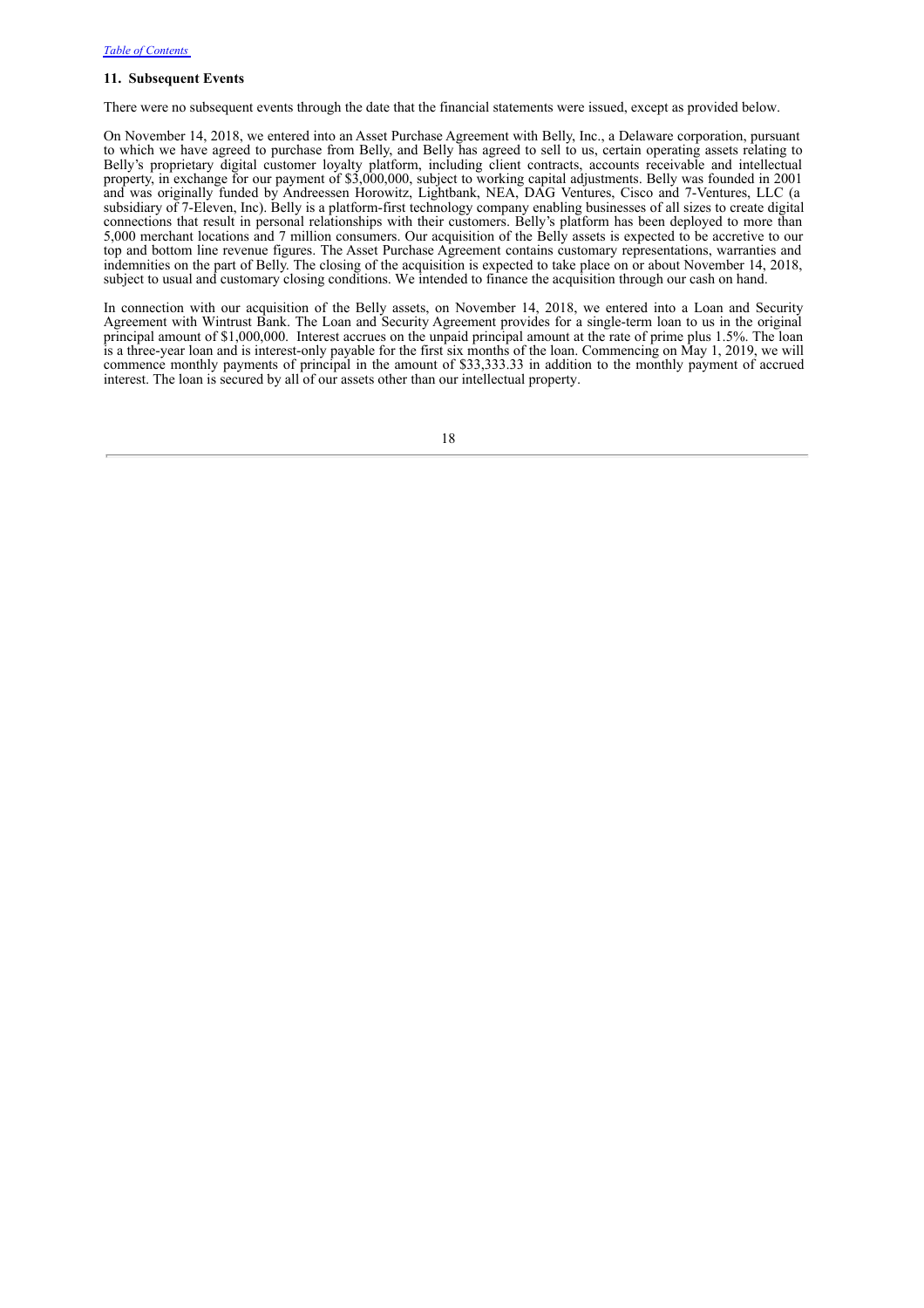# **11. Subsequent Events**

There were no subsequent events through the date that the financial statements were issued, except as provided below.

On November 14, 2018, we entered into an Asset Purchase Agreement with Belly, Inc., a Delaware corporation, pursuant to which we have agreed to purchase from Belly, and Belly has agreed to sell to us, certain operating assets relating to Belly's proprietary digital customer loyalty platform, including client contracts, accounts receivable and intellectual property, in exchange for our payment of \$3,000,000, subject to working capital adjustments. Belly was founded in 2001 and was originally funded by Andreessen Horowitz, Lightbank, NEA, DAG Ventures, Cisco and 7-Ventures, LLC (a subsidiary of 7-Eleven, Inc). Belly is a platform-first technology company enabling businesses of all sizes to create digital connections that result in personal relationships with their customers. Belly's platform has been deployed to more than 5,000 merchant locations and 7 million consumers. Our acquisition of the Belly assets is expected to be accretive to our top and bottom line revenue figures. The Asset Purchase Agreement contains customary representations, warranties and indemnities on the part of Belly. The closing of the acquisition is expected to take place on or about November 14, 2018, subject to usual and customary closing conditions. We intended to finance the acquisition through our cash on hand.

In connection with our acquisition of the Belly assets, on November 14, 2018, we entered into a Loan and Security Agreement with Wintrust Bank. The Loan and Security Agreement provides for a single-term loan to us in the original principal amount of \$1,000,000. Interest accrues on the unpaid principal amount at the rate of prime plus 1.5%. The loan is a three-year loan and is interest-only payable for the first six months of the loan. Commencing on May 1, 2019, we will commence monthly payments of principal in the amount of \$33,333.33 in addition to the monthly payment of accrued interest. The loan is secured by all of our assets other than our intellectual property.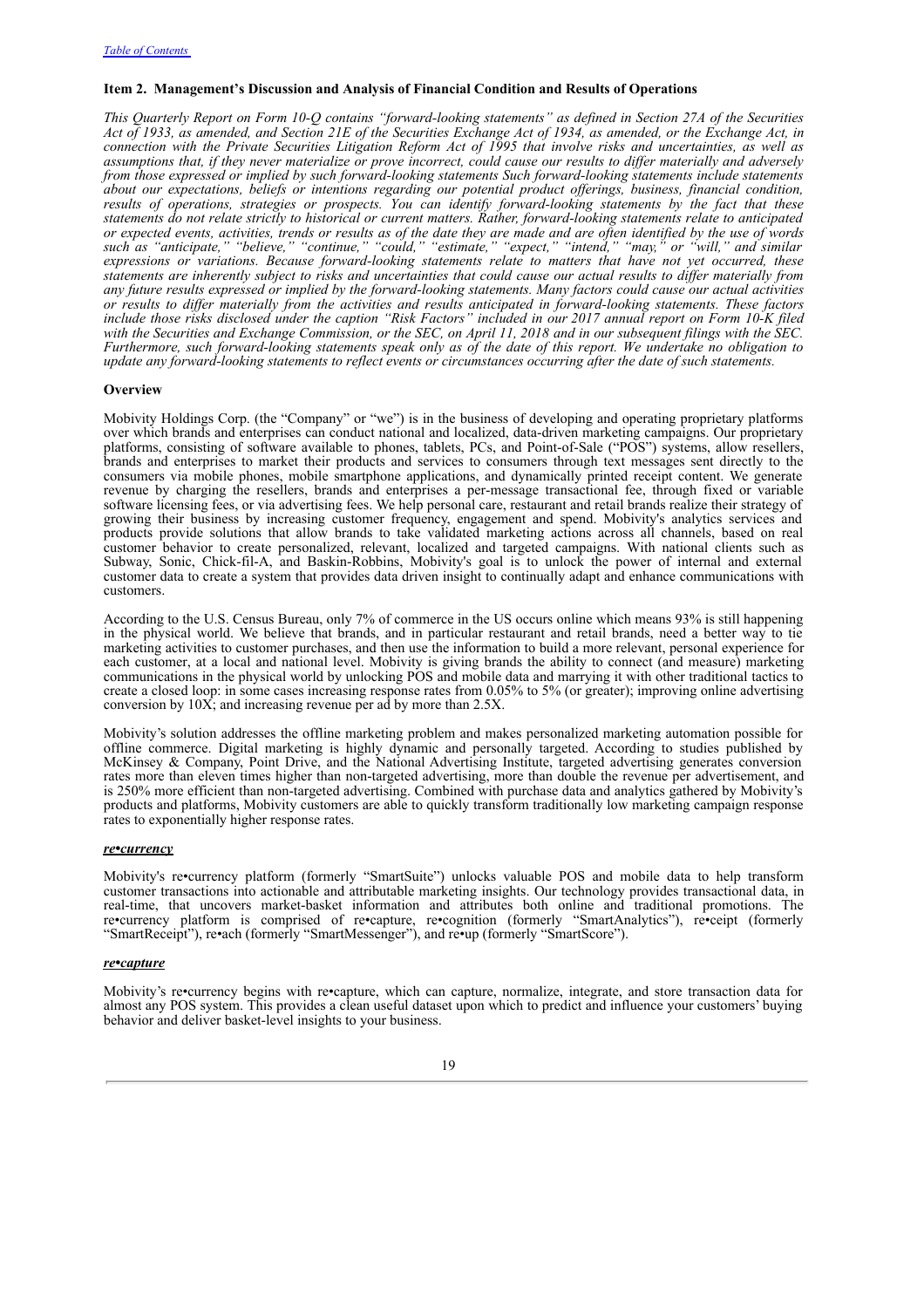### **Item 2. Management's Discussion and Analysis of Financial Condition and Results of Operations**

This Quarterly Report on Form 10-Q contains "forward-looking statements" as defined in Section 27A of the Securities Act of 1933, as amended, and Section 21E of the Securities Exchange Act of 1934, as amended, or the Exchange Act, in connection with the Private Securities Litigation Reform Act of 1995 that involve risks and uncertainties, as well as assumptions that, if they never materialize or prove incorrect, could cause our results to differ materially and adversely *from those expressed or implied by such forward-looking statements Such forward-looking statements include statements about our expectations, beliefs or intentions regarding our potential product of erings, business, financial condition,* results of operations, strategies or prospects. You can identify forward-looking statements by the fact that these statements do not relate strictly to historical or current matters. Rather, forward-looking statements relate to anticipated or expected events, activities, trends or results as of the date they are made and are often identified by the use of words *such as "anticipate," "believe," "continue," "could," "estimate," "expect," "intend," "may," or "will," and similar expressions or variations. Because forward-looking statements relate to matters that have not yet occurred, these* statements are inherently subject to risks and uncertainties that could cause our actual results to differ materially from any future results expressed or implied by the forward-looking statements. Many factors could cause our actual activities or results to differ materially from the activities and results anticipated in forward-looking statements. These factors include those risks disclosed under the caption "Risk Factors" included in our 2017 annual report on Form 10-K filed with the Securities and Exchange Commission, or the SEC, on April 11, 2018 and in our subsequent filings with the SEC. Furthermore, such forward-looking statements speak only as of the date of this report. We undertake no obligation to update any forward-looking statements to reflect events or circumstances occurring after the date of such statements.

#### **Overview**

Mobivity Holdings Corp. (the "Company" or "we") is in the business of developing and operating proprietary platforms over which brands and enterprises can conduct national and localized, data-driven marketing campaigns. Our proprietary platforms, consisting of software available to phones, tablets, PCs, and Point-of-Sale ("POS") systems, allow resellers, brands and enterprises to market their products and services to consumers through text messages sent directly to the consumers via mobile phones, mobile smartphone applications, and dynamically printed receipt content. We generate revenue by charging the resellers, brands and enterprises a per-message transactional fee, through fixed or variable software licensing fees, or via advertising fees. We help personal care, restaurant and retail brands realize their strategy of growing their business by increasing customer frequency, engagement and spend. Mobivity's analytics services and products provide solutions that allow brands to take validated marketing actions across all channels, based on real customer behavior to create personalized, relevant, localized and targeted campaigns. With national clients such as Subway, Sonic, Chick-fil-A, and Baskin-Robbins, Mobivity's goal is to unlock the power of internal and external customer data to create a system that provides data driven insight to continually adapt and enhance communications with customers.

According to the U.S. Census Bureau, only 7% of commerce in the US occurs online which means 93% is still happening in the physical world. We believe that brands, and in particular restaurant and retail brands, need a better way to tie marketing activities to customer purchases, and then use the information to build a more relevant, personal experience for each customer, at a local and national level. Mobivity is giving brands the ability to connect (and measure) marketing communications in the physical world by unlocking POS and mobile data and marrying it with other traditional tactics to create a closed loop: in some cases increasing response rates from 0.05% to 5% (or greater); improving online advertising conversion by 10X; and increasing revenue per ad by more than 2.5X.

Mobivity's solution addresses the offline marketing problem and makes personalized marketing automation possible for offline commerce. Digital marketing is highly dynamic and personally targeted. According to studies published by McKinsey & Company, Point Drive, and the National Advertising Institute, targeted advertising generates conversion rates more than eleven times higher than non-targeted advertising, more than double the revenue per advertisement, and is 250% more efficient than non-targeted advertising. Combined with purchase data and analytics gathered by Mobivity's products and platforms, Mobivity customers are able to quickly transform traditionally low marketing campaign response rates to exponentially higher response rates.

### *re•currency*

Mobivity's re•currency platform (formerly "SmartSuite") unlocks valuable POS and mobile data to help transform customer transactions into actionable and attributable marketing insights. Our technology provides transactional data, in real-time, that uncovers market-basket information and attributes both online and traditional promotions. The re•currency platform is comprised of re•capture, re•cognition (formerly "SmartAnalytics"), re•ceipt (formerly "SmartReceipt"), re•ach (formerly "SmartMessenger"), and re•up (formerly "SmartScore").

#### *re•capture*

Mobivity's re•currency begins with re•capture, which can capture, normalize, integrate, and store transaction data for almost any POS system. This provides a clean useful dataset upon which to predict and influence your customers' buying behavior and deliver basket-level insights to your business.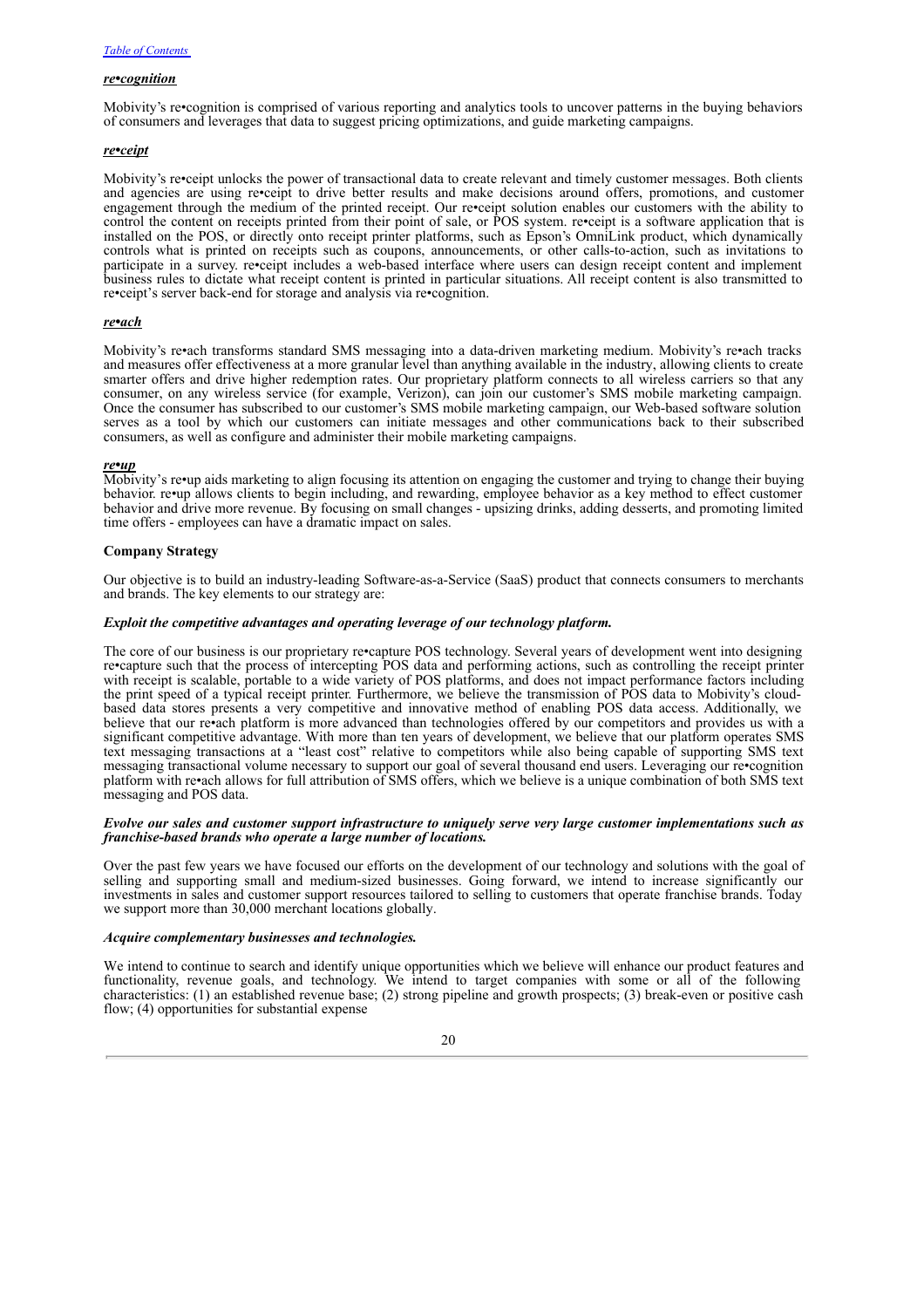# *re•cognition*

Mobivity's re•cognition is comprised of various reporting and analytics tools to uncover patterns in the buying behaviors of consumers and leverages that data to suggest pricing optimizations, and guide marketing campaigns.

### *re•ceipt*

Mobivity's re•ceipt unlocks the power of transactional data to create relevant and timely customer messages. Both clients and agencies are using re•ceipt to drive better results and make decisions around offers, promotions, and customer engagement through the medium of the printed receipt. Our re•ceipt solution enables our customers with the ability to control the content on receipts printed from their point of sale, or POS system. re•ceipt is a software application that is installed on the POS, or directly onto receipt printer platforms, such as Epson's OmniLink product, which dynamically controls what is printed on receipts such as coupons, announcements, or other calls-to-action, such as invitations to participate in a survey. re•ceipt includes a web-based interface where users can design receipt content and implement business rules to dictate what receipt content is printed in particular situations. All receipt content is also transmitted to re•ceipt's server back-end for storage and analysis via re•cognition.

# *re•ach*

Mobivity's re•ach transforms standard SMS messaging into a data-driven marketing medium. Mobivity's re•ach tracks and measures offer effectiveness at a more granular level than anything available in the industry, allowing clients to create smarter offers and drive higher redemption rates. Our proprietary platform connects to all wireless carriers so that any consumer, on any wireless service (for example, Verizon), can join our customer's SMS mobile marketing campaign. Once the consumer has subscribed to our customer's SMS mobile marketing campaign, our Web-based software solution serves as a tool by which our customers can initiate messages and other communications back to their subscribed consumers, as well as configure and administer their mobile marketing campaigns.

# *re•up*

Mobivity's re•up aids marketing to align focusing its attention on engaging the customer and trying to change their buying behavior. re•up allows clients to begin including, and rewarding, employee behavior as a key method to effect customer behavior and drive more revenue. By focusing on small changes - upsizing drinks, adding desserts, and promoting limited time offers - employees can have a dramatic impact on sales.

#### **Company Strategy**

Our objective is to build an industry-leading Software-as-a-Service (SaaS) product that connects consumers to merchants and brands. The key elements to our strategy are:

# *Exploit the competitive advantages and operating leverage of our technology platform.*

The core of our business is our proprietary re•capture POS technology. Several years of development went into designing re•capture such that the process of intercepting POS data and performing actions, such as controlling the receipt printer with receipt is scalable, portable to a wide variety of POS platforms, and does not impact performance factors including the print speed of a typical receipt printer. Furthermore, we believe the transmission of POS data to Mobivity's cloudbased data stores presents a very competitive and innovative method of enabling POS data access. Additionally, we believe that our re•ach platform is more advanced than technologies offered by our competitors and provides us with a significant competitive advantage. With more than ten years of development, we believe that our platform operates SMS text messaging transactions at a "least cost" relative to competitors while also being capable of supporting SMS text messaging transactional volume necessary to support our goal of several thousand end users. Leveraging our re•cognition platform with re•ach allows for full attribution of SMS offers, which we believe is a unique combination of both SMS text messaging and POS data.

## Evolve our sales and customer support infrastructure to uniquely serve very large customer implementations such as *franchise-based brands who operate a large number of locations.*

Over the past few years we have focused our efforts on the development of our technology and solutions with the goal of selling and supporting small and medium-sized businesses. Going forward, we intend to increase significantly our investments in sales and customer support resources tailored to selling to customers that operate franchise brands. Today we support more than 30,000 merchant locations globally.

#### *Acquire complementary businesses and technologies.*

We intend to continue to search and identify unique opportunities which we believe will enhance our product features and functionality, revenue goals, and technology. We intend to target companies with some or all of the following characteristics: (1) an established revenue base; (2) strong pipeline and growth prospects; (3) break-even or positive cash flow; (4) opportunities for substantial expense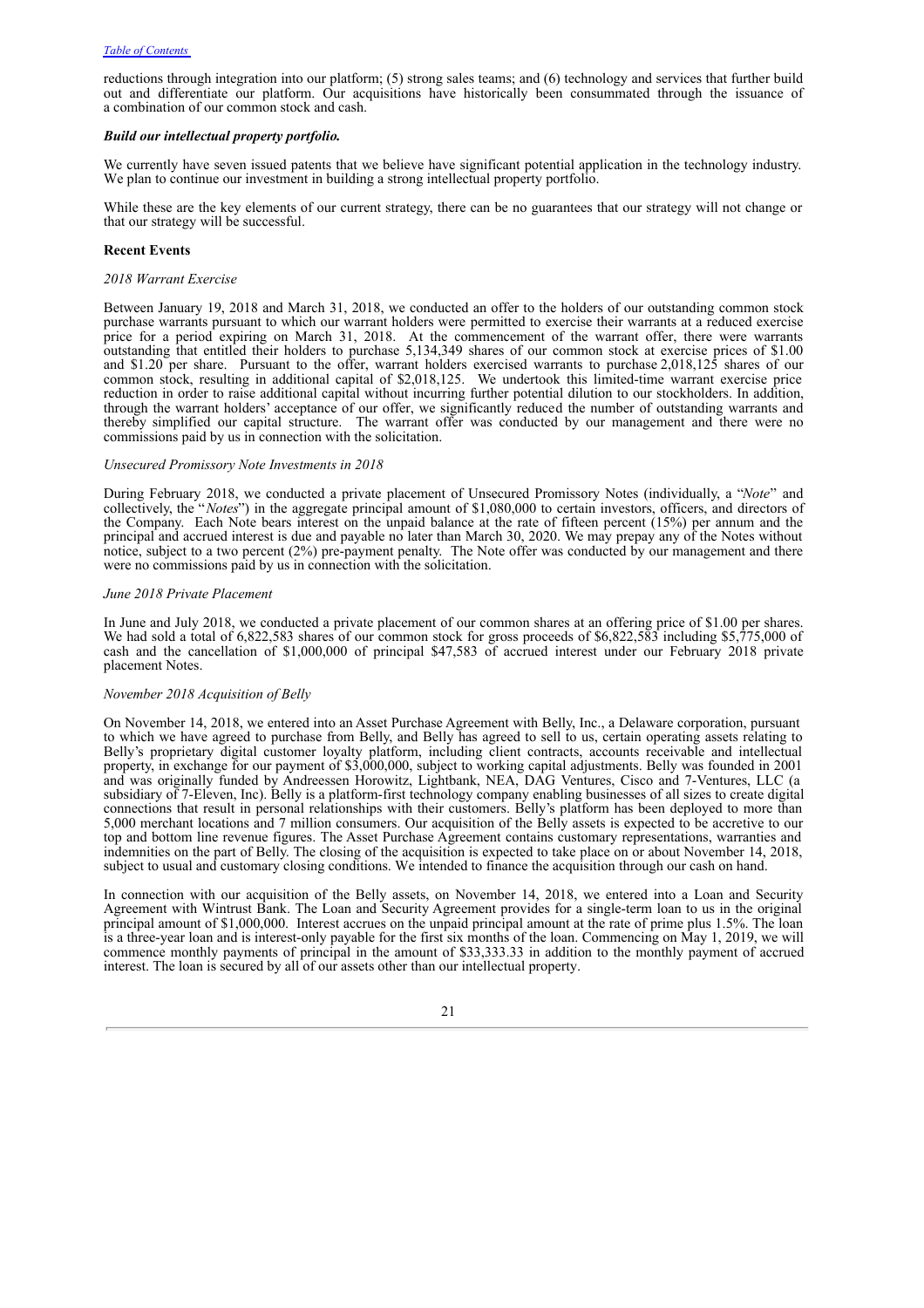reductions through integration into our platform; (5) strong sales teams; and (6) technology and services that further build out and differentiate our platform. Our acquisitions have historically been consummated through the issuance of a combination of our common stock and cash.

#### *Build our intellectual property portfolio***.**

We currently have seven issued patents that we believe have significant potential application in the technology industry. We plan to continue our investment in building a strong intellectual property portfolio.

While these are the key elements of our current strategy, there can be no guarantees that our strategy will not change or that our strategy will be successful.

### **Recent Events**

# *2018 Warrant Exercise*

Between January 19, 2018 and March 31, 2018, we conducted an offer to the holders of our outstanding common stock purchase warrants pursuant to which our warrant holders were permitted to exercise their warrants at a reduced exercise price for a period expiring on March 31, 2018. At the commencement of the warrant offer, there were warrants outstanding that entitled their holders to purchase 5,134,349 shares of our common stock at exercise prices of \$1.00 and \$1.20 per share. Pursuant to the offer, warrant holders exercised warrants to purchase 2,018,125 shares of our common stock, resulting in additional capital of \$2,018,125. We undertook this limited-time warrant exercise price reduction in order to raise additional capital without incurring further potential dilution to our stockholders. In addition, through the warrant holders' acceptance of our offer, we significantly reduced the number of outstanding warrants and thereby simplified our capital structure. The warrant offer was conducted by our management and there were no commissions paid by us in connection with the solicitation.

#### *Unsecured Promissory Note Investments in 2018*

During February 2018, we conducted a private placement of Unsecured Promissory Notes (individually, a "*Note*" and collectively, the "*Notes*") in the aggregate principal amount of \$1,080,000 to certain investors, officers, and directors of the Company. Each Note bears interest on the unpaid balance at the rate of fifteen percent (15%) per annum and the principal and accrued interest is due and payable no later than March 30, 2020. We may prepay any of the Notes without notice, subject to a two percent (2%) pre-payment penalty. The Note offer was conducted by our management and there were no commissions paid by us in connection with the solicitation.

#### *June 2018 Private Placement*

In June and July 2018, we conducted a private placement of our common shares at an offering price of \$1.00 per shares. We had sold a total of 6,822,583 shares of our common stock for gross proceeds of \$6,822,583 including \$5,775,000 of cash and the cancellation of \$1,000,000 of principal \$47,583 of accrued interest under our February 2018 private placement Notes.

#### *November 2018 Acquisition of Belly*

On November 14, 2018, we entered into an Asset Purchase Agreement with Belly, Inc., a Delaware corporation, pursuant to which we have agreed to purchase from Belly, and Belly has agreed to sell to us, certain operating assets relating to Belly's proprietary digital customer loyalty platform, including client contracts, accounts receivable and intellectual property, in exchange for our payment of \$3,000,000, subject to working capital adjustments. Belly was founded in 2001 and was originally funded by Andreessen Horowitz, Lightbank, NEA, DAG Ventures, Cisco and 7-Ventures, LLC (a subsidiary of 7-Eleven, Inc). Belly is a platform-first technology company enabling businesses of all sizes to create digital connections that result in personal relationships with their customers. Belly's platform has been deployed to more than 5,000 merchant locations and 7 million consumers. Our acquisition of the Belly assets is expected to be accretive to our top and bottom line revenue figures. The Asset Purchase Agreement contains customary representations, warranties and indemnities on the part of Belly. The closing of the acquisition is expected to take place on or about November 14, 2018, subject to usual and customary closing conditions. We intended to finance the acquisition through our cash on hand.

In connection with our acquisition of the Belly assets, on November 14, 2018, we entered into a Loan and Security Agreement with Wintrust Bank. The Loan and Security Agreement provides for a single-term loan to us in the original principal amount of \$1,000,000. Interest accrues on the unpaid principal amount at the rate of prime plus 1.5%. The loan is a three-year loan and is interest-only payable for the first six months of the loan. Commencing on May 1, 2019, we will commence monthly payments of principal in the amount of \$33,333.33 in addition to the monthly payment of accrued interest. The loan is secured by all of our assets other than our intellectual property.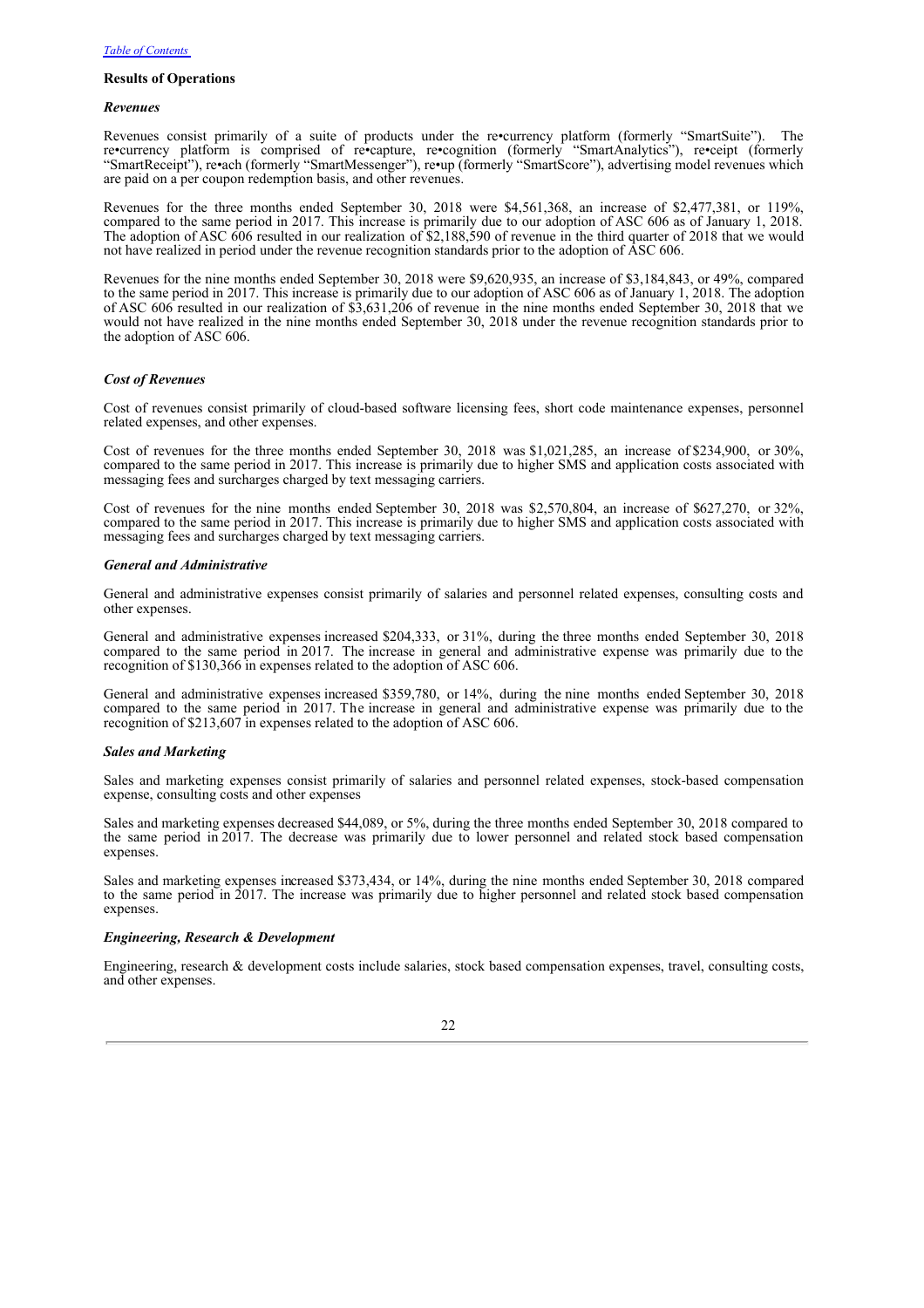# **Results of Operations**

#### *Revenues*

Revenues consist primarily of a suite of products under the re•currency platform (formerly "SmartSuite"). The re•currency platform is comprised of re•capture, re•cognition (formerly "SmartAnalytics"), re•ceipt (formerly "SmartReceipt"), re•ach (formerly "SmartMessenger"), re•up (formerly "SmartScore"), advertising model revenues which are paid on a per coupon redemption basis, and other revenues.

Revenues for the three months ended September 30, 2018 were \$4,561,368, an increase of \$2,477,381, or 119%, compared to the same period in 2017. This increase is primarily due to our adoption of ASC 606 as of January 1, 2018. The adoption of ASC 606 resulted in our realization of \$2,188,590 of revenue in the third quarter of 2018 that we would not have realized in period under the revenue recognition standards prior to the adoption of ASC 606.

Revenues for the nine months ended September 30, 2018 were \$9,620,935, an increase of \$3,184,843, or 49%, compared to the same period in 2017. This increase is primarily due to our adoption of ASC 606 as of January 1, 2018. The adoption of ASC 606 resulted in our realization of \$3,631,206 of revenue in the nine months ended September 30, 2018 that we would not have realized in the nine months ended September 30, 2018 under the revenue recognition standards prior to the adoption of ASC 606.

## *Cost of Revenues*

Cost of revenues consist primarily of cloud-based software licensing fees, short code maintenance expenses, personnel related expenses, and other expenses.

Cost of revenues for the three months ended September 30, 2018 was \$1,021,285, an increase of \$234,900, or 30%, compared to the same period in 2017. This increase is primarily due to higher SMS and application costs associated with messaging fees and surcharges charged by text messaging carriers.

Cost of revenues for the nine months ended September 30, 2018 was \$2,570,804, an increase of \$627,270, or 32%, compared to the same period in 2017. This increase is primarily due to higher SMS and application costs associated with messaging fees and surcharges charged by text messaging carriers.

#### *General and Administrative*

General and administrative expenses consist primarily of salaries and personnel related expenses, consulting costs and other expenses.

General and administrative expenses increased \$204,333, or 31%, during the three months ended September 30, 2018 compared to the same period in 2017. The increase in general and administrative expense was primarily due to the recognition of \$130,366 in expenses related to the adoption of ASC 606.

General and administrative expenses increased \$359,780, or 14%, during the nine months ended September 30, 2018 compared to the same period in 2017. The increase in general and administrative expense was primarily due to the recognition of \$213,607 in expenses related to the adoption of ASC 606.

#### *Sales and Marketing*

Sales and marketing expenses consist primarily of salaries and personnel related expenses, stock-based compensation expense, consulting costs and other expenses

Sales and marketing expenses decreased \$44,089, or 5%, during the three months ended September 30, 2018 compared to the same period in 2017. The decrease was primarily due to lower personnel and related stock based compensation expenses.

Sales and marketing expenses increased \$373,434, or 14%, during the nine months ended September 30, 2018 compared to the same period in 2017. The increase was primarily due to higher personnel and related stock based compensation expenses.

#### *Engineering, Research & Development*

Engineering, research & development costs include salaries, stock based compensation expenses, travel, consulting costs, and other expenses.

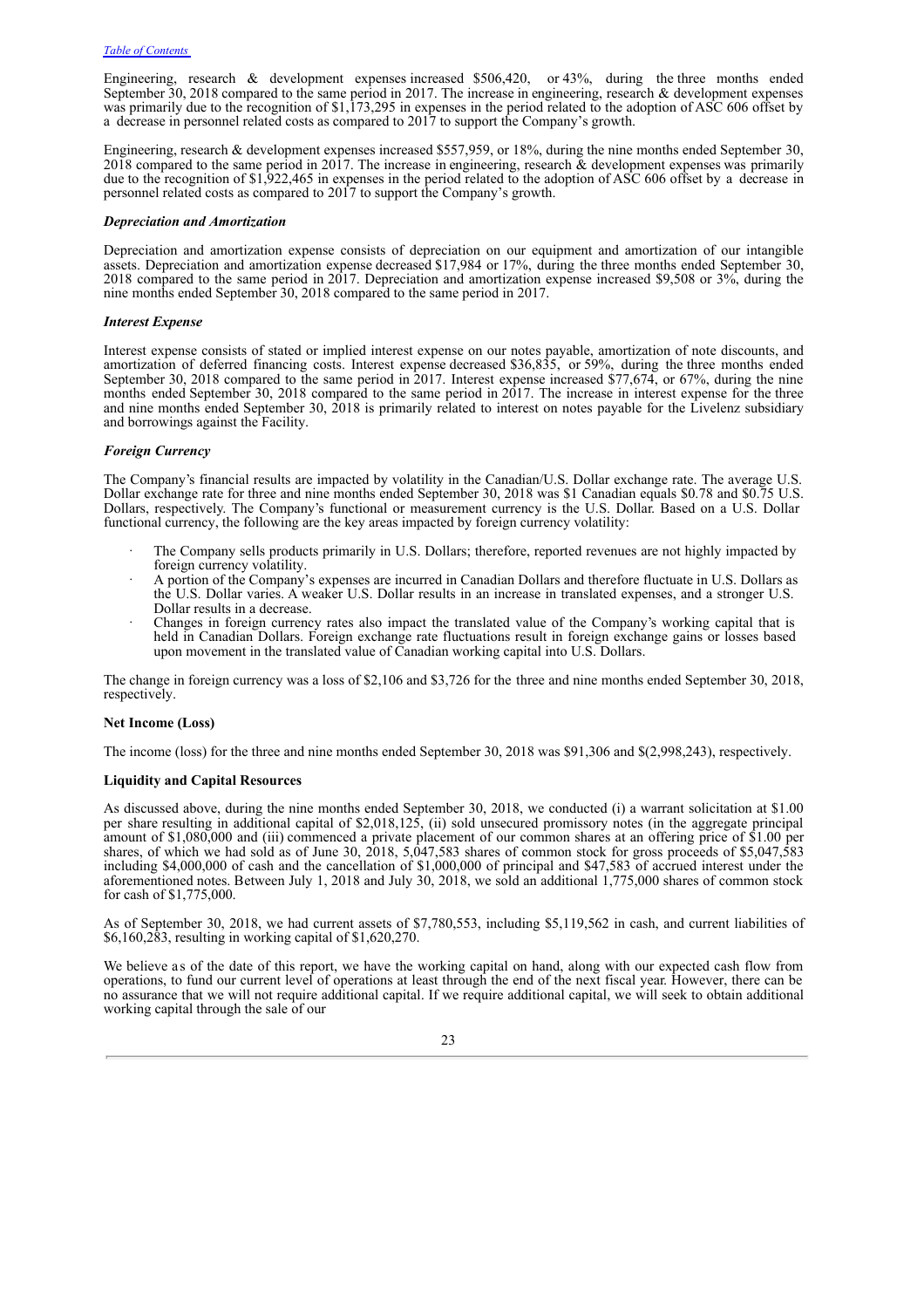Engineering, research & development expenses increased \$506,420, or 43%, during the three months ended September 30, 2018 compared to the same period in 2017. The increase in engineering, research & development expenses was primarily due to the recognition of \$1,173,295 in expenses in the period related to the adoption of ASC 606 offset by a decrease in personnel related costs as compared to 2017 to support the Company's growth.

Engineering, research & development expenses increased \$557,959, or 18%, during the nine months ended September 30, 2018 compared to the same period in 2017. The increase in engineering, research & development expenses was primarily due to the recognition of \$1,922,465 in expenses in the period related to the adoption of ASC 606 offset by a decrease in personnel related costs as compared to 2017 to support the Company's growth.

#### *Depreciation and Amortization*

Depreciation and amortization expense consists of depreciation on our equipment and amortization of our intangible assets. Depreciation and amortization expense decreased \$17,984 or 17%, during the three months ended September 30, 2018 compared to the same period in 2017. Depreciation and amortization expense increased \$9,508 or 3%, during the nine months ended September 30, 2018 compared to the same period in 2017.

#### *Interest Expense*

Interest expense consists of stated or implied interest expense on our notes payable, amortization of note discounts, and amortization of deferred financing costs. Interest expense decreased \$36,835, or 59%, during the three months ended September 30, 2018 compared to the same period in 2017. Interest expense increased \$77,674, or 67%, during the nine months ended September 30, 2018 compared to the same period in 2017. The increase in interest expense for the three and nine months ended September 30, 2018 is primarily related to interest on notes payable for the Livelenz subsidiary and borrowings against the Facility.

#### *Foreign Currency*

The Company's financial results are impacted by volatility in the Canadian/U.S. Dollar exchange rate. The average U.S. Dollar exchange rate for three and nine months ended September 30, 2018 was \$1 Canadian equals \$0.78 and \$0.75 U.S. Dollars, respectively. The Company's functional or measurement currency is the U.S. Dollar. Based on a U.S. Dollar functional currency, the following are the key areas impacted by foreign currency volatility:

- The Company sells products primarily in U.S. Dollars; therefore, reported revenues are not highly impacted by foreign currency volatility.
- A portion of the Company's expenses are incurred in Canadian Dollars and therefore fluctuate in U.S. Dollars as the U.S. Dollar varies. A weaker U.S. Dollar results in an increase in translated expenses, and a stronger U.S. Dollar results in a decrease.
- · Changes in foreign currency rates also impact the translated value of the Company's working capital that is held in Canadian Dollars. Foreign exchange rate fluctuations result in foreign exchange gains or losses based upon movement in the translated value of Canadian working capital into U.S. Dollars.

The change in foreign currency was a loss of \$2,106 and \$3,726 for the three and nine months ended September 30, 2018, respectively.

# **Net Income (Loss)**

The income (loss) for the three and nine months ended September 30, 2018 was \$91,306 and \$(2,998,243), respectively.

#### **Liquidity and Capital Resources**

As discussed above, during the nine months ended September 30, 2018, we conducted (i) a warrant solicitation at \$1.00 per share resulting in additional capital of \$2,018,125, (ii) sold unsecured promissory notes (in the aggregate principal amount of \$1,080,000 and (iii) commenced a private placement of our common shares at an offering price of \$1.00 per shares, of which we had sold as of June 30, 2018, 5,047,583 shares of common stock for gross proceeds of \$5,047,583 including \$4,000,000 of cash and the cancellation of \$1,000,000 of principal and \$47,583 of accrued interest under the aforementioned notes. Between July 1, 2018 and July 30, 2018, we sold an additional 1,775,000 shares of common stock for cash of \$1,775,000.

As of September 30, 2018, we had current assets of \$7,780,553, including \$5,119,562 in cash, and current liabilities of \$6,160,283, resulting in working capital of \$1,620,270.

We believe as of the date of this report, we have the working capital on hand, along with our expected cash flow from operations, to fund our current level of operations at least through the end of the next fiscal year. However, there can be no assurance that we will not require additional capital. If we require additional capital, we will seek to obtain additional working capital through the sale of our

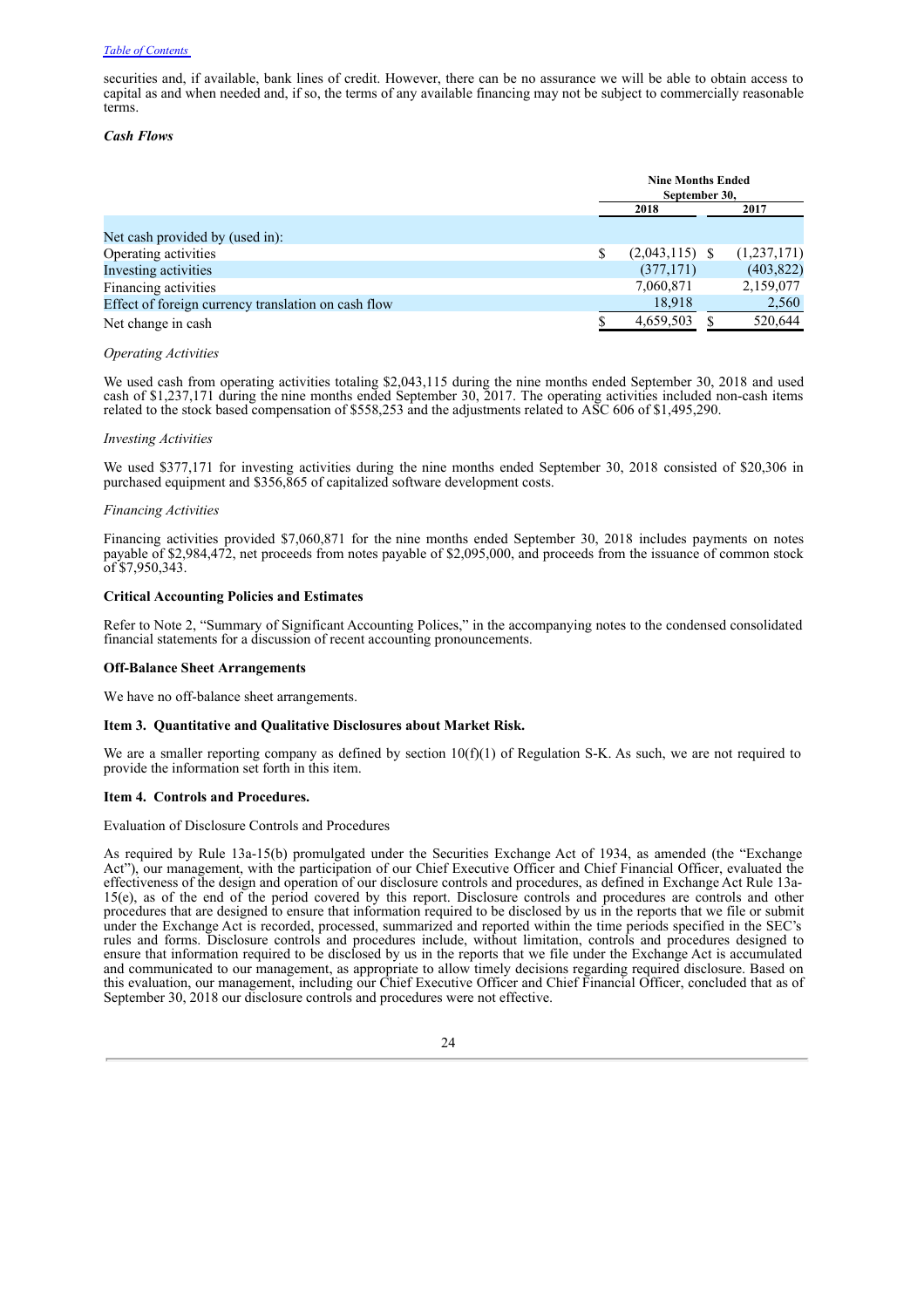securities and, if available, bank lines of credit. However, there can be no assurance we will be able to obtain access to capital as and when needed and, if so, the terms of any available financing may not be subject to commercially reasonable terms.

# *Cash Flows*

|                                                     | <b>Nine Months Ended</b><br>September 30, |  |             |  |
|-----------------------------------------------------|-------------------------------------------|--|-------------|--|
|                                                     | 2018                                      |  |             |  |
| Net cash provided by (used in):                     |                                           |  |             |  |
| Operating activities                                | $(2,043,115)$ \$                          |  | (1,237,171) |  |
| Investing activities                                | (377,171)                                 |  | (403, 822)  |  |
| Financing activities                                | 7,060,871                                 |  | 2,159,077   |  |
| Effect of foreign currency translation on cash flow | 18,918                                    |  | 2,560       |  |
| Net change in cash                                  | 4,659,503                                 |  | 520.644     |  |

# *Operating Activities*

We used cash from operating activities totaling \$2,043,115 during the nine months ended September 30, 2018 and used cash of \$1,237,171 during the nine months ended September 30, 2017. The operating activities included non-cash items related to the stock based compensation of \$558,253 and the adjustments related to ASC 606 of \$1,495,290.

#### *Investing Activities*

We used \$377,171 for investing activities during the nine months ended September 30, 2018 consisted of \$20,306 in purchased equipment and \$356,865 of capitalized software development costs.

#### *Financing Activities*

Financing activities provided \$7,060,871 for the nine months ended September 30, 2018 includes payments on notes payable of \$2,984,472, net proceeds from notes payable of \$2,095,000, and proceeds from the issuance of common stock of \$7,950,343.

#### **Critical Accounting Policies and Estimates**

Refer to Note 2, "Summary of Significant Accounting Polices," in the accompanying notes to the condensed consolidated financial statements for a discussion of recent accounting pronouncements.

# **Off-Balance Sheet Arrangements**

We have no off-balance sheet arrangements.

# **Item 3. Quantitative and Qualitative Disclosures about Market Risk.**

We are a smaller reporting company as defined by section  $10(f)(1)$  of Regulation S-K. As such, we are not required to provide the information set forth in this item.

# **Item 4. Controls and Procedures.**

# Evaluation of Disclosure Controls and Procedures

As required by Rule 13a-15(b) promulgated under the Securities Exchange Act of 1934, as amended (the "Exchange Act"), our management, with the participation of our Chief Executive Officer and Chief Financial Officer, evaluated the effectiveness of the design and operation of our disclosure controls and procedures, as defined in Exchange Act Rule 13a-15(e), as of the end of the period covered by this report. Disclosure controls and procedures are controls and other procedures that are designed to ensure that information required to be disclosed by us in the reports that we file or submit under the Exchange Act is recorded, processed, summarized and reported within the time periods specified in the SEC's rules and forms. Disclosure controls and procedures include, without limitation, controls and procedures designed to ensure that information required to be disclosed by us in the reports that we file under the Exchange Act is accumulated and communicated to our management, as appropriate to allow timely decisions regarding required disclosure. Based on this evaluation, our management, including our Chief Executive Officer and Chief Financial Officer, concluded that as of September 30, 2018 our disclosure controls and procedures were not effective.

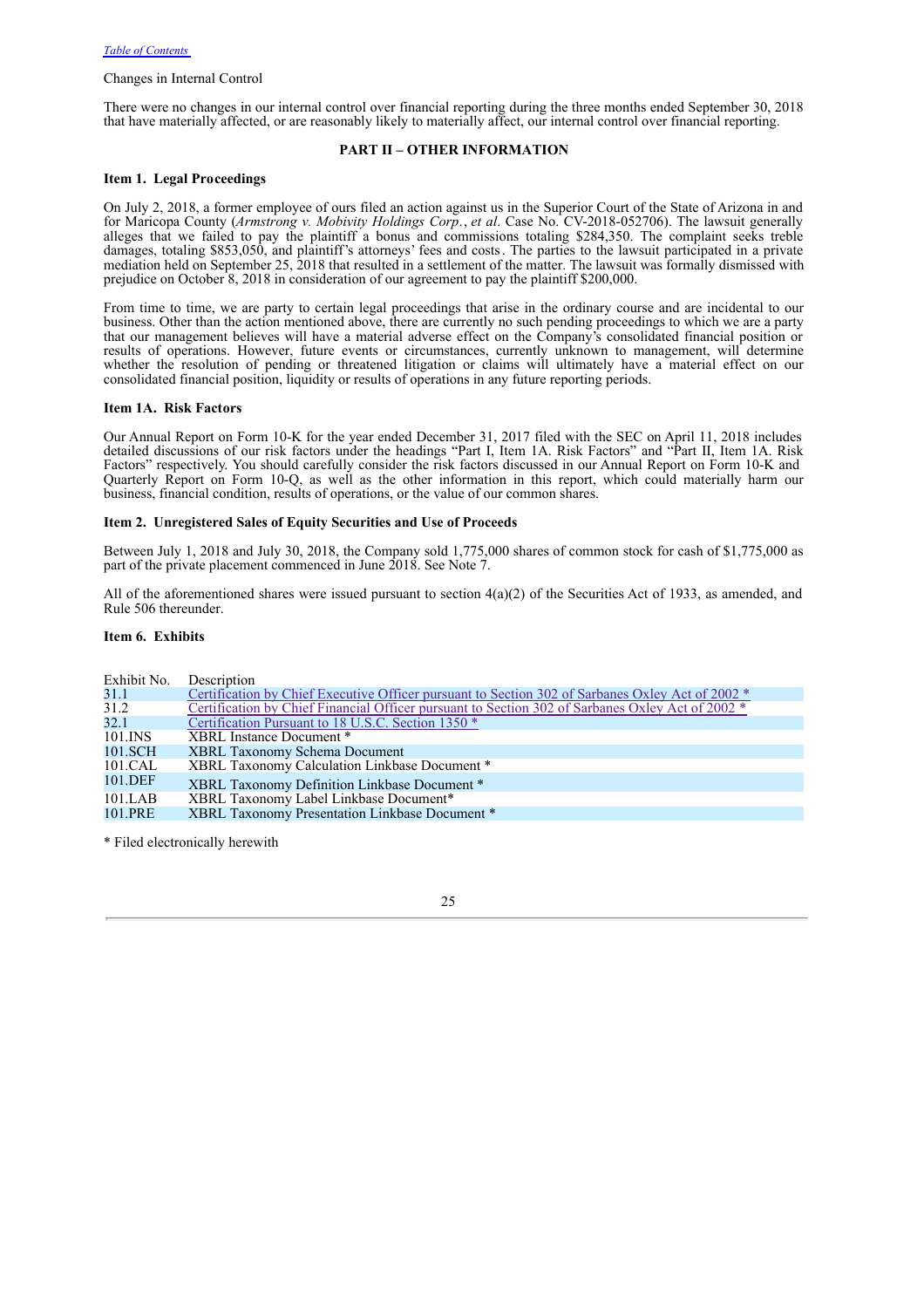# Changes in Internal Control

There were no changes in our internal control over financial reporting during the three months ended September 30, 2018 that have materially affected, or are reasonably likely to materially affect, our internal control over financial reporting.

# **PART II – OTHER INFORMATION**

# **Item 1. Legal Proceedings**

On July 2, 2018, a former employee of ours filed an action against us in the Superior Court of the State of Arizona in and for Maricopa County (*Armstrong v. Mobivity Holdings Corp*., *et al*. Case No. CV-2018-052706). The lawsuit generally alleges that we failed to pay the plaintiff a bonus and commissions totaling \$284,350. The complaint seeks treble damages, totaling \$853,050, and plaintiff's attorneys' fees and costs. The parties to the lawsuit participated in a private mediation held on September 25, 2018 that resulted in a settlement of the matter. The lawsuit was formally dismissed with prejudice on October 8, 2018 in consideration of our agreement to pay the plaintiff \$200,000.

From time to time, we are party to certain legal proceedings that arise in the ordinary course and are incidental to our business. Other than the action mentioned above, there are currently no such pending proceedings to which we are a party that our management believes will have a material adverse effect on the Company's consolidated financial position or results of operations. However, future events or circumstances, currently unknown to management, will determine whether the resolution of pending or threatened litigation or claims will ultimately have a material effect on our consolidated financial position, liquidity or results of operations in any future reporting periods.

# **Item 1A. Risk Factors**

Our Annual Report on Form 10-K for the year ended December 31, 2017 filed with the SEC on April 11, 2018 includes detailed discussions of our risk factors under the headings "Part I, Item 1A. Risk Factors" and "Part II, Item 1A. Risk Factors" respectively. You should carefully consider the risk factors discussed in our Annual Report on Form 10-K and Quarterly Report on Form 10-Q, as well as the other information in this report, which could materially harm our business, financial condition, results of operations, or the value of our common shares.

# **Item 2. Unregistered Sales of Equity Securities and Use of Proceeds**

Between July 1, 2018 and July 30, 2018, the Company sold 1,775,000 shares of common stock for cash of \$1,775,000 as part of the private placement commenced in June 2018. See Note 7.

All of the aforementioned shares were issued pursuant to section  $4(a)(2)$  of the Securities Act of 1933, as amended, and Rule 506 thereunder.

# **Item 6. Exhibits**

| Exhibit No. | Description                                                                                      |
|-------------|--------------------------------------------------------------------------------------------------|
| 31.1        | Certification by Chief Executive Officer pursuant to Section 302 of Sarbanes Oxley Act of 2002 * |
| 31.2        | Certification by Chief Financial Officer pursuant to Section 302 of Sarbanes Oxley Act of 2002 * |
| 32.1        | Certification Pursuant to 18 U.S.C. Section 1350 *                                               |
| 101.INS     | XBRL Instance Document *                                                                         |
| 101.SCH     | <b>XBRL Taxonomy Schema Document</b>                                                             |
| 101.CAL     | XBRL Taxonomy Calculation Linkbase Document *                                                    |
| 101.DEF     | XBRL Taxonomy Definition Linkbase Document *                                                     |
| 101.LAB     | XBRL Taxonomy Label Linkbase Document*                                                           |
| 101.PRE     | XBRL Taxonomy Presentation Linkbase Document *                                                   |

\* Filed electronically herewith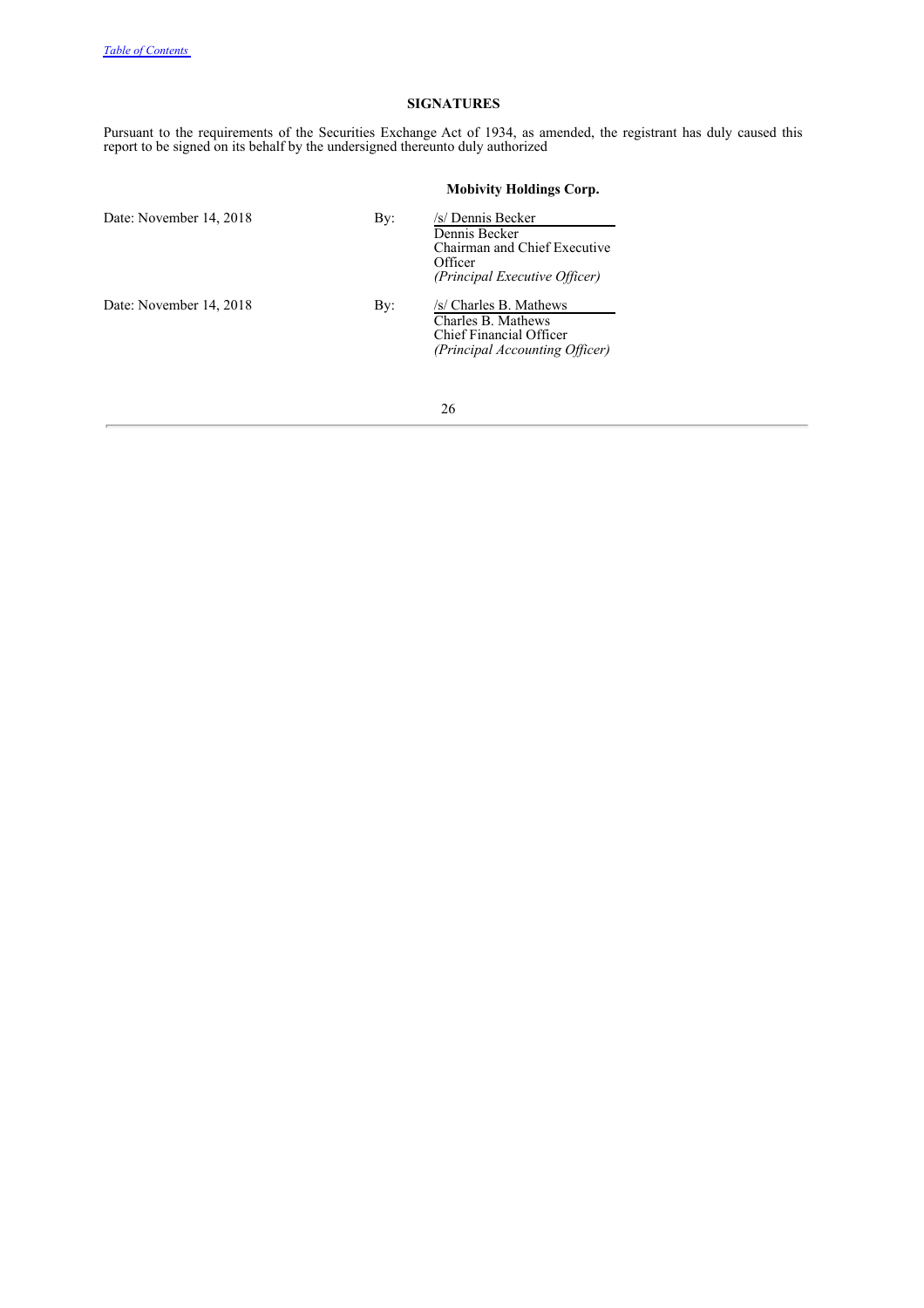# **SIGNATURES**

Pursuant to the requirements of the Securities Exchange Act of 1934, as amended, the registrant has duly caused this report to be signed on its behalf by the undersigned thereunto duly authorized

# **Mobivity Holdings Corp.**

| Date: November 14, 2018 | By: | /s/ Dennis Becker<br>Dennis Becker<br>Chairman and Chief Executive<br>Officer<br><i>(Principal Executive Officer)</i> |
|-------------------------|-----|-----------------------------------------------------------------------------------------------------------------------|
| Date: November 14, 2018 | By: | /s/ Charles B. Mathews<br>Charles B. Mathews<br>Chief Financial Officer<br>(Principal Accounting Officer)             |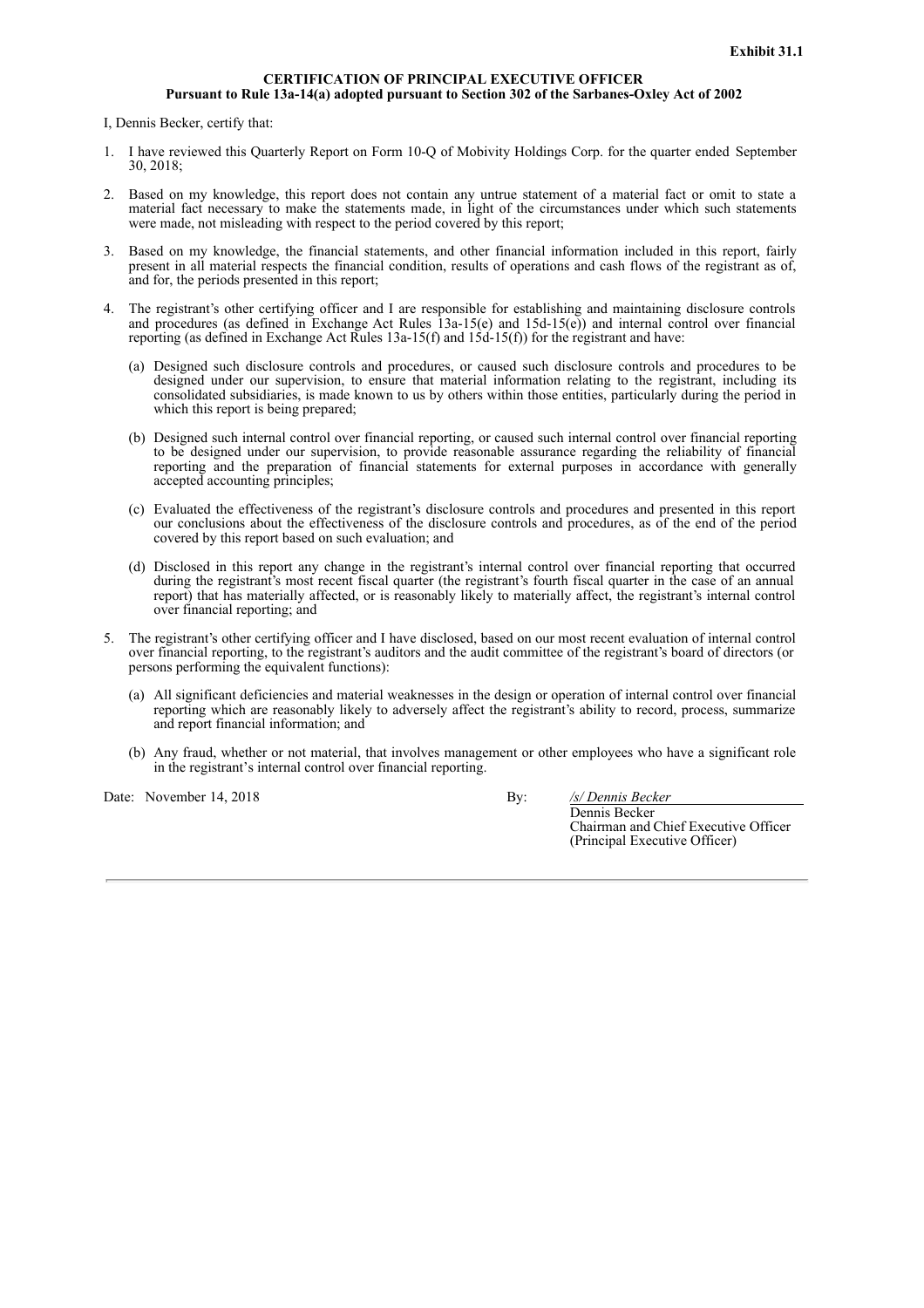# **CERTIFICATION OF PRINCIPAL EXECUTIVE OFFICER Pursuant to Rule 13a-14(a) adopted pursuant to Section 302 of the Sarbanes-Oxley Act of 2002**

I, Dennis Becker, certify that:

- 1. I have reviewed this Quarterly Report on Form 10-Q of Mobivity Holdings Corp. for the quarter ended September 30, 2018;
- 2. Based on my knowledge, this report does not contain any untrue statement of a material fact or omit to state a material fact necessary to make the statements made, in light of the circumstances under which such statements were made, not misleading with respect to the period covered by this report;
- 3. Based on my knowledge, the financial statements, and other financial information included in this report, fairly present in all material respects the financial condition, results of operations and cash flows of the registrant as of, and for, the periods presented in this report;
- 4. The registrant's other certifying officer and I are responsible for establishing and maintaining disclosure controls and procedures (as defined in Exchange Act Rules 13a-15(e) and 15d-15(e)) and internal control over financial reporting (as defined in Exchange Act Rules 13a-15(f) and 15d-15(f)) for the registrant and have:
	- (a) Designed such disclosure controls and procedures, or caused such disclosure controls and procedures to be designed under our supervision, to ensure that material information relating to the registrant, including its consolidated subsidiaries, is made known to us by others within those entities, particularly during the period in which this report is being prepared;
	- (b) Designed such internal control over financial reporting, or caused such internal control over financial reporting to be designed under our supervision, to provide reasonable assurance regarding the reliability of financial reporting and the preparation of financial statements for external purposes in accordance with generally accepted accounting principles;
	- (c) Evaluated the effectiveness of the registrant's disclosure controls and procedures and presented in this report our conclusions about the effectiveness of the disclosure controls and procedures, as of the end of the period covered by this report based on such evaluation; and
	- (d) Disclosed in this report any change in the registrant's internal control over financial reporting that occurred during the registrant's most recent fiscal quarter (the registrant's fourth fiscal quarter in the case of an annual report) that has materially affected, or is reasonably likely to materially affect, the registrant's internal control over financial reporting; and
- 5. The registrant's other certifying officer and I have disclosed, based on our most recent evaluation of internal control over financial reporting, to the registrant's auditors and the audit committee of the registrant's board of directors (or persons performing the equivalent functions):
	- (a) All significant deficiencies and material weaknesses in the design or operation of internal control over financial reporting which are reasonably likely to adversely affect the registrant's ability to record, process, summarize and report financial information; and
	- (b) Any fraud, whether or not material, that involves management or other employees who have a significant role in the registrant's internal control over financial reporting.

Date: November 14, 2018 By: */s/ Dennis Becker* 

Dennis Becker Chairman and Chief Executive Officer (Principal Executive Officer)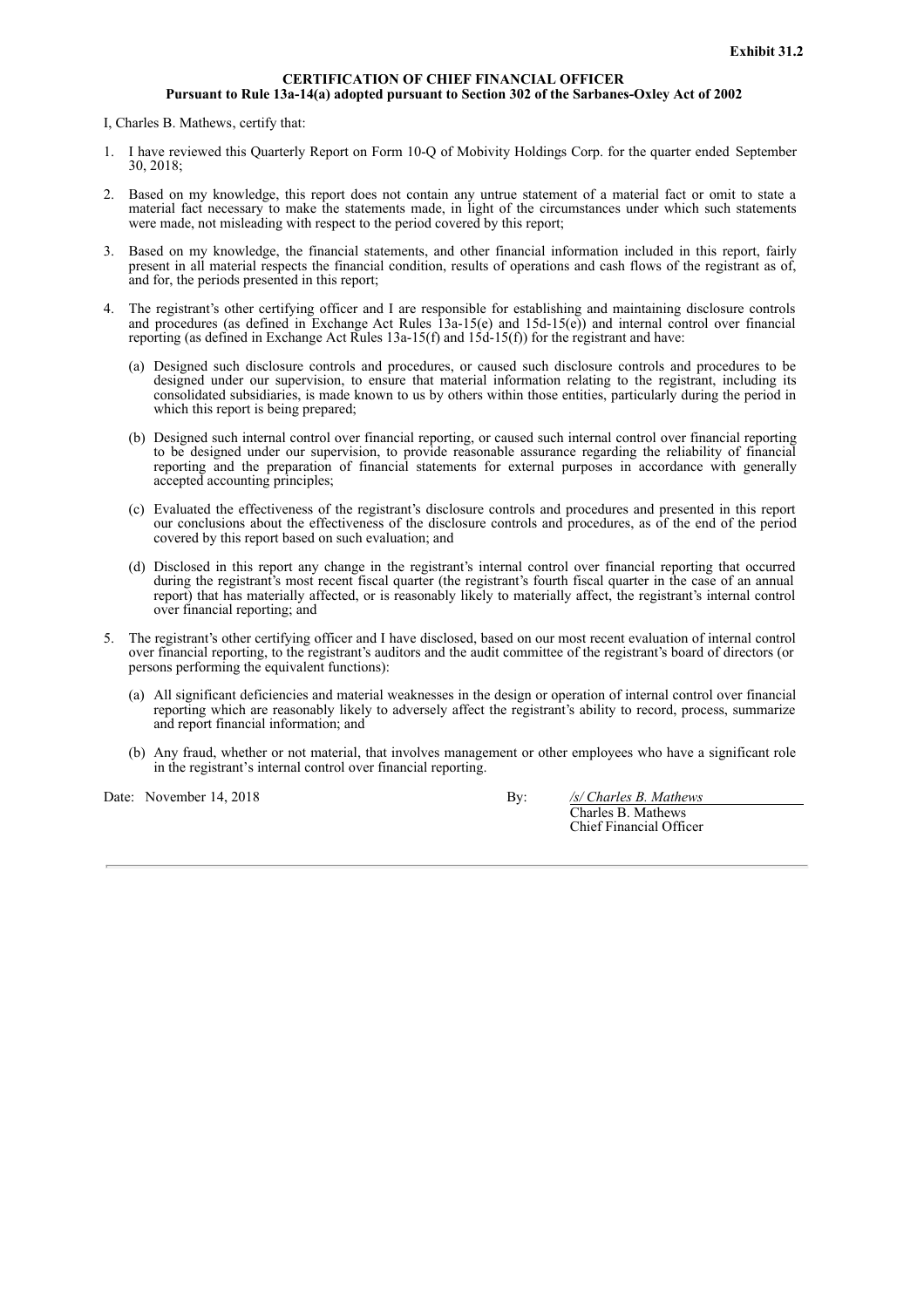# **CERTIFICATION OF CHIEF FINANCIAL OFFICER Pursuant to Rule 13a-14(a) adopted pursuant to Section 302 of the Sarbanes-Oxley Act of 2002**

I, Charles B. Mathews, certify that:

- 1. I have reviewed this Quarterly Report on Form 10-Q of Mobivity Holdings Corp. for the quarter ended September 30, 2018;
- 2. Based on my knowledge, this report does not contain any untrue statement of a material fact or omit to state a material fact necessary to make the statements made, in light of the circumstances under which such statements were made, not misleading with respect to the period covered by this report;
- 3. Based on my knowledge, the financial statements, and other financial information included in this report, fairly present in all material respects the financial condition, results of operations and cash flows of the registrant as of, and for, the periods presented in this report;
- 4. The registrant's other certifying officer and I are responsible for establishing and maintaining disclosure controls and procedures (as defined in Exchange Act Rules 13a-15(e) and 15d-15(e)) and internal control over financial reporting (as defined in Exchange Act Rules 13a-15(f) and 15d-15(f)) for the registrant and have:
	- (a) Designed such disclosure controls and procedures, or caused such disclosure controls and procedures to be designed under our supervision, to ensure that material information relating to the registrant, including its consolidated subsidiaries, is made known to us by others within those entities, particularly during the period in which this report is being prepared;
	- (b) Designed such internal control over financial reporting, or caused such internal control over financial reporting to be designed under our supervision, to provide reasonable assurance regarding the reliability of financial reporting and the preparation of financial statements for external purposes in accordance with generally accepted accounting principles;
	- (c) Evaluated the effectiveness of the registrant's disclosure controls and procedures and presented in this report our conclusions about the effectiveness of the disclosure controls and procedures, as of the end of the period covered by this report based on such evaluation; and
	- (d) Disclosed in this report any change in the registrant's internal control over financial reporting that occurred during the registrant's most recent fiscal quarter (the registrant's fourth fiscal quarter in the case of an annual report) that has materially affected, or is reasonably likely to materially affect, the registrant's internal control over financial reporting; and
- 5. The registrant's other certifying officer and I have disclosed, based on our most recent evaluation of internal control over financial reporting, to the registrant's auditors and the audit committee of the registrant's board of directors (or persons performing the equivalent functions):
	- (a) All significant deficiencies and material weaknesses in the design or operation of internal control over financial reporting which are reasonably likely to adversely affect the registrant's ability to record, process, summarize and report financial information; and
	- (b) Any fraud, whether or not material, that involves management or other employees who have a significant role in the registrant's internal control over financial reporting.

Date: November 14, 2018 By: */s/ Charles B. Mathews*

Charles B. Mathews Chief Financial Officer